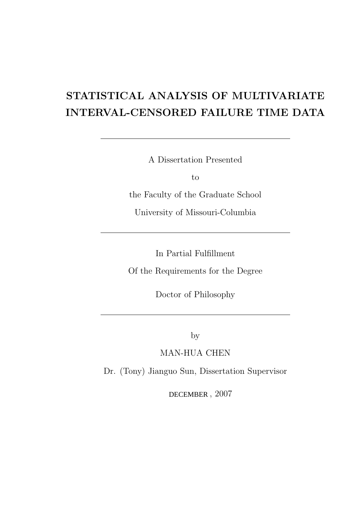# STATISTICAL ANALYSIS OF MULTIVARIATE INTERVAL-CENSORED FAILURE TIME DATA

A Dissertation Presented

to

the Faculty of the Graduate School

University of Missouri-Columbia

In Partial Fulfillment

Of the Requirements for the Degree

Doctor of Philosophy

by

MAN-HUA CHEN

Dr. (Tony) Jianguo Sun, Dissertation Supervisor

DECEMBER, 2007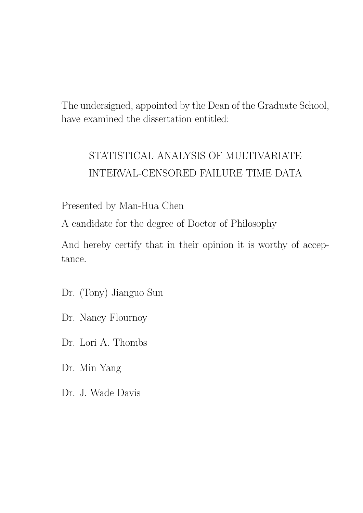The undersigned, appointed by the Dean of the Graduate School, have examined the dissertation entitled:

# STATISTICAL ANALYSIS OF MULTIVARIATE INTERVAL-CENSORED FAILURE TIME DATA

Presented by Man-Hua Chen

A candidate for the degree of Doctor of Philosophy

And hereby certify that in their opinion it is worthy of acceptance.

| Dr. (Tony) Jianguo Sun |  |
|------------------------|--|
| Dr. Nancy Flournoy     |  |
| Dr. Lori A. Thombs     |  |
| Dr. Min Yang           |  |
| Dr. J. Wade Davis      |  |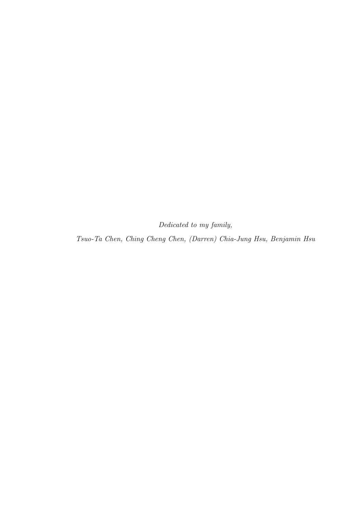Dedicated to my family,

Tsuo-Ta Chen, Ching Cheng Chen, (Darren) Chia-Jung Hsu, Benjamin Hsu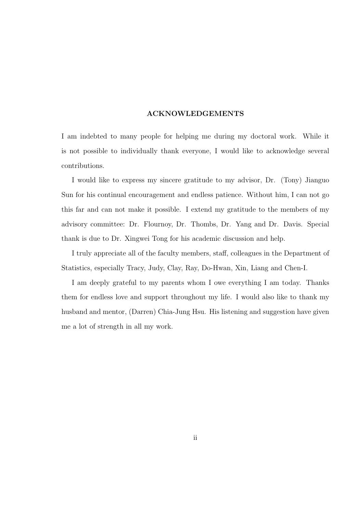#### ACKNOWLEDGEMENTS

I am indebted to many people for helping me during my doctoral work. While it is not possible to individually thank everyone, I would like to acknowledge several contributions.

I would like to express my sincere gratitude to my advisor, Dr. (Tony) Jianguo Sun for his continual encouragement and endless patience. Without him, I can not go this far and can not make it possible. I extend my gratitude to the members of my advisory committee: Dr. Flournoy, Dr. Thombs, Dr. Yang and Dr. Davis. Special thank is due to Dr. Xingwei Tong for his academic discussion and help.

I truly appreciate all of the faculty members, staff, colleagues in the Department of Statistics, especially Tracy, Judy, Clay, Ray, Do-Hwan, Xin, Liang and Chen-I.

I am deeply grateful to my parents whom I owe everything I am today. Thanks them for endless love and support throughout my life. I would also like to thank my husband and mentor, (Darren) Chia-Jung Hsu. His listening and suggestion have given me a lot of strength in all my work.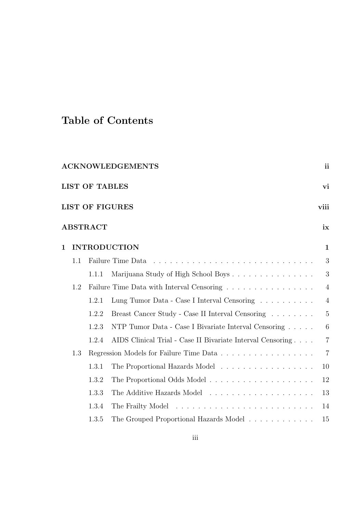# Table of Contents

|             |     |                       | <b>ACKNOWLEDGEMENTS</b>                                    | <sub>ii</sub>  |
|-------------|-----|-----------------------|------------------------------------------------------------|----------------|
|             |     | <b>LIST OF TABLES</b> |                                                            | vi             |
|             |     |                       | <b>LIST OF FIGURES</b>                                     | viii           |
|             |     | <b>ABSTRACT</b>       |                                                            | ix             |
| $\mathbf 1$ |     |                       | <b>INTRODUCTION</b>                                        | $\mathbf{1}$   |
|             | 1.1 |                       | Failure Time Data                                          | 3              |
|             |     | 1.1.1                 | Marijuana Study of High School Boys                        | 3              |
|             | 1.2 |                       | Failure Time Data with Interval Censoring                  | $\overline{4}$ |
|             |     | 1.2.1                 | Lung Tumor Data - Case I Interval Censoring                | $\overline{4}$ |
|             |     | 1.2.2                 | Breast Cancer Study - Case II Interval Censoring           | $\overline{5}$ |
|             |     | 1.2.3                 | NTP Tumor Data - Case I Bivariate Interval Censoring       | 6              |
|             |     | 1.2.4                 | AIDS Clinical Trial - Case II Bivariate Interval Censoring | $\overline{7}$ |
|             | 1.3 |                       | Regression Models for Failure Time Data                    | $\overline{7}$ |
|             |     | 1.3.1                 | The Proportional Hazards Model                             | 10             |
|             |     | 1.3.2                 |                                                            | 12             |
|             |     | 1.3.3                 |                                                            | 13             |
|             |     | 1.3.4                 |                                                            | 14             |
|             |     | 1.3.5                 | The Grouped Proportional Hazards Model                     | 15             |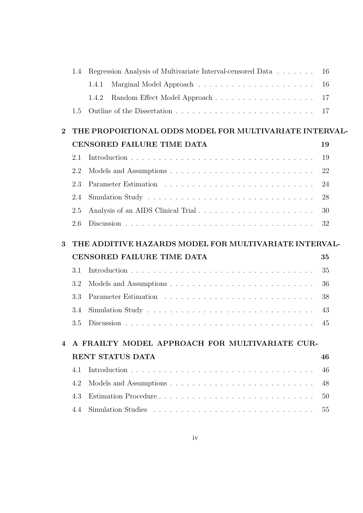|                | 1.4 | Regression Analysis of Multivariate Interval-censored Data                                 | 16 |
|----------------|-----|--------------------------------------------------------------------------------------------|----|
|                |     | 1.4.1                                                                                      | 16 |
|                |     | 1.4.2                                                                                      | 17 |
|                | 1.5 |                                                                                            | 17 |
| $\overline{2}$ |     | THE PROPORTIONAL ODDS MODEL FOR MULTIVARIATE INTERVAL-                                     |    |
|                |     |                                                                                            |    |
|                |     | CENSORED FAILURE TIME DATA                                                                 | 19 |
|                | 2.1 |                                                                                            | 19 |
|                | 2.2 |                                                                                            | 22 |
|                | 2.3 |                                                                                            | 24 |
|                | 2.4 |                                                                                            | 28 |
|                | 2.5 | Analysis of an AIDS Clinical Trial                                                         | 30 |
|                | 2.6 |                                                                                            | 32 |
| 3              |     | THE ADDITIVE HAZARDS MODEL FOR MULTIVARIATE INTERVAL-                                      |    |
|                |     | CENSORED FAILURE TIME DATA                                                                 | 35 |
|                |     |                                                                                            |    |
|                | 3.1 |                                                                                            | 35 |
|                | 3.2 |                                                                                            | 36 |
|                | 3.3 |                                                                                            | 38 |
|                | 3.4 | Simulation Study $\dots \dots \dots \dots \dots \dots \dots \dots \dots \dots \dots \dots$ | 43 |
|                | 3.5 |                                                                                            | 45 |
|                |     |                                                                                            |    |
| 4              |     | A FRAILTY MODEL APPROACH FOR MULTIVARIATE CUR-                                             |    |
|                |     | RENT STATUS DATA                                                                           | 46 |
|                | 4.1 |                                                                                            | 46 |
|                | 4.2 |                                                                                            | 48 |
|                | 4.3 |                                                                                            | 50 |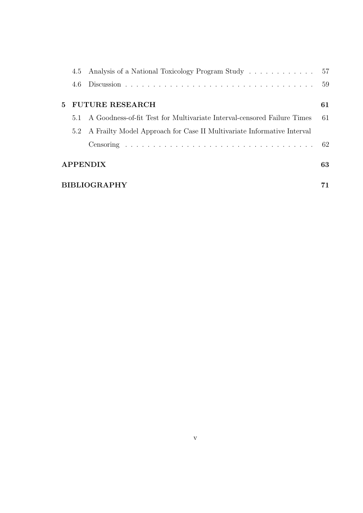|                 | 4.5 Analysis of a National Toxicology Program Study 57                  |    |
|-----------------|-------------------------------------------------------------------------|----|
| 4.6             |                                                                         | 59 |
|                 | 5 FUTURE RESEARCH                                                       | 61 |
| 5.1             | A Goodness-of-fit Test for Multivariate Interval-censored Failure Times | 61 |
| 5.2             | A Frailty Model Approach for Case II Multivariate Informative Interval  |    |
|                 |                                                                         |    |
| <b>APPENDIX</b> |                                                                         | 63 |
| BIBLIOGRAPHY    |                                                                         |    |
|                 |                                                                         |    |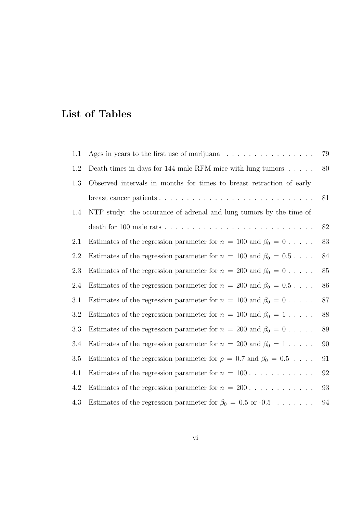## List of Tables

| 1.1     | Ages in years to the first use of marijuana $\dots \dots \dots \dots \dots$     | $79\,$            |
|---------|---------------------------------------------------------------------------------|-------------------|
| 1.2     | Death times in days for 144 male RFM mice with lung tumors                      | 80                |
| 1.3     | Observed intervals in months for times to breast retraction of early            |                   |
|         |                                                                                 | 81                |
| 1.4     | NTP study: the occurance of adrenal and lung tumors by the time of              |                   |
|         |                                                                                 | 82                |
| 2.1     | Estimates of the regression parameter for $n = 100$ and $\beta_0 = 0$           | 83                |
| 2.2     | Estimates of the regression parameter for $n = 100$ and $\beta_0 = 0.5 \dots$ . | 84                |
| 2.3     | Estimates of the regression parameter for $n = 200$ and $\beta_0 = 0$           | $85\,$            |
| 2.4     | Estimates of the regression parameter for $n = 200$ and $\beta_0 = 0.5 \dots$ . | $86\,$            |
| 3.1     | Estimates of the regression parameter for $n = 100$ and $\beta_0 = 0$           | 87                |
| $3.2\,$ | Estimates of the regression parameter for $n = 100$ and $\beta_0 = 1 \dots$ .   | 88                |
| 3.3     | Estimates of the regression parameter for $n = 200$ and $\beta_0 = 0$           | 89                |
| 3.4     | Estimates of the regression parameter for $n = 200$ and $\beta_0 = 1 \dots$ .   | 90                |
| 3.5     | Estimates of the regression parameter for $\rho = 0.7$ and $\beta_0 = 0.5$      | 91                |
| 4.1     | Estimates of the regression parameter for $n = 100$                             | $92\,$            |
| 4.2     | Estimates of the regression parameter for $n = 200$                             | $\boldsymbol{93}$ |
| 4.3     | Estimates of the regression parameter for $\beta_0 = 0.5$ or $-0.5$             | 94                |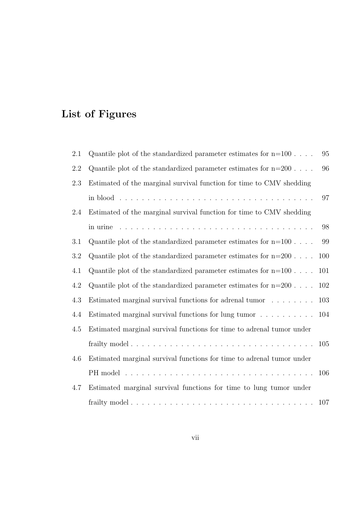# List of Figures

| 2.1 | Quantile plot of the standardized parameter estimates for $n=100$ .   | 95  |
|-----|-----------------------------------------------------------------------|-----|
| 2.2 | Quantile plot of the standardized parameter estimates for $n=200$     | 96  |
| 2.3 | Estimated of the marginal survival function for time to CMV shedding  |     |
|     |                                                                       | 97  |
| 2.4 | Estimated of the marginal survival function for time to CMV shedding  |     |
|     |                                                                       | 98  |
| 3.1 | Quantile plot of the standardized parameter estimates for $n=100$ .   | 99  |
| 3.2 | Quantile plot of the standardized parameter estimates for $n=200$ .   | 100 |
| 4.1 | Quantile plot of the standardized parameter estimates for $n=100$ .   | 101 |
| 4.2 | Quantile plot of the standardized parameter estimates for $n=200$ .   | 102 |
| 4.3 | Estimated marginal survival functions for adrenal tumor               | 103 |
| 4.4 | Estimated marginal survival functions for lung tumor                  | 104 |
| 4.5 | Estimated marginal survival functions for time to adrenal tumor under |     |
|     |                                                                       | 105 |
| 4.6 | Estimated marginal survival functions for time to adrenal tumor under |     |
|     |                                                                       | 106 |
| 4.7 | Estimated marginal survival functions for time to lung tumor under    |     |
|     |                                                                       |     |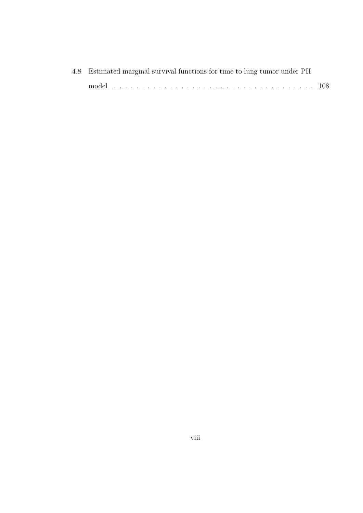| 4.8 Estimated marginal survival functions for time to lung tumor under PH |  |
|---------------------------------------------------------------------------|--|
|                                                                           |  |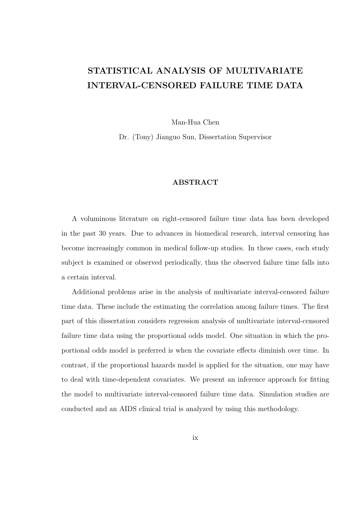### STATISTICAL ANALYSIS OF MULTIVARIATE INTERVAL-CENSORED FAILURE TIME DATA

Man-Hua Chen

Dr. (Tony) Jianguo Sun, Dissertation Supervisor

#### ABSTRACT

A voluminous literature on right-censored failure time data has been developed in the past 30 years. Due to advances in biomedical research, interval censoring has become increasingly common in medical follow-up studies. In these cases, each study subject is examined or observed periodically, thus the observed failure time falls into a certain interval.

Additional problems arise in the analysis of multivariate interval-censored failure time data. These include the estimating the correlation among failure times. The first part of this dissertation considers regression analysis of multivariate interval-censored failure time data using the proportional odds model. One situation in which the proportional odds model is preferred is when the covariate effects diminish over time. In contrast, if the proportional hazards model is applied for the situation, one may have to deal with time-dependent covariates. We present an inference approach for fitting the model to multivariate interval-censored failure time data. Simulation studies are conducted and an AIDS clinical trial is analyzed by using this methodology.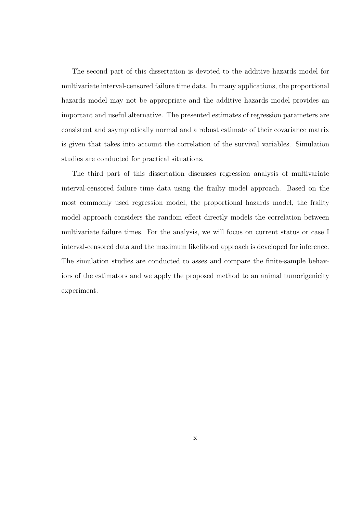The second part of this dissertation is devoted to the additive hazards model for multivariate interval-censored failure time data. In many applications, the proportional hazards model may not be appropriate and the additive hazards model provides an important and useful alternative. The presented estimates of regression parameters are consistent and asymptotically normal and a robust estimate of their covariance matrix is given that takes into account the correlation of the survival variables. Simulation studies are conducted for practical situations.

The third part of this dissertation discusses regression analysis of multivariate interval-censored failure time data using the frailty model approach. Based on the most commonly used regression model, the proportional hazards model, the frailty model approach considers the random effect directly models the correlation between multivariate failure times. For the analysis, we will focus on current status or case I interval-censored data and the maximum likelihood approach is developed for inference. The simulation studies are conducted to asses and compare the finite-sample behaviors of the estimators and we apply the proposed method to an animal tumorigenicity experiment.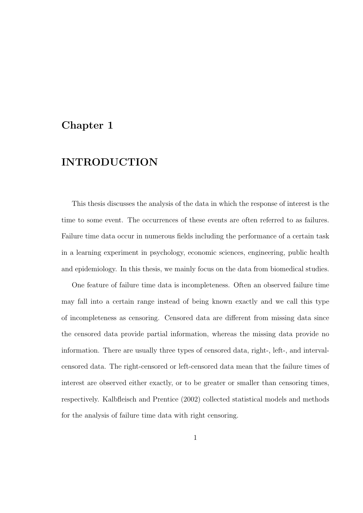### Chapter 1

### INTRODUCTION

This thesis discusses the analysis of the data in which the response of interest is the time to some event. The occurrences of these events are often referred to as failures. Failure time data occur in numerous fields including the performance of a certain task in a learning experiment in psychology, economic sciences, engineering, public health and epidemiology. In this thesis, we mainly focus on the data from biomedical studies.

One feature of failure time data is incompleteness. Often an observed failure time may fall into a certain range instead of being known exactly and we call this type of incompleteness as censoring. Censored data are different from missing data since the censored data provide partial information, whereas the missing data provide no information. There are usually three types of censored data, right-, left-, and intervalcensored data. The right-censored or left-censored data mean that the failure times of interest are observed either exactly, or to be greater or smaller than censoring times, respectively. Kalbfleisch and Prentice (2002) collected statistical models and methods for the analysis of failure time data with right censoring.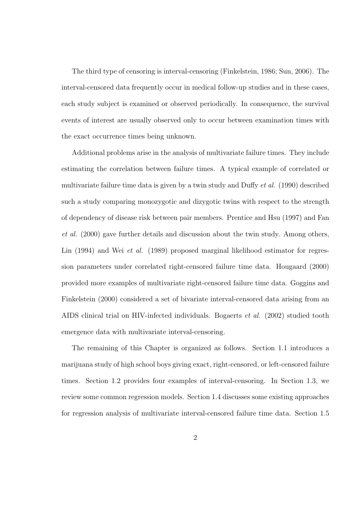The third type of censoring is interval-censoring (Finkelstein, 1986; Sun, 2006). The interval-censored data frequently occur in medical follow-up studies and in these cases, each study subject is examined or observed periodically. In consequence, the survival events of interest are usually observed only to occur between examination times with the exact occurrence times being unknown.

Additional problems arise in the analysis of multivariate failure times. They include estimating the correlation between failure times. A typical example of correlated or multivariate failure time data is given by a twin study and Duffy et al. (1990) described such a study comparing monozygotic and dizygotic twins with respect to the strength of dependency of disease risk between pair members. Prentice and Hsu (1997) and Fan et al. (2000) gave further details and discussion about the twin study. Among others, Lin (1994) and Wei *et al.* (1989) proposed marginal likelihood estimator for regression parameters under correlated right-censored failure time data. Hougaard (2000) provided more examples of multivariate right-censored failure time data. Goggins and Finkelstein (2000) considered a set of bivariate interval-censored data arising from an AIDS clinical trial on HIV-infected individuals. Bogaerts et al. (2002) studied tooth emergence data with multivariate interval-censoring.

The remaining of this Chapter is organized as follows. Section 1.1 introduces a marijuana study of high school boys giving exact, right-censored, or left-censored failure times. Section 1.2 provides four examples of interval-censoring. In Section 1.3, we review some common regression models. Section 1.4 discusses some existing approaches for regression analysis of multivariate interval-censored failure time data. Section 1.5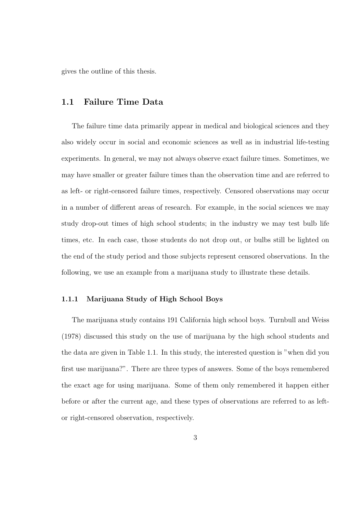gives the outline of this thesis.

#### 1.1 Failure Time Data

The failure time data primarily appear in medical and biological sciences and they also widely occur in social and economic sciences as well as in industrial life-testing experiments. In general, we may not always observe exact failure times. Sometimes, we may have smaller or greater failure times than the observation time and are referred to as left- or right-censored failure times, respectively. Censored observations may occur in a number of different areas of research. For example, in the social sciences we may study drop-out times of high school students; in the industry we may test bulb life times, etc. In each case, those students do not drop out, or bulbs still be lighted on the end of the study period and those subjects represent censored observations. In the following, we use an example from a marijuana study to illustrate these details.

#### 1.1.1 Marijuana Study of High School Boys

The marijuana study contains 191 California high school boys. Turnbull and Weiss (1978) discussed this study on the use of marijuana by the high school students and the data are given in Table 1.1. In this study, the interested question is "when did you first use marijuana?". There are three types of answers. Some of the boys remembered the exact age for using marijuana. Some of them only remembered it happen either before or after the current age, and these types of observations are referred to as leftor right-censored observation, respectively.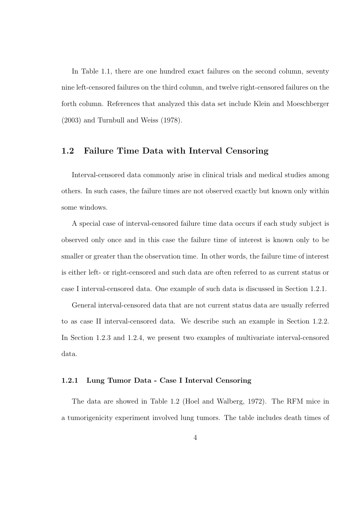In Table 1.1, there are one hundred exact failures on the second column, seventy nine left-censored failures on the third column, and twelve right-censored failures on the forth column. References that analyzed this data set include Klein and Moeschberger (2003) and Turnbull and Weiss (1978).

#### 1.2 Failure Time Data with Interval Censoring

Interval-censored data commonly arise in clinical trials and medical studies among others. In such cases, the failure times are not observed exactly but known only within some windows.

A special case of interval-censored failure time data occurs if each study subject is observed only once and in this case the failure time of interest is known only to be smaller or greater than the observation time. In other words, the failure time of interest is either left- or right-censored and such data are often referred to as current status or case I interval-censored data. One example of such data is discussed in Section 1.2.1.

General interval-censored data that are not current status data are usually referred to as case II interval-censored data. We describe such an example in Section 1.2.2. In Section 1.2.3 and 1.2.4, we present two examples of multivariate interval-censored data.

#### 1.2.1 Lung Tumor Data - Case I Interval Censoring

The data are showed in Table 1.2 (Hoel and Walberg, 1972). The RFM mice in a tumorigenicity experiment involved lung tumors. The table includes death times of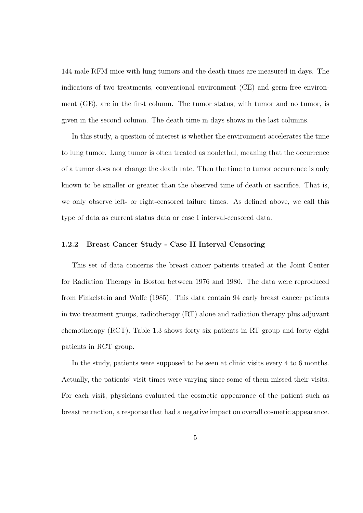144 male RFM mice with lung tumors and the death times are measured in days. The indicators of two treatments, conventional environment (CE) and germ-free environment (GE), are in the first column. The tumor status, with tumor and no tumor, is given in the second column. The death time in days shows in the last columns.

In this study, a question of interest is whether the environment accelerates the time to lung tumor. Lung tumor is often treated as nonlethal, meaning that the occurrence of a tumor does not change the death rate. Then the time to tumor occurrence is only known to be smaller or greater than the observed time of death or sacrifice. That is, we only observe left- or right-censored failure times. As defined above, we call this type of data as current status data or case I interval-censored data.

#### 1.2.2 Breast Cancer Study - Case II Interval Censoring

This set of data concerns the breast cancer patients treated at the Joint Center for Radiation Therapy in Boston between 1976 and 1980. The data were reproduced from Finkelstein and Wolfe (1985). This data contain 94 early breast cancer patients in two treatment groups, radiotherapy (RT) alone and radiation therapy plus adjuvant chemotherapy (RCT). Table 1.3 shows forty six patients in RT group and forty eight patients in RCT group.

In the study, patients were supposed to be seen at clinic visits every 4 to 6 months. Actually, the patients' visit times were varying since some of them missed their visits. For each visit, physicians evaluated the cosmetic appearance of the patient such as breast retraction, a response that had a negative impact on overall cosmetic appearance.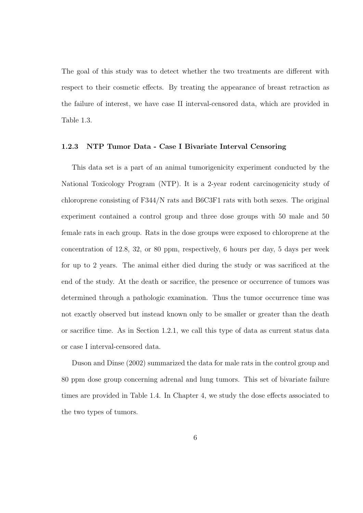The goal of this study was to detect whether the two treatments are different with respect to their cosmetic effects. By treating the appearance of breast retraction as the failure of interest, we have case II interval-censored data, which are provided in Table 1.3.

#### 1.2.3 NTP Tumor Data - Case I Bivariate Interval Censoring

This data set is a part of an animal tumorigenicity experiment conducted by the National Toxicology Program (NTP). It is a 2-year rodent carcinogenicity study of chloroprene consisting of F344/N rats and B6C3F1 rats with both sexes. The original experiment contained a control group and three dose groups with 50 male and 50 female rats in each group. Rats in the dose groups were exposed to chloroprene at the concentration of 12.8, 32, or 80 ppm, respectively, 6 hours per day, 5 days per week for up to 2 years. The animal either died during the study or was sacrificed at the end of the study. At the death or sacrifice, the presence or occurrence of tumors was determined through a pathologic examination. Thus the tumor occurrence time was not exactly observed but instead known only to be smaller or greater than the death or sacrifice time. As in Section 1.2.1, we call this type of data as current status data or case I interval-censored data.

Duson and Dinse (2002) summarized the data for male rats in the control group and 80 ppm dose group concerning adrenal and lung tumors. This set of bivariate failure times are provided in Table 1.4. In Chapter 4, we study the dose effects associated to the two types of tumors.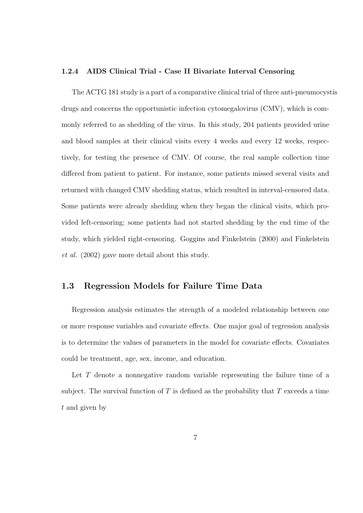#### 1.2.4 AIDS Clinical Trial - Case II Bivariate Interval Censoring

The ACTG 181 study is a part of a comparative clinical trial of three anti-pneumocystis drugs and concerns the opportunistic infection cytomegalovirus (CMV), which is commonly referred to as shedding of the virus. In this study, 204 patients provided urine and blood samples at their clinical visits every 4 weeks and every 12 weeks, respectively, for testing the presence of CMV. Of course, the real sample collection time differed from patient to patient. For instance, some patients missed several visits and returned with changed CMV shedding status, which resulted in interval-censored data. Some patients were already shedding when they began the clinical visits, which provided left-censoring; some patients had not started shedding by the end time of the study, which yielded right-censoring. Goggins and Finkelstein (2000) and Finkelstein et al. (2002) gave more detail about this study.

#### 1.3 Regression Models for Failure Time Data

Regression analysis estimates the strength of a modeled relationship between one or more response variables and covariate effects. One major goal of regression analysis is to determine the values of parameters in the model for covariate effects. Covariates could be treatment, age, sex, income, and education.

Let T denote a nonnegative random variable representing the failure time of a subject. The survival function of T is defined as the probability that T exceeds a time t and given by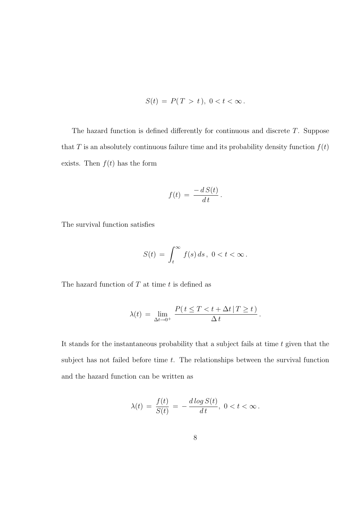$$
S(t) = P(T > t), \ 0 < t < \infty.
$$

The hazard function is defined differently for continuous and discrete  $T$ . Suppose that T is an absolutely continuous failure time and its probability density function  $f(t)$ exists. Then  $f(t)$  has the form

$$
f(t) = \frac{-d S(t)}{dt}.
$$

The survival function satisfies

$$
S(t) = \int_t^{\infty} f(s) ds, \ 0 < t < \infty.
$$

The hazard function of  $T$  at time  $t$  is defined as

$$
\lambda(t) = \lim_{\Delta t \to 0^+} \frac{P(t \le T < t + \Delta t | T \ge t)}{\Delta t}.
$$

It stands for the instantaneous probability that a subject fails at time  $t$  given that the subject has not failed before time  $t$ . The relationships between the survival function and the hazard function can be written as

$$
\lambda(t) = \frac{f(t)}{S(t)} = -\frac{d \log S(t)}{dt}, \ 0 < t < \infty \, .
$$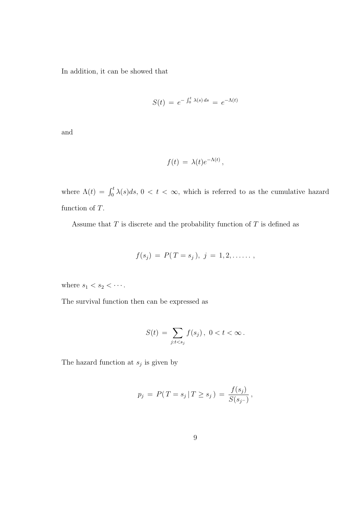In addition, it can be showed that

$$
S(t) = e^{-\int_0^t \lambda(s) ds} = e^{-\Lambda(t)}
$$

and

$$
f(t) = \lambda(t)e^{-\Lambda(t)},
$$

where  $\Lambda(t) = \int_0^t \lambda(s)ds$ ,  $0 < t < \infty$ , which is referred to as the cumulative hazard function of T.

Assume that  $T$  is discrete and the probability function of  $T$  is defined as

$$
f(s_j) = P(T = s_j), \ j = 1, 2, \ldots
$$

where  $s_1 < s_2 < \cdots$ .

The survival function then can be expressed as

$$
S(t) = \sum_{j:t
$$

The hazard function at  $s_j$  is given by

$$
p_j \ = \ P(T = s_j \,|\, T \ge s_j \,) \ = \ \frac{f(s_j)}{S(s_j-)} \,,
$$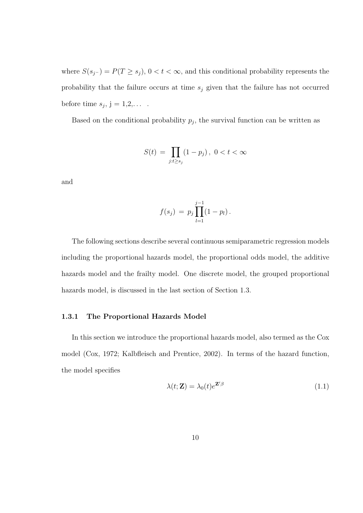where  $S(s_j-) = P(T \ge s_j)$ ,  $0 < t < \infty$ , and this conditional probability represents the probability that the failure occurs at time  $s_j$  given that the failure has not occurred before time  $s_j$ ,  $j = 1, 2, \ldots$ .

Based on the conditional probability  $p_j$ , the survival function can be written as

$$
S(t) = \prod_{j:t \ge s_j} (1 - p_j), \ 0 < t < \infty
$$

and

$$
f(s_j) = p_j \prod_{l=1}^{j-1} (1 - p_l).
$$

The following sections describe several continuous semiparametric regression models including the proportional hazards model, the proportional odds model, the additive hazards model and the frailty model. One discrete model, the grouped proportional hazards model, is discussed in the last section of Section 1.3.

#### 1.3.1 The Proportional Hazards Model

In this section we introduce the proportional hazards model, also termed as the Cox model (Cox, 1972; Kalbfleisch and Prentice, 2002). In terms of the hazard function, the model specifies

$$
\lambda(t; \mathbf{Z}) = \lambda_0(t)e^{\mathbf{Z}'\beta} \tag{1.1}
$$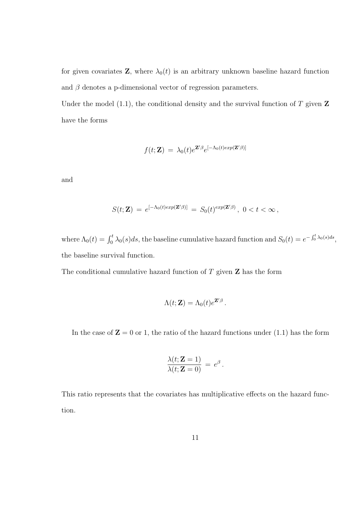for given covariates **Z**, where  $\lambda_0(t)$  is an arbitrary unknown baseline hazard function and  $\beta$  denotes a p-dimensional vector of regression parameters.

Under the model (1.1), the conditional density and the survival function of  $T$  given  $\mathbf Z$ have the forms

$$
f(t; \mathbf{Z}) = \lambda_0(t) e^{\mathbf{Z}'\beta} e^{[-\Lambda_0(t)exp(\mathbf{Z}'\beta)]}
$$

and

$$
S(t; \mathbf{Z}) = e^{[-\Lambda_0(t)exp(\mathbf{Z}'\beta)]} = S_0(t)^{exp(\mathbf{Z}'\beta)}, \ 0 < t < \infty,
$$

where  $\Lambda_0(t) = \int_0^t \lambda_0(s)ds$ , the baseline cumulative hazard function and  $S_0(t) = e^{-\int_0^t \lambda_0(s)ds}$ , the baseline survival function.

The conditional cumulative hazard function of  $T$  given  $Z$  has the form

$$
\Lambda(t; \mathbf{Z}) = \Lambda_0(t) e^{\mathbf{Z}'\beta}.
$$

In the case of  $\mathbf{Z} = 0$  or 1, the ratio of the hazard functions under (1.1) has the form

$$
\frac{\lambda(t; \mathbf{Z} = 1)}{\lambda(t; \mathbf{Z} = 0)} = e^{\beta}.
$$

This ratio represents that the covariates has multiplicative effects on the hazard function.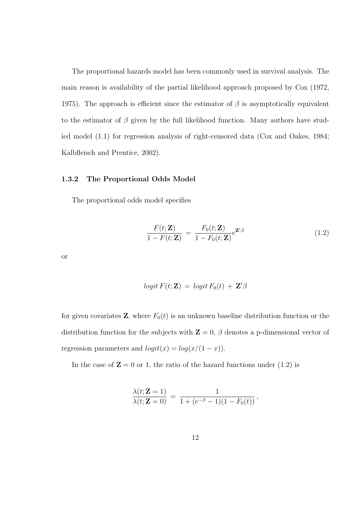The proportional hazards model has been commonly used in survival analysis. The main reason is availability of the partial likelihood approach proposed by Cox (1972, 1975). The approach is efficient since the estimator of  $\beta$  is asymptotically equivalent to the estimator of  $\beta$  given by the full likelihood function. Many authors have studied model (1.1) for regression analysis of right-censored data (Cox and Oakes, 1984; Kalbfleisch and Prentice, 2002).

#### 1.3.2 The Proportional Odds Model

The proportional odds model specifies

$$
\frac{F(t; \mathbf{Z})}{1 - F(t; \mathbf{Z})} = \frac{F_0(t; \mathbf{Z})}{1 - F_0(t; \mathbf{Z})} e^{\mathbf{Z}'\beta}
$$
(1.2)

or

$$
logit F(t; \mathbf{Z}) = logit F_0(t) + \mathbf{Z}'\beta
$$

for given covariates **Z**, where  $F_0(t)$  is an unknown baseline distribution function or the distribution function for the subjects with  $\mathbf{Z} = 0$ ,  $\beta$  denotes a p-dimensional vector of regression parameters and  $logit(x) = log(x/(1-x))$ .

In the case of  $\mathbf{Z} = 0$  or 1, the ratio of the hazard functions under (1.2) is

$$
\frac{\lambda(t; \mathbf{Z} = 1)}{\lambda(t; \mathbf{Z} = 0)} = \frac{1}{1 + (e^{-\beta} - 1)(1 - F_0(t))},
$$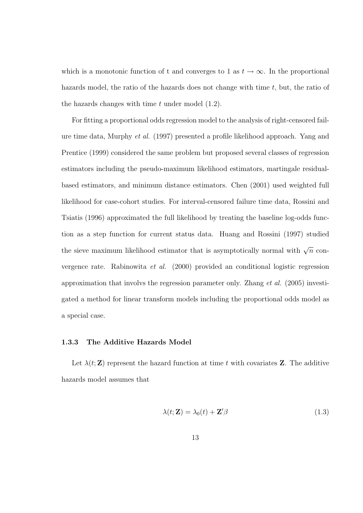which is a monotonic function of t and converges to 1 as  $t \to \infty$ . In the proportional hazards model, the ratio of the hazards does not change with time t, but, the ratio of the hazards changes with time  $t$  under model  $(1.2)$ .

For fitting a proportional odds regression model to the analysis of right-censored failure time data, Murphy et al. (1997) presented a profile likelihood approach. Yang and Prentice (1999) considered the same problem but proposed several classes of regression estimators including the pseudo-maximum likelihood estimators, martingale residualbased estimators, and minimum distance estimators. Chen (2001) used weighted full likelihood for case-cohort studies. For interval-censored failure time data, Rossini and Tsiatis (1996) approximated the full likelihood by treating the baseline log-odds function as a step function for current status data. Huang and Rossini (1997) studied the sieve maximum likelihood estimator that is asymptotically normal with  $\sqrt{n}$  convergence rate. Rabinowita et al. (2000) provided an conditional logistic regression approximation that involvs the regression parameter only. Zhang et al. (2005) investigated a method for linear transform models including the proportional odds model as a special case.

#### 1.3.3 The Additive Hazards Model

Let  $\lambda(t;\mathbf{Z})$  represent the hazard function at time t with covariates **Z**. The additive hazards model assumes that

$$
\lambda(t; \mathbf{Z}) = \lambda_0(t) + \mathbf{Z}'\beta \tag{1.3}
$$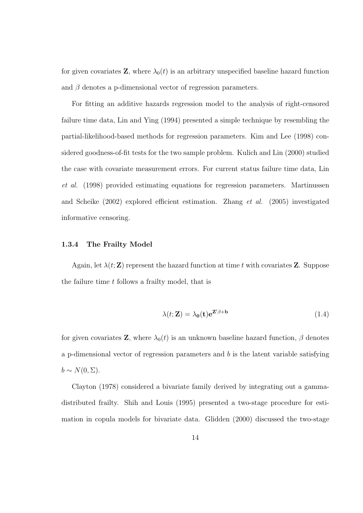for given covariates **Z**, where  $\lambda_0(t)$  is an arbitrary unspecified baseline hazard function and  $\beta$  denotes a p-dimensional vector of regression parameters.

For fitting an additive hazards regression model to the analysis of right-censored failure time data, Lin and Ying (1994) presented a simple technique by resembling the partial-likelihood-based methods for regression parameters. Kim and Lee (1998) considered goodness-of-fit tests for the two sample problem. Kulich and Lin (2000) studied the case with covariate measurement errors. For current status failure time data, Lin et al. (1998) provided estimating equations for regression parameters. Martinussen and Scheike (2002) explored efficient estimation. Zhang et al. (2005) investigated informative censoring.

#### 1.3.4 The Frailty Model

Again, let  $\lambda(t;\mathbf{Z})$  represent the hazard function at time t with covariates **Z**. Suppose the failure time t follows a frailty model, that is

$$
\lambda(t; \mathbf{Z}) = \lambda_0(\mathbf{t}) e^{\mathbf{Z}' \beta + \mathbf{b}} \tag{1.4}
$$

for given covariates **Z**, where  $\lambda_0(t)$  is an unknown baseline hazard function,  $\beta$  denotes a p-dimensional vector of regression parameters and  $b$  is the latent variable satisfying  $b \sim N(0, \Sigma).$ 

Clayton (1978) considered a bivariate family derived by integrating out a gammadistributed frailty. Shih and Louis (1995) presented a two-stage procedure for estimation in copula models for bivariate data. Glidden (2000) discussed the two-stage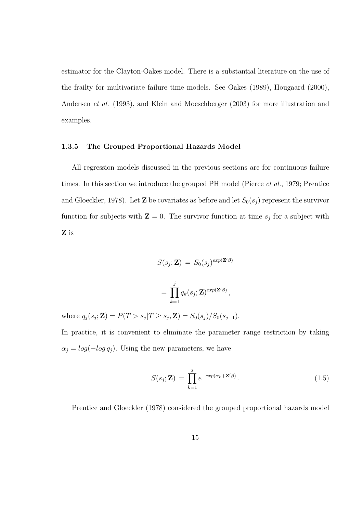estimator for the Clayton-Oakes model. There is a substantial literature on the use of the frailty for multivariate failure time models. See Oakes (1989), Hougaard (2000), Andersen *et al.* (1993), and Klein and Moeschberger (2003) for more illustration and examples.

#### 1.3.5 The Grouped Proportional Hazards Model

All regression models discussed in the previous sections are for continuous failure times. In this section we introduce the grouped PH model (Pierce *et al.*, 1979; Prentice and Gloeckler, 1978). Let **Z** be covariates as before and let  $S_0(s_j)$  represent the survivor function for subjects with  $\mathbf{Z} = 0$ . The survivor function at time  $s_j$  for a subject with Z is

$$
S(s_j; \mathbf{Z}) = S_0(s_j)^{exp(\mathbf{Z}'\beta)}
$$
  
= 
$$
\prod_{k=1}^j q_k(s_j; \mathbf{Z})^{exp(\mathbf{Z}'\beta)},
$$

where  $q_j(s_j; \mathbf{Z}) = P(T > s_j | T \ge s_j, \mathbf{Z}) = S_0(s_j) / S_0(s_{j-1}).$ In practice, it is convenient to eliminate the parameter range restriction by taking

 $\alpha_j = \log(-\log q_j)$ . Using the new parameters, we have

$$
S(s_j; \mathbf{Z}) = \prod_{k=1}^{j} e^{-\exp(\alpha_k + \mathbf{Z}'\beta)}.
$$
 (1.5)

Prentice and Gloeckler (1978) considered the grouped proportional hazards model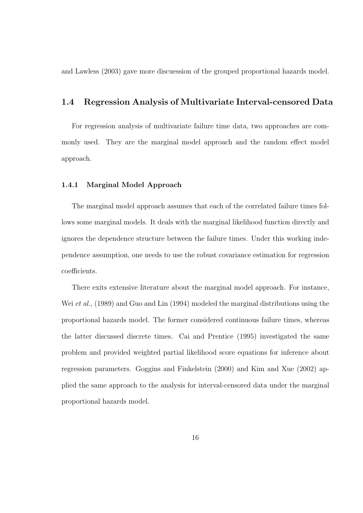and Lawless (2003) gave more discuession of the grouped proportional hazards model.

#### 1.4 Regression Analysis of Multivariate Interval-censored Data

For regression analysis of multivariate failure time data, two approaches are commonly used. They are the marginal model approach and the random effect model approach.

#### 1.4.1 Marginal Model Approach

The marginal model approach assumes that each of the correlated failure times follows some marginal models. It deals with the marginal likelihood function directly and ignores the dependence structure between the failure times. Under this working independence assumption, one needs to use the robust covariance estimation for regression coefficients.

There exits extensive literature about the marginal model approach. For instance, Wei *et al.*, (1989) and Guo and Lin (1994) modeled the marginal distributions using the proportional hazards model. The former considered continuous failure times, whereas the latter discussed discrete times. Cai and Prentice (1995) investigated the same problem and provided weighted partial likelihood score equations for inference about regression parameters. Goggins and Finkelstein (2000) and Kim and Xue (2002) applied the same approach to the analysis for interval-censored data under the marginal proportional hazards model.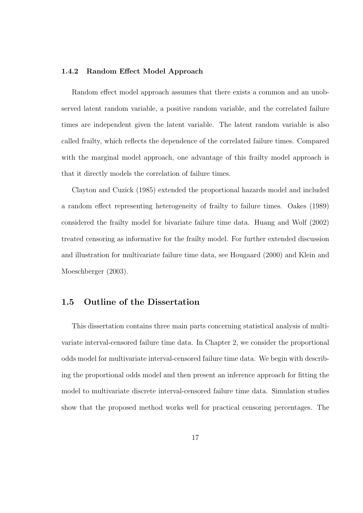#### 1.4.2 Random Effect Model Approach

Random effect model approach assumes that there exists a common and an unobserved latent random variable, a positive random variable, and the correlated failure times are independent given the latent variable. The latent random variable is also called frailty, which reflects the dependence of the correlated failure times. Compared with the marginal model approach, one advantage of this frailty model approach is that it directly models the correlation of failure times.

Clayton and Cuzick (1985) extended the proportional hazards model and included a random effect representing heterogeneity of frailty to failure times. Oakes (1989) considered the frailty model for bivariate failure time data. Huang and Wolf (2002) treated censoring as informative for the frailty model. For further extended discussion and illustration for multivariate failure time data, see Hougaard (2000) and Klein and Moeschberger (2003).

#### 1.5 Outline of the Dissertation

This dissertation contains three main parts concerning statistical analysis of multivariate interval-censored failure time data. In Chapter 2, we consider the proportional odds model for multivariate interval-censored failure time data. We begin with describing the proportional odds model and then present an inference approach for fitting the model to multivariate discrete interval-censored failure time data. Simulation studies show that the proposed method works well for practical censoring percentages. The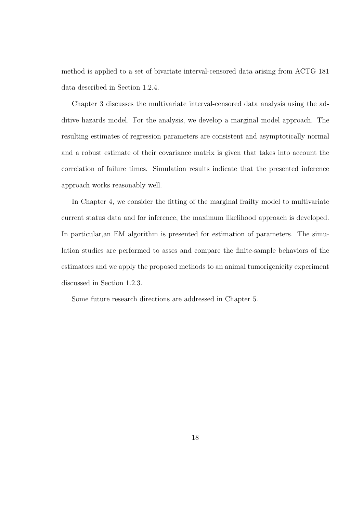method is applied to a set of bivariate interval-censored data arising from ACTG 181 data described in Section 1.2.4.

Chapter 3 discusses the multivariate interval-censored data analysis using the additive hazards model. For the analysis, we develop a marginal model approach. The resulting estimates of regression parameters are consistent and asymptotically normal and a robust estimate of their covariance matrix is given that takes into account the correlation of failure times. Simulation results indicate that the presented inference approach works reasonably well.

In Chapter 4, we consider the fitting of the marginal frailty model to multivariate current status data and for inference, the maximum likelihood approach is developed. In particular,an EM algorithm is presented for estimation of parameters. The simulation studies are performed to asses and compare the finite-sample behaviors of the estimators and we apply the proposed methods to an animal tumorigenicity experiment discussed in Section 1.2.3.

Some future research directions are addressed in Chapter 5.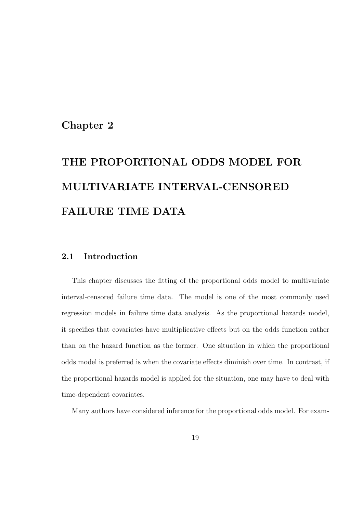### Chapter 2

# THE PROPORTIONAL ODDS MODEL FOR MULTIVARIATE INTERVAL-CENSORED FAILURE TIME DATA

#### 2.1 Introduction

This chapter discusses the fitting of the proportional odds model to multivariate interval-censored failure time data. The model is one of the most commonly used regression models in failure time data analysis. As the proportional hazards model, it specifies that covariates have multiplicative effects but on the odds function rather than on the hazard function as the former. One situation in which the proportional odds model is preferred is when the covariate effects diminish over time. In contrast, if the proportional hazards model is applied for the situation, one may have to deal with time-dependent covariates.

Many authors have considered inference for the proportional odds model. For exam-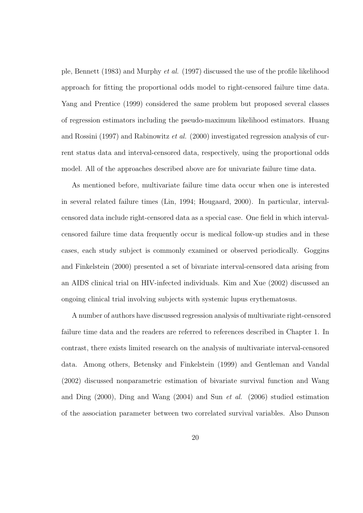ple, Bennett (1983) and Murphy et al. (1997) discussed the use of the profile likelihood approach for fitting the proportional odds model to right-censored failure time data. Yang and Prentice (1999) considered the same problem but proposed several classes of regression estimators including the pseudo-maximum likelihood estimators. Huang and Rossini (1997) and Rabinowitz et al. (2000) investigated regression analysis of current status data and interval-censored data, respectively, using the proportional odds model. All of the approaches described above are for univariate failure time data.

As mentioned before, multivariate failure time data occur when one is interested in several related failure times (Lin, 1994; Hougaard, 2000). In particular, intervalcensored data include right-censored data as a special case. One field in which intervalcensored failure time data frequently occur is medical follow-up studies and in these cases, each study subject is commonly examined or observed periodically. Goggins and Finkelstein (2000) presented a set of bivariate interval-censored data arising from an AIDS clinical trial on HIV-infected individuals. Kim and Xue (2002) discussed an ongoing clinical trial involving subjects with systemic lupus erythematosus.

A number of authors have discussed regression analysis of multivariate right-censored failure time data and the readers are referred to references described in Chapter 1. In contrast, there exists limited research on the analysis of multivariate interval-censored data. Among others, Betensky and Finkelstein (1999) and Gentleman and Vandal (2002) discussed nonparametric estimation of bivariate survival function and Wang and Ding  $(2000)$ , Ding and Wang  $(2004)$  and Sun *et al.*  $(2006)$  studied estimation of the association parameter between two correlated survival variables. Also Dunson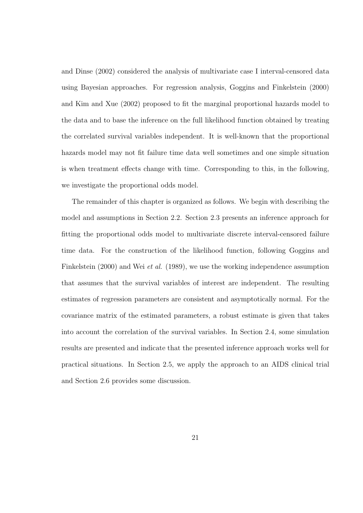and Dinse (2002) considered the analysis of multivariate case I interval-censored data using Bayesian approaches. For regression analysis, Goggins and Finkelstein (2000) and Kim and Xue (2002) proposed to fit the marginal proportional hazards model to the data and to base the inference on the full likelihood function obtained by treating the correlated survival variables independent. It is well-known that the proportional hazards model may not fit failure time data well sometimes and one simple situation is when treatment effects change with time. Corresponding to this, in the following, we investigate the proportional odds model.

The remainder of this chapter is organized as follows. We begin with describing the model and assumptions in Section 2.2. Section 2.3 presents an inference approach for fitting the proportional odds model to multivariate discrete interval-censored failure time data. For the construction of the likelihood function, following Goggins and Finkelstein (2000) and Wei *et al.* (1989), we use the working independence assumption that assumes that the survival variables of interest are independent. The resulting estimates of regression parameters are consistent and asymptotically normal. For the covariance matrix of the estimated parameters, a robust estimate is given that takes into account the correlation of the survival variables. In Section 2.4, some simulation results are presented and indicate that the presented inference approach works well for practical situations. In Section 2.5, we apply the approach to an AIDS clinical trial and Section 2.6 provides some discussion.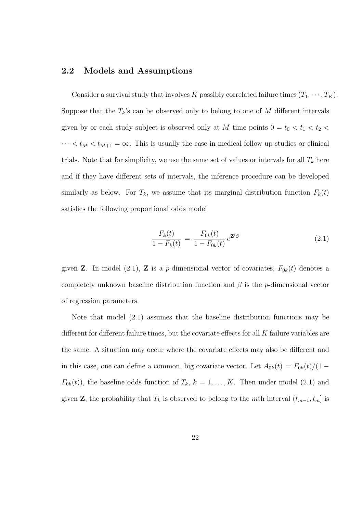#### 2.2 Models and Assumptions

Consider a survival study that involves K possibly correlated failure times  $(T_1, \dots, T_K)$ . Suppose that the  $T_k$ 's can be observed only to belong to one of M different intervals given by or each study subject is observed only at  $M$  time points  $0 = t_0 < t_1 < t_2 <$  $\cdots < t_M < t_{M+1} = \infty$ . This is usually the case in medical follow-up studies or clinical trials. Note that for simplicity, we use the same set of values or intervals for all  $T_k$  here and if they have different sets of intervals, the inference procedure can be developed similarly as below. For  $T_k$ , we assume that its marginal distribution function  $F_k(t)$ satisfies the following proportional odds model

$$
\frac{F_k(t)}{1 - F_k(t)} = \frac{F_{0k}(t)}{1 - F_{0k}(t)} e^{\mathbf{Z}'\beta}
$$
\n(2.1)

given **Z**. In model (2.1), **Z** is a *p*-dimensional vector of covariates,  $F_{0k}(t)$  denotes a completely unknown baseline distribution function and  $\beta$  is the p-dimensional vector of regression parameters.

Note that model (2.1) assumes that the baseline distribution functions may be different for different failure times, but the covariate effects for all  $K$  failure variables are the same. A situation may occur where the covariate effects may also be different and in this case, one can define a common, big covariate vector. Let  $A_{0k}(t) = F_{0k}(t)/(1 F_{0k}(t)$ , the baseline odds function of  $T_k$ ,  $k = 1, ..., K$ . Then under model (2.1) and given **Z**, the probability that  $T_k$  is observed to belong to the mth interval  $(t_{m-1}, t_m]$  is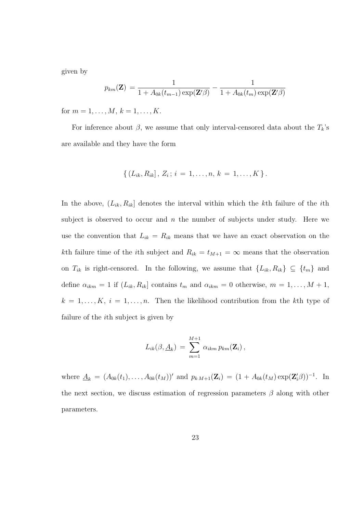given by

$$
p_{km}(\mathbf{Z}) = \frac{1}{1 + A_{0k}(t_{m-1}) \exp(\mathbf{Z}'\beta)} - \frac{1}{1 + A_{0k}(t_m) \exp(\mathbf{Z}'\beta)}
$$

for  $m = 1, ..., M, k = 1, ..., K$ .

For inference about  $\beta$ , we assume that only interval-censored data about the  $T_k$ 's are available and they have the form

$$
\{ (L_{ik}, R_{ik}], Z_i; i = 1, \ldots, n, k = 1, \ldots, K \}.
$$

In the above,  $(L_{ik}, R_{ik}]$  denotes the interval within which the kth failure of the *i*th subject is observed to occur and  $n$  the number of subjects under study. Here we use the convention that  $L_{ik} = R_{ik}$  means that we have an exact observation on the kth failure time of the *i*th subject and  $R_{ik} = t_{M+1} = \infty$  means that the observation on  $T_{ik}$  is right-censored. In the following, we assume that  $\{L_{ik}, R_{ik}\}\subseteq \{t_m\}$  and define  $\alpha_{ikm} = 1$  if  $(L_{ik}, R_{ik}]$  contains  $t_m$  and  $\alpha_{ikm} = 0$  otherwise,  $m = 1, ..., M + 1$ ,  $k = 1, \ldots, K, i = 1, \ldots, n$ . Then the likelihood contribution from the kth type of failure of the ith subject is given by

$$
L_{ik}(\beta, \underline{A}_k) = \sum_{m=1}^{M+1} \alpha_{ikm} p_{km}(\mathbf{Z}_i),
$$

where  $\underline{A}_k = (A_{0k}(t_1), \ldots, A_{0k}(t_M))'$  and  $p_{kM+1}(\mathbf{Z}_i) = (1 + A_{0k}(t_M) \exp(\mathbf{Z}'_i \beta))^{-1}$ . In the next section, we discuss estimation of regression parameters  $\beta$  along with other parameters.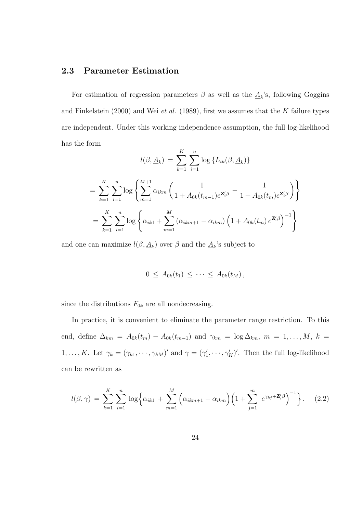#### 2.3 Parameter Estimation

For estimation of regression parameters  $\beta$  as well as the  $\underline{A}_k$ 's, following Goggins and Finkelstein (2000) and Wei et al. (1989), first we assumes that the K failure types are independent. Under this working independence assumption, the full log-likelihood has the form

$$
l(\beta, \underline{A}_k) = \sum_{k=1}^K \sum_{i=1}^n \log \{ L_{ik}(\beta, \underline{A}_k) \}
$$
  
= 
$$
\sum_{k=1}^K \sum_{i=1}^n \log \left\{ \sum_{m=1}^{M+1} \alpha_{ikm} \left( \frac{1}{1 + A_{0k}(t_{m-1})e^{\mathbf{Z}'_i \beta}} - \frac{1}{1 + A_{0k}(t_m)e^{\mathbf{Z}'_i \beta}} \right) \right\}
$$
  
= 
$$
\sum_{k=1}^K \sum_{i=1}^n \log \left\{ \alpha_{ik1} + \sum_{m=1}^M (\alpha_{ikm+1} - \alpha_{ikm}) \left( 1 + A_{0k}(t_m) e^{\mathbf{Z}'_i \beta} \right)^{-1} \right\}
$$

and one can maximize  $l(\beta, \underline{A}_k)$  over  $\beta$  and the  $\underline{A}_k$ 's subject to

$$
0 \leq A_{0k}(t_1) \leq \cdots \leq A_{0k}(t_M),
$$

since the distributions  $F_{0k}$  are all nondecreasing.

In practice, it is convenient to eliminate the parameter range restriction. To this end, define  $\Delta_{km} = A_{0k}(t_m) - A_{0k}(t_{m-1})$  and  $\gamma_{km} = \log \Delta_{km}$ ,  $m = 1, ..., M$ ,  $k =$  $1, \ldots, K$ . Let  $\gamma_k = (\gamma_{k1}, \cdots, \gamma_{kM})'$  and  $\gamma = (\gamma_1', \cdots, \gamma_K')'$ . Then the full log-likelihood can be rewritten as

$$
l(\beta, \gamma) = \sum_{k=1}^{K} \sum_{i=1}^{n} \log \left\{ \alpha_{ik1} + \sum_{m=1}^{M} \left( \alpha_{ikm+1} - \alpha_{ikm} \right) \left( 1 + \sum_{j=1}^{m} e^{\gamma_{kj} + \mathbf{Z}_{i}'\beta} \right)^{-1} \right\}.
$$
 (2.2)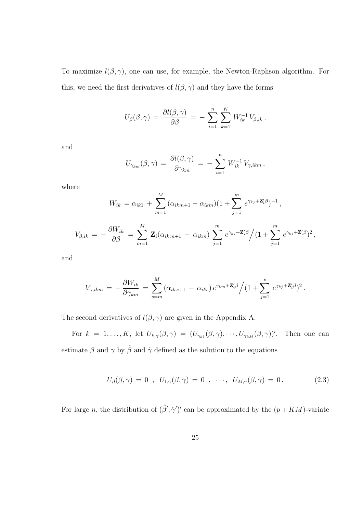To maximize  $l(\beta, \gamma)$ , one can use, for example, the Newton-Raphson algorithm. For this, we need the first derivatives of  $l(\beta, \gamma)$  and they have the forms

$$
U_{\beta}(\beta,\gamma) = \frac{\partial l(\beta,\gamma)}{\partial \beta} = -\sum_{i=1}^{n} \sum_{k=1}^{K} W_{ik}^{-1} V_{\beta,ik},
$$

and

$$
U_{\gamma_{km}}(\beta,\gamma) = \frac{\partial l(\beta,\gamma)}{\partial \gamma_{km}} = -\sum_{i=1}^n W_{ik}^{-1} V_{\gamma,ikm},
$$

where

$$
W_{ik} = \alpha_{ik1} + \sum_{m=1}^{M} (\alpha_{ikm+1} - \alpha_{ikm})(1 + \sum_{j=1}^{m} e^{\gamma_{kj} + \mathbf{Z}'_i \beta})^{-1},
$$
  

$$
V_{\beta,ik} = -\frac{\partial W_{ik}}{\partial \beta} = \sum_{m=1}^{M} \mathbf{Z}_i (\alpha_{ikm+1} - \alpha_{ikm}) \sum_{j=1}^{m} e^{\gamma_{kj} + \mathbf{Z}'_i \beta} / (1 + \sum_{j=1}^{m} e^{\gamma_{kj} + \mathbf{Z}'_i \beta})^2,
$$

and

$$
V_{\gamma,ikm} = -\frac{\partial W_{ik}}{\partial \gamma_{km}} = \sum_{s=m}^{M} (\alpha_{ik\,s+1} - \alpha_{iks}) e^{\gamma_{km} + \mathbf{Z}'_i \beta} / (1 + \sum_{j=1}^{s} e^{\gamma_{kj} + \mathbf{Z}'_i \beta})^2.
$$

The second derivatives of  $l(\beta, \gamma)$  are given in the Appendix A.

For  $k = 1, ..., K$ , let  $U_{k,\gamma}(\beta, \gamma) = (U_{\gamma_{k1}}(\beta, \gamma), \cdots, U_{\gamma_{kM}}(\beta, \gamma))'$ . Then one can estimate  $\beta$  and  $\gamma$  by  $\hat{\beta}$  and  $\hat{\gamma}$  defined as the solution to the equations

$$
U_{\beta}(\beta,\gamma) = 0 \; , \; U_{1,\gamma}(\beta,\gamma) = 0 \; , \; \cdots, \; U_{M,\gamma}(\beta,\gamma) = 0. \tag{2.3}
$$

For large n, the distribution of  $(\hat{\beta}', \hat{\gamma}')'$  can be approximated by the  $(p + KM)$ -variate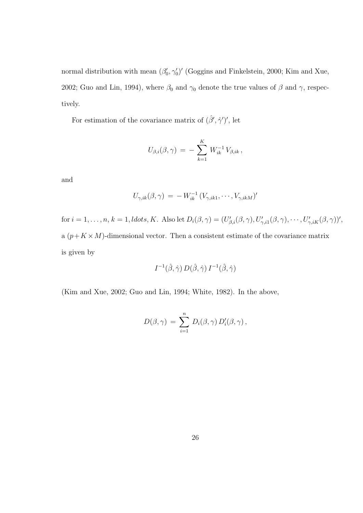normal distribution with mean  $(\beta'_0, \gamma'_0)'$  (Goggins and Finkelstein, 2000; Kim and Xue, 2002; Guo and Lin, 1994), where  $\beta_0$  and  $\gamma_0$  denote the true values of  $\beta$  and  $\gamma$ , respectively.

For estimation of the covariance matrix of  $(\hat{\beta}', \hat{\gamma}')'$ , let

$$
U_{\beta,i}(\beta,\gamma) \,=\, -\, \sum_{k=1}^K\, W^{-1}_{ik}\, V_{\beta,ik} \,,
$$

and

$$
U_{\gamma,ik}(\beta,\gamma) = -W_{ik}^{-1} (V_{\gamma,ik1},\cdots,V_{\gamma,ikM})'
$$

for  $i = 1, \ldots, n, k = 1$ , ldots, K. Also let  $D_i(\beta, \gamma) = (U'_{\beta,i}(\beta, \gamma), U'_{\gamma,i1}(\beta, \gamma), \cdots, U'_{\gamma,iK}(\beta, \gamma))'$ , a  $(p+K \times M)$ -dimensional vector. Then a consistent estimate of the covariance matrix is given by

$$
I^{-1}(\hat{\beta}, \hat{\gamma}) D(\hat{\beta}, \hat{\gamma}) I^{-1}(\hat{\beta}, \hat{\gamma})
$$

(Kim and Xue, 2002; Guo and Lin, 1994; White, 1982). In the above,

$$
D(\beta, \gamma) = \sum_{i=1}^n D_i(\beta, \gamma) D_i'(\beta, \gamma),
$$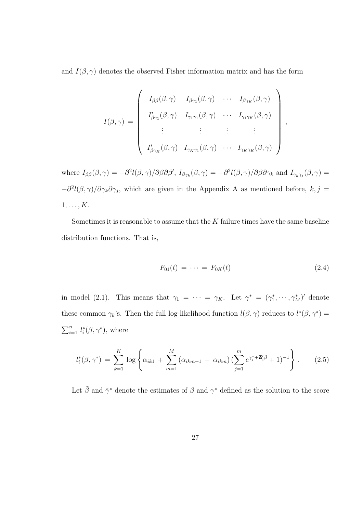and  $I(\beta, \gamma)$  denotes the observed Fisher information matrix and has the form

$$
I(\beta, \gamma) = \begin{pmatrix} I_{\beta\beta}(\beta, \gamma) & I_{\beta\gamma_1}(\beta, \gamma) & \cdots & I_{\beta\gamma_K}(\beta, \gamma) \\ I'_{\beta\gamma_1}(\beta, \gamma) & I_{\gamma_1\gamma_1}(\beta, \gamma) & \cdots & I_{\gamma_1\gamma_K}(\beta, \gamma) \\ \vdots & \vdots & \vdots & \vdots \\ I'_{\beta\gamma_K}(\beta, \gamma) & I_{\gamma_K\gamma_1}(\beta, \gamma) & \cdots & I_{\gamma_K\gamma_K}(\beta, \gamma) \end{pmatrix},
$$

where  $I_{\beta\beta}(\beta,\gamma) = -\partial^2 l(\beta,\gamma)/\partial\beta\partial\beta', I_{\beta\gamma_k}(\beta,\gamma) = -\partial^2 l(\beta,\gamma)/\partial\beta\partial\gamma_k$  and  $I_{\gamma_k\gamma_j}(\beta,\gamma) =$  $-\partial^2 l(\beta, \gamma)/\partial \gamma_k \partial \gamma_j$ , which are given in the Appendix A as mentioned before,  $k, j =$  $1, \ldots, K$ .

Sometimes it is reasonable to assume that the  $K$  failure times have the same baseline distribution functions. That is,

$$
F_{01}(t) = \dots = F_{0K}(t) \tag{2.4}
$$

in model (2.1). This means that  $\gamma_1 = \cdots = \gamma_K$ . Let  $\gamma^* = (\gamma_1^*, \cdots, \gamma_M^*)'$  denote these common  $\gamma_k$ 's. Then the full log-likelihood function  $l(\beta, \gamma)$  reduces to  $l^*(\beta, \gamma^*)$  =  $\sum_{n}$  $_{i=1}^n l_i^*(\beta, \gamma^*)$ , where

$$
l_i^*(\beta, \gamma^*) = \sum_{k=1}^K \log \left\{ \alpha_{ik1} + \sum_{m=1}^M \left( \alpha_{ikm+1} - \alpha_{ikm} \right) \left( \sum_{j=1}^m e^{\gamma_j^* + \mathbf{Z}_i^{\prime} \beta} + 1 \right)^{-1} \right\}.
$$
 (2.5)

Let  $\tilde{\beta}$  and  $\tilde{\gamma}^*$  denote the estimates of  $\beta$  and  $\gamma^*$  defined as the solution to the score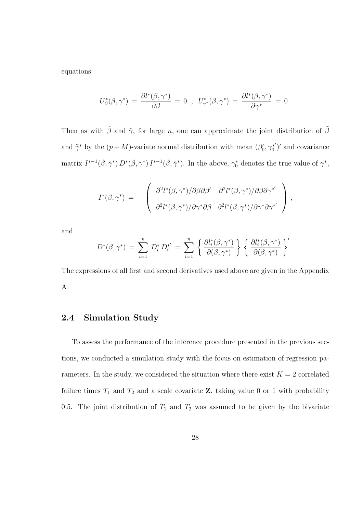equations

$$
U^*_{\beta}(\beta, \gamma^*) \,=\, \frac{\partial l^*(\beta, \gamma^*)}{\partial \beta}\,=\, 0 \;\;,\;\; U^*_{\gamma^*}(\beta, \gamma^*) \,=\, \frac{\partial l^*(\beta, \gamma^*)}{\partial \gamma^*} \,=\, 0\,.
$$

Then as with  $\hat{\beta}$  and  $\hat{\gamma}$ , for large n, one can approximate the joint distribution of  $\tilde{\beta}$ and  $\tilde{\gamma}^*$  by the  $(p+M)$ -variate normal distribution with mean  $(\beta'_0, \gamma_0^*')$  $\binom{x'}{0}$  and covariance matrix  $I^{*-1}(\tilde{\beta}, \tilde{\gamma}^*) D^*(\tilde{\beta}, \tilde{\gamma}^*) I^{*-1}(\tilde{\beta}, \tilde{\gamma}^*)$ . In the above,  $\gamma_0^*$  denotes the true value of  $\gamma^*$ ,

$$
I^*(\beta, \gamma^*) = -\left(\begin{array}{cc} \partial^2 l^*(\beta, \gamma^*)/\partial \beta \partial \beta' & \partial^2 l^*(\beta, \gamma^*)/\partial \beta \partial \gamma^{*'} \\ \partial^2 l^*(\beta, \gamma^*)/\partial \gamma^* \partial \beta & \partial^2 l^*(\beta, \gamma^*)/\partial \gamma^* \partial \gamma^{*'} \end{array}\right),
$$

and

$$
D^*(\beta, \gamma^*) = \sum_{i=1}^n D_i^* D_i^{*'} = \sum_{i=1}^n \left\{ \frac{\partial l_i^*(\beta, \gamma^*)}{\partial(\beta, \gamma^*)} \right\} \left\{ \frac{\partial l_i^*(\beta, \gamma^*)}{\partial(\beta, \gamma^*)} \right\}'.
$$

The expressions of all first and second derivatives used above are given in the Appendix A.

### 2.4 Simulation Study

To assess the performance of the inference procedure presented in the previous sections, we conducted a simulation study with the focus on estimation of regression parameters. In the study, we considered the situation where there exist  $K = 2$  correlated failure times  $T_1$  and  $T_2$  and a scale covariate **Z**, taking value 0 or 1 with probability 0.5. The joint distribution of  $T_1$  and  $T_2$  was assumed to be given by the bivariate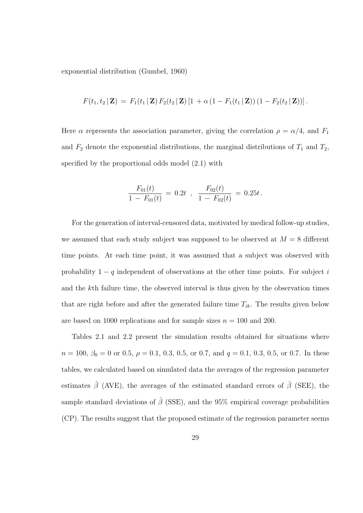exponential distribution (Gumbel, 1960)

$$
F(t_1, t_2 | \mathbf{Z}) = F_1(t_1 | \mathbf{Z}) F_2(t_2 | \mathbf{Z}) [1 + \alpha (1 - F_1(t_1 | \mathbf{Z})) (1 - F_2(t_2 | \mathbf{Z}))].
$$

Here  $\alpha$  represents the association parameter, giving the correlation  $\rho = \alpha/4$ , and  $F_1$ and  $F_2$  denote the exponential distributions, the marginal distributions of  $T_1$  and  $T_2$ , specified by the proportional odds model (2.1) with

$$
\frac{F_{01}(t)}{1 - F_{01}(t)} = 0.2t , \frac{F_{02}(t)}{1 - F_{02}(t)} = 0.25t.
$$

For the generation of interval-censored data, motivated by medical follow-up studies, we assumed that each study subject was supposed to be observed at  $M = 8$  different time points. At each time point, it was assumed that a subject was observed with probability  $1 - q$  independent of observations at the other time points. For subject i and the kth failure time, the observed interval is thus given by the observation times that are right before and after the generated failure time  $T_{ik}$ . The results given below are based on 1000 replications and for sample sizes  $n = 100$  and 200.

Tables 2.1 and 2.2 present the simulation results obtained for situations where  $n = 100, \beta_0 = 0$  or 0.5,  $\rho = 0.1, 0.3, 0.5,$  or 0.7, and  $q = 0.1, 0.3, 0.5,$  or 0.7. In these tables, we calculated based on simulated data the averages of the regression parameter estimates  $\hat{\beta}$  (AVE), the averages of the estimated standard errors of  $\hat{\beta}$  (SEE), the sample standard deviations of  $\hat{\beta}$  (SSE), and the 95% empirical coverage probabilities (CP). The results suggest that the proposed estimate of the regression parameter seems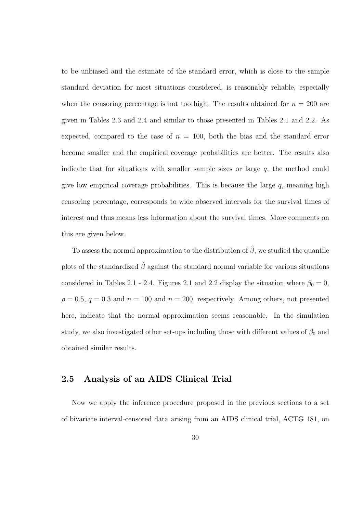to be unbiased and the estimate of the standard error, which is close to the sample standard deviation for most situations considered, is reasonably reliable, especially when the censoring percentage is not too high. The results obtained for  $n = 200$  are given in Tables 2.3 and 2.4 and similar to those presented in Tables 2.1 and 2.2. As expected, compared to the case of  $n = 100$ , both the bias and the standard error become smaller and the empirical coverage probabilities are better. The results also indicate that for situations with smaller sample sizes or large  $q$ , the method could give low empirical coverage probabilities. This is because the large  $q$ , meaning high censoring percentage, corresponds to wide observed intervals for the survival times of interest and thus means less information about the survival times. More comments on this are given below.

To assess the normal approximation to the distribution of  $\hat{\beta}$ , we studied the quantile plots of the standardized  $\hat{\beta}$  against the standard normal variable for various situations considered in Tables 2.1 - 2.4. Figures 2.1 and 2.2 display the situation where  $\beta_0 = 0$ ,  $\rho = 0.5, q = 0.3$  and  $n = 100$  and  $n = 200$ , respectively. Among others, not presented here, indicate that the normal approximation seems reasonable. In the simulation study, we also investigated other set-ups including those with different values of  $\beta_0$  and obtained similar results.

### 2.5 Analysis of an AIDS Clinical Trial

Now we apply the inference procedure proposed in the previous sections to a set of bivariate interval-censored data arising from an AIDS clinical trial, ACTG 181, on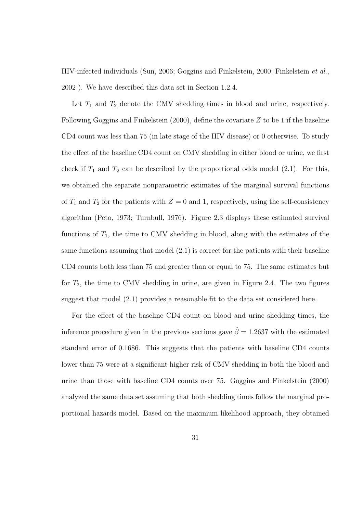HIV-infected individuals (Sun, 2006; Goggins and Finkelstein, 2000; Finkelstein et al., 2002 ). We have described this data set in Section 1.2.4.

Let  $T_1$  and  $T_2$  denote the CMV shedding times in blood and urine, respectively. Following Goggins and Finkelstein  $(2000)$ , define the covariate Z to be 1 if the baseline CD4 count was less than 75 (in late stage of the HIV disease) or 0 otherwise. To study the effect of the baseline CD4 count on CMV shedding in either blood or urine, we first check if  $T_1$  and  $T_2$  can be described by the proportional odds model (2.1). For this, we obtained the separate nonparametric estimates of the marginal survival functions of  $T_1$  and  $T_2$  for the patients with  $Z = 0$  and 1, respectively, using the self-consistency algorithm (Peto, 1973; Turnbull, 1976). Figure 2.3 displays these estimated survival functions of  $T_1$ , the time to CMV shedding in blood, along with the estimates of the same functions assuming that model (2.1) is correct for the patients with their baseline CD4 counts both less than 75 and greater than or equal to 75. The same estimates but for  $T_2$ , the time to CMV shedding in urine, are given in Figure 2.4. The two figures suggest that model (2.1) provides a reasonable fit to the data set considered here.

For the effect of the baseline CD4 count on blood and urine shedding times, the inference procedure given in the previous sections gave  $\hat{\beta} = 1.2637$  with the estimated standard error of 0.1686. This suggests that the patients with baseline CD4 counts lower than 75 were at a significant higher risk of CMV shedding in both the blood and urine than those with baseline CD4 counts over 75. Goggins and Finkelstein (2000) analyzed the same data set assuming that both shedding times follow the marginal proportional hazards model. Based on the maximum likelihood approach, they obtained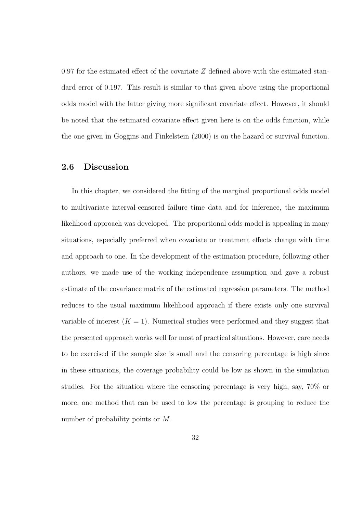0.97 for the estimated effect of the covariate  $Z$  defined above with the estimated standard error of 0.197. This result is similar to that given above using the proportional odds model with the latter giving more significant covariate effect. However, it should be noted that the estimated covariate effect given here is on the odds function, while the one given in Goggins and Finkelstein (2000) is on the hazard or survival function.

### 2.6 Discussion

In this chapter, we considered the fitting of the marginal proportional odds model to multivariate interval-censored failure time data and for inference, the maximum likelihood approach was developed. The proportional odds model is appealing in many situations, especially preferred when covariate or treatment effects change with time and approach to one. In the development of the estimation procedure, following other authors, we made use of the working independence assumption and gave a robust estimate of the covariance matrix of the estimated regression parameters. The method reduces to the usual maximum likelihood approach if there exists only one survival variable of interest  $(K = 1)$ . Numerical studies were performed and they suggest that the presented approach works well for most of practical situations. However, care needs to be exercised if the sample size is small and the censoring percentage is high since in these situations, the coverage probability could be low as shown in the simulation studies. For the situation where the censoring percentage is very high, say, 70% or more, one method that can be used to low the percentage is grouping to reduce the number of probability points or M.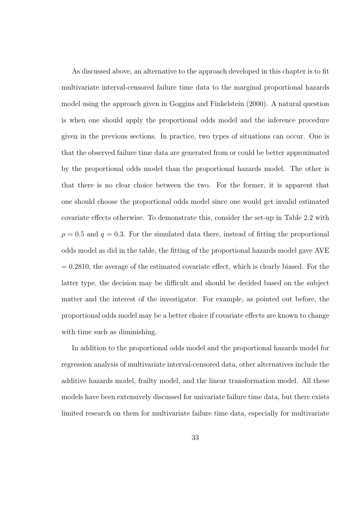As discussed above, an alternative to the approach developed in this chapter is to fit multivariate interval-censored failure time data to the marginal proportional hazards model using the approach given in Goggins and Finkelstein (2000). A natural question is when one should apply the proportional odds model and the inference procedure given in the previous sections. In practice, two types of situations can occur. One is that the observed failure time data are generated from or could be better approximated by the proportional odds model than the proportional hazards model. The other is that there is no clear choice between the two. For the former, it is apparent that one should choose the proportional odds model since one would get invalid estimated covariate effects otherwise. To demonstrate this, consider the set-up in Table 2.2 with  $\rho = 0.5$  and  $q = 0.3$ . For the simulated data there, instead of fitting the proportional odds model as did in the table, the fitting of the proportional hazards model gave AVE  $= 0.2810$ , the average of the estimated covariate effect, which is clearly biased. For the latter type, the decision may be difficult and should be decided based on the subject matter and the interest of the investigator. For example, as pointed out before, the proportional odds model may be a better choice if covariate effects are known to change with time such as diminishing.

In addition to the proportional odds model and the proportional hazards model for regression analysis of multivariate interval-censored data, other alternatives include the additive hazards model, frailty model, and the linear transformation model. All these models have been extensively discussed for univariate failure time data, but there exists limited research on them for multivariate failure time data, especially for multivariate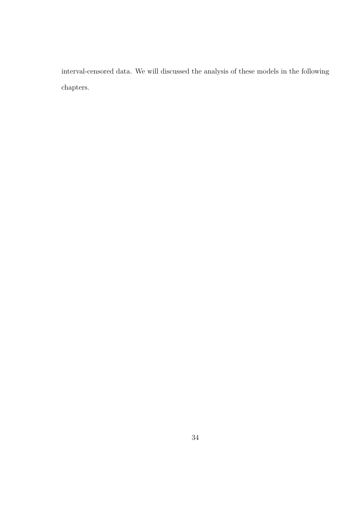interval-censored data. We will discussed the analysis of these models in the following chapters.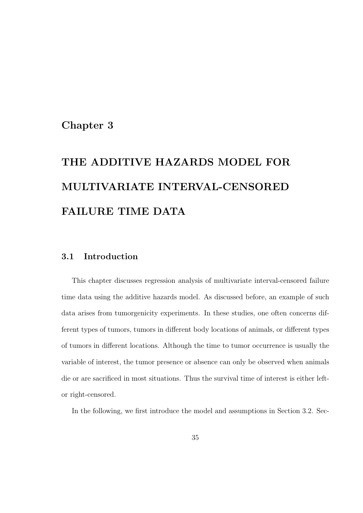## Chapter 3

# THE ADDITIVE HAZARDS MODEL FOR MULTIVARIATE INTERVAL-CENSORED FAILURE TIME DATA

### 3.1 Introduction

This chapter discusses regression analysis of multivariate interval-censored failure time data using the additive hazards model. As discussed before, an example of such data arises from tumorgenicity experiments. In these studies, one often concerns different types of tumors, tumors in different body locations of animals, or different types of tumors in different locations. Although the time to tumor occurrence is usually the variable of interest, the tumor presence or absence can only be observed when animals die or are sacrificed in most situations. Thus the survival time of interest is either leftor right-censored.

In the following, we first introduce the model and assumptions in Section 3.2. Sec-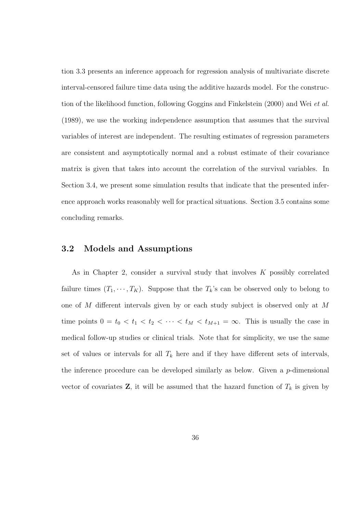tion 3.3 presents an inference approach for regression analysis of multivariate discrete interval-censored failure time data using the additive hazards model. For the construction of the likelihood function, following Goggins and Finkelstein (2000) and Wei et al. (1989), we use the working independence assumption that assumes that the survival variables of interest are independent. The resulting estimates of regression parameters are consistent and asymptotically normal and a robust estimate of their covariance matrix is given that takes into account the correlation of the survival variables. In Section 3.4, we present some simulation results that indicate that the presented inference approach works reasonably well for practical situations. Section 3.5 contains some concluding remarks.

### 3.2 Models and Assumptions

As in Chapter 2, consider a survival study that involves  $K$  possibly correlated failure times  $(T_1, \dots, T_K)$ . Suppose that the  $T_k$ 's can be observed only to belong to one of M different intervals given by or each study subject is observed only at M time points  $0 = t_0 < t_1 < t_2 < \cdots < t_M < t_{M+1} = \infty$ . This is usually the case in medical follow-up studies or clinical trials. Note that for simplicity, we use the same set of values or intervals for all  $T_k$  here and if they have different sets of intervals, the inference procedure can be developed similarly as below. Given a  $p$ -dimensional vector of covariates  $\mathbf{Z}$ , it will be assumed that the hazard function of  $T_k$  is given by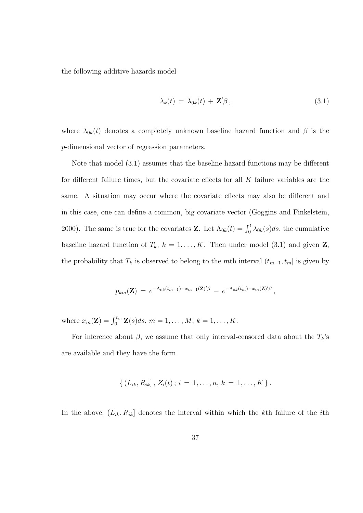the following additive hazards model

$$
\lambda_k(t) = \lambda_{0k}(t) + \mathbf{Z}'\boldsymbol{\beta}, \qquad (3.1)
$$

where  $\lambda_{0k}(t)$  denotes a completely unknown baseline hazard function and  $\beta$  is the p-dimensional vector of regression parameters.

Note that model (3.1) assumes that the baseline hazard functions may be different for different failure times, but the covariate effects for all  $K$  failure variables are the same. A situation may occur where the covariate effects may also be different and in this case, one can define a common, big covariate vector (Goggins and Finkelstein, 2000). The same is true for the covariates **Z**. Let  $\Lambda_{0k}(t) = \int_0^t \lambda_{0k}(s)ds$ , the cumulative baseline hazard function of  $T_k$ ,  $k = 1, ..., K$ . Then under model (3.1) and given **Z**, the probability that  $T_k$  is observed to belong to the mth interval  $(t_{m-1}, t_m]$  is given by

$$
p_{km}(\mathbf{Z}) = e^{-\Lambda_{0k}(t_{m-1}) - x_{m-1}(\mathbf{Z})'\beta} - e^{-\Lambda_{0k}(t_m) - x_m(\mathbf{Z})'\beta},
$$

where  $x_m(\mathbf{Z}) = \int_0^{t_m} \mathbf{Z}(s) ds, m = 1, ..., M, k = 1, ..., K$ .

For inference about  $\beta$ , we assume that only interval-censored data about the  $T_k$ 's are available and they have the form

$$
\{ (L_{ik}, R_{ik}), Z_i(t); i = 1, \ldots, n, k = 1, \ldots, K \}.
$$

In the above,  $(L_{ik}, R_{ik}]$  denotes the interval within which the kth failure of the *i*th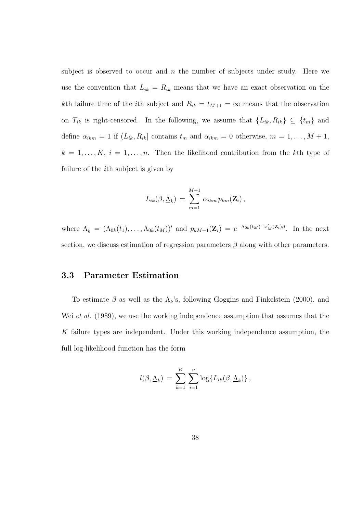subject is observed to occur and  $n$  the number of subjects under study. Here we use the convention that  $L_{ik} = R_{ik}$  means that we have an exact observation on the kth failure time of the *i*th subject and  $R_{ik} = t_{M+1} = \infty$  means that the observation on  $T_{ik}$  is right-censored. In the following, we assume that  $\{L_{ik}, R_{ik}\}\subseteq \{t_m\}$  and define  $\alpha_{ikm} = 1$  if  $(L_{ik}, R_{ik}]$  contains  $t_m$  and  $\alpha_{ikm} = 0$  otherwise,  $m = 1, ..., M + 1$ ,  $k = 1, \ldots, K, i = 1, \ldots, n$ . Then the likelihood contribution from the kth type of failure of the ith subject is given by

$$
L_{ik}(\beta, \underline{\Lambda}_k) = \sum_{m=1}^{M+1} \alpha_{ikm} p_{km}(\mathbf{Z}_i),
$$

where  $\underline{\Lambda}_k = (\Lambda_{0k}(t_1), \ldots, \Lambda_{0k}(t_M))'$  and  $p_{kM+1}(\mathbf{Z}_i) = e^{-\Lambda_{0k}(t_M) - x'_M(\mathbf{Z}_i)\beta}$ . In the next section, we discuss estimation of regression parameters  $\beta$  along with other parameters.

### 3.3 Parameter Estimation

To estimate  $\beta$  as well as the  $\underline{\Lambda}_k$ 's, following Goggins and Finkelstein (2000), and Wei *et al.* (1989), we use the working independence assumption that assumes that the K failure types are independent. Under this working independence assumption, the full log-likelihood function has the form

$$
l(\beta, \underline{\Lambda}_k) = \sum_{k=1}^K \sum_{i=1}^n \log \{ L_{ik}(\beta, \underline{\Lambda}_k) \},
$$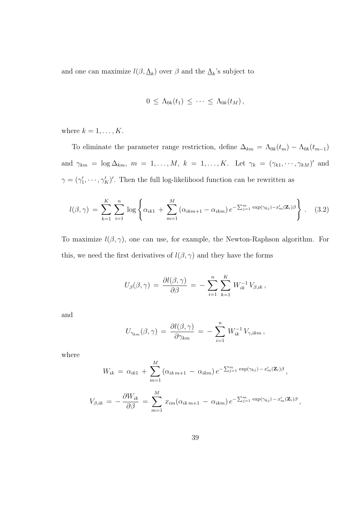and one can maximize  $l(\beta, \underline{\Lambda}_k)$  over  $\beta$  and the  $\underline{\Lambda}_k$ 's subject to

$$
0 \leq \Lambda_{0k}(t_1) \leq \cdots \leq \Lambda_{0k}(t_M),
$$

where  $k = 1, \ldots, K$ .

To eliminate the parameter range restriction, define  $\Delta_{km} = \Lambda_{0k}(t_m) - \Lambda_{0k}(t_{m-1})$ and  $\gamma_{km} = \log \Delta_{km}$ ,  $m = 1, \ldots, M$ ,  $k = 1, \ldots, K$ . Let  $\gamma_k = (\gamma_{k1}, \cdots, \gamma_{kM})'$  and  $\gamma = (\gamma_1', \dots, \gamma_K')'$ . Then the full log-likelihood function can be rewritten as

$$
l(\beta, \gamma) = \sum_{k=1}^{K} \sum_{i=1}^{n} \log \left\{ \alpha_{ik1} + \sum_{m=1}^{M} \left( \alpha_{ikm+1} - \alpha_{ikm} \right) e^{-\sum_{j=1}^{m} \exp(\gamma_{kj}) - x'_{m}(\mathbf{Z}_{i})\beta} \right\}.
$$
 (3.2)

To maximize  $l(\beta, \gamma)$ , one can use, for example, the Newton-Raphson algorithm. For this, we need the first derivatives of  $l(\beta, \gamma)$  and they have the forms

$$
U_{\beta}(\beta,\gamma) = \frac{\partial l(\beta,\gamma)}{\partial \beta} = - \sum_{i=1}^{n} \sum_{k=1}^{K} W_{ik}^{-1} V_{\beta,ik},
$$

and

$$
U_{\gamma_{km}}(\beta,\gamma) = \frac{\partial l(\beta,\gamma)}{\partial \gamma_{km}} = -\sum_{i=1}^n W_{ik}^{-1} V_{\gamma,ikm},
$$

where

$$
W_{ik} = \alpha_{ik1} + \sum_{m=1}^{M} (\alpha_{ikm+1} - \alpha_{ikm}) e^{-\sum_{j=1}^{m} \exp(\gamma_{kj}) - x'_{m}(\mathbf{Z}_{i})\beta},
$$
  

$$
V_{\beta,ik} = -\frac{\partial W_{ik}}{\partial \beta} = \sum_{m=1}^{M} x_{im} (\alpha_{ikm+1} - \alpha_{ikm}) e^{-\sum_{j=1}^{m} \exp(\gamma_{kj}) - x'_{m}(\mathbf{Z}_{i})\beta}
$$

,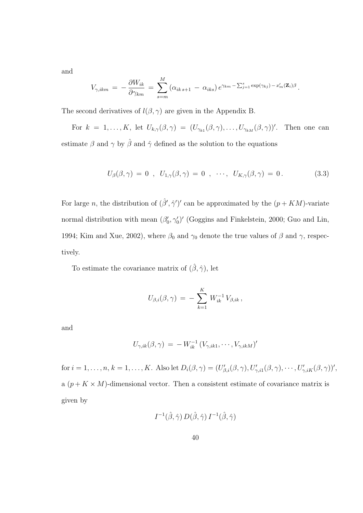and

$$
V_{\gamma,ikm} = -\frac{\partial W_{ik}}{\partial \gamma_{km}} = \sum_{s=m}^{M} (\alpha_{ik\,s+1} - \alpha_{iks}) e^{\gamma_{km} - \sum_{j=1}^{s} \exp(\gamma_{kj}) - x'_{m}(\mathbf{Z}_{i})\beta}.
$$

The second derivatives of  $l(\beta, \gamma)$  are given in the Appendix B.

For  $k = 1, ..., K$ , let  $U_{k,\gamma}(\beta, \gamma) = (U_{\gamma_{k1}}(\beta, \gamma), ..., U_{\gamma_{kM}}(\beta, \gamma))'$ . Then one can estimate  $\beta$  and  $\gamma$  by  $\hat{\beta}$  and  $\hat{\gamma}$  defined as the solution to the equations

$$
U_{\beta}(\beta,\gamma) = 0 \; , \; U_{1,\gamma}(\beta,\gamma) = 0 \; , \; \cdots, \; U_{K,\gamma}(\beta,\gamma) = 0. \tag{3.3}
$$

For large n, the distribution of  $(\hat{\beta}', \hat{\gamma}')'$  can be approximated by the  $(p + KM)$ -variate normal distribution with mean  $(\beta'_0, \gamma'_0)'$  (Goggins and Finkelstein, 2000; Guo and Lin, 1994; Kim and Xue, 2002), where  $\beta_0$  and  $\gamma_0$  denote the true values of  $\beta$  and  $\gamma$ , respectively.

To estimate the covariance matrix of  $(\hat{\beta},\hat{\gamma}),$  let

$$
U_{\beta,i}(\beta,\gamma) = -\sum_{k=1}^K W_{ik}^{-1} V_{\beta,ik},
$$

and

$$
U_{\gamma,ik}(\beta,\gamma) = -W_{ik}^{-1} (V_{\gamma,ik1},\cdots,V_{\gamma,ikM})'
$$

for  $i = 1, \ldots, n, k = 1, \ldots, K$ . Also let  $D_i(\beta, \gamma) = (U'_{\beta,i}(\beta, \gamma), U'_{\gamma,i1}(\beta, \gamma), \cdots, U'_{\gamma,iK}(\beta, \gamma))'$ , a  $(p+K\times M)$ -dimensional vector. Then a consistent estimate of covariance matrix is given by

$$
I^{-1}(\hat{\beta}, \hat{\gamma}) D(\hat{\beta}, \hat{\gamma}) I^{-1}(\hat{\beta}, \hat{\gamma})
$$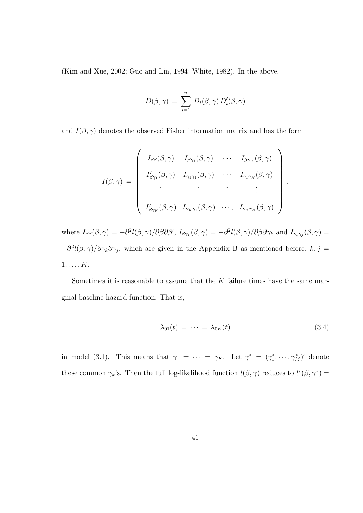(Kim and Xue, 2002; Guo and Lin, 1994; White, 1982). In the above,

$$
D(\beta, \gamma) = \sum_{i=1}^{n} D_i(\beta, \gamma) D_i'(\beta, \gamma)
$$

and  $I(\beta, \gamma)$  denotes the observed Fisher information matrix and has the form

$$
I(\beta, \gamma) = \begin{pmatrix} I_{\beta\beta}(\beta, \gamma) & I_{\beta\gamma_1}(\beta, \gamma) & \cdots & I_{\beta\gamma_K}(\beta, \gamma) \\ I'_{\beta\gamma_1}(\beta, \gamma) & I_{\gamma_1\gamma_1}(\beta, \gamma) & \cdots & I_{\gamma_1\gamma_K}(\beta, \gamma) \\ \vdots & \vdots & \vdots & \vdots \\ I'_{\beta\gamma_K}(\beta, \gamma) & I_{\gamma_K\gamma_1}(\beta, \gamma) & \cdots & I_{\gamma_K\gamma_K}(\beta, \gamma) \end{pmatrix}
$$

where  $I_{\beta\beta}(\beta,\gamma) = -\partial^2 l(\beta,\gamma)/\partial\beta\partial\beta', I_{\beta\gamma_k}(\beta,\gamma) = -\partial^2 l(\beta,\gamma)/\partial\beta\partial\gamma_k$  and  $I_{\gamma_k\gamma_j}(\beta,\gamma) =$  $-\partial^2 l(\beta, \gamma)/\partial \gamma_k \partial \gamma_j$ , which are given in the Appendix B as mentioned before,  $k, j =$  $1, \ldots, K$ .

Sometimes it is reasonable to assume that the  $K$  failure times have the same marginal baseline hazard function. That is,

$$
\lambda_{01}(t) = \dots = \lambda_{0K}(t) \tag{3.4}
$$

,

in model (3.1). This means that  $\gamma_1 = \cdots = \gamma_K$ . Let  $\gamma^* = (\gamma_1^*, \cdots, \gamma_M^*)'$  denote these common  $\gamma_k$ 's. Then the full log-likelihood function  $l(\beta, \gamma)$  reduces to  $l^*(\beta, \gamma^*)$  =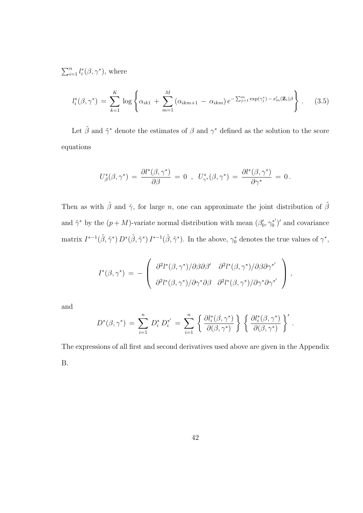$\sum_{n}$  $_{i=1}^n l_i^*(\beta, \gamma^*)$ , where

$$
l_i^*(\beta, \gamma^*) = \sum_{k=1}^K \log \left\{ \alpha_{ik1} + \sum_{m=1}^M (\alpha_{ikm+1} - \alpha_{ikm}) e^{-\sum_{j=1}^m \exp(\gamma_j^*) - x_m'(\mathbf{Z}_i)\beta} \right\}.
$$
 (3.5)

Let  $\tilde{\beta}$  and  $\tilde{\gamma}^*$  denote the estimates of  $\beta$  and  $\gamma^*$  defined as the solution to the score equations

$$
U^*_\beta(\beta, \gamma^*) \,=\, \frac{\partial l^*(\beta, \gamma^*)}{\partial \beta}\,=\, 0 \;\;,\;\; U^*_{\gamma^*}(\beta, \gamma^*) \,=\, \frac{\partial l^*(\beta, \gamma^*)}{\partial \gamma^*} \,=\, 0\,.
$$

Then as with  $\hat{\beta}$  and  $\hat{\gamma}$ , for large n, one can approximate the joint distribution of  $\tilde{\beta}$ and  $\tilde{\gamma}^*$  by the  $(p+M)$ -variate normal distribution with mean  $(\beta'_0, \gamma_0^*')$  $\binom{*}{0}'$  and covariance matrix  $I^{*-1}(\tilde{\beta}, \tilde{\gamma}^*) D^*(\tilde{\beta}, \tilde{\gamma}^*) I^{*-1}(\tilde{\beta}, \tilde{\gamma}^*)$ . In the above,  $\gamma_0^*$  denotes the true values of  $\gamma^*$ ,

$$
I^*(\beta, \gamma^*) = -\left(\begin{array}{cc} \partial^2 l^*(\beta, \gamma^*)/\partial \beta \partial \beta' & \partial^2 l^*(\beta, \gamma^*)/\partial \beta \partial \gamma^{*'} \\ \partial^2 l^*(\beta, \gamma^*)/\partial \gamma^* \partial \beta & \partial^2 l^*(\beta, \gamma^*)/\partial \gamma^* \partial \gamma^{*'} \end{array}\right),
$$

and

$$
D^*(\beta, \gamma^*) = \sum_{i=1}^n D_i^* D_i^{*'} = \sum_{i=1}^n \left\{ \frac{\partial l_i^*(\beta, \gamma^*)}{\partial(\beta, \gamma^*)} \right\} \left\{ \frac{\partial l_i^*(\beta, \gamma^*)}{\partial(\beta, \gamma^*)} \right\}'.
$$

The expressions of all first and second derivatives used above are given in the Appendix B.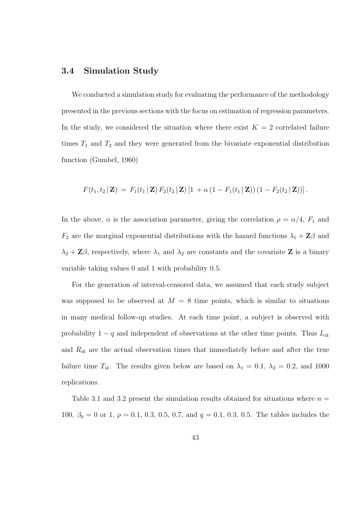### 3.4 Simulation Study

We conducted a simulation study for evaluating the performance of the methodology presented in the previous sections with the focus on estimation of regression parameters. In the study, we considered the situation where there exist  $K = 2$  correlated failure times  $T_1$  and  $T_2$  and they were generated from the bivariate exponential distribution function (Gumbel, 1960)

$$
F(t_1, t_2 | \mathbf{Z}) = F_1(t_1 | \mathbf{Z}) F_2(t_2 | \mathbf{Z}) [1 + \alpha (1 - F_1(t_1 | \mathbf{Z})) (1 - F_2(t_2 | \mathbf{Z}))].
$$

In the above,  $\alpha$  is the association parameter, giving the correlation  $\rho = \alpha/4$ ,  $F_1$  and  $F_2$  are the marginal exponential distributions with the hazard functions  $\lambda_1 + \mathbf{Z}\beta$  and  $\lambda_2 + \mathbf{Z}\beta$ , respectively, where  $\lambda_1$  and  $\lambda_2$  are constants and the covariate **Z** is a binary variable taking values 0 and 1 with probability 0.5.

For the generation of interval-censored data, we assumed that each study subject was supposed to be observed at  $M = 8$  time points, which is similar to situations in many medical follow-up studies. At each time point, a subject is observed with probability  $1 - q$  and independent of observations at the other time points. Thus  $L_{ik}$ and  $R_{ik}$  are the actual observation times that immediately before and after the true failure time  $T_{ik}$ . The results given below are based on  $\lambda_1 = 0.1$ ,  $\lambda_2 = 0.2$ , and 1000 replications.

Table 3.1 and 3.2 present the simulation results obtained for situations where  $n =$ 100,  $\beta_0 = 0$  or 1,  $\rho = 0.1$ , 0.3, 0.5, 0.7, and  $q = 0.1$ , 0.3, 0.5. The tables includes the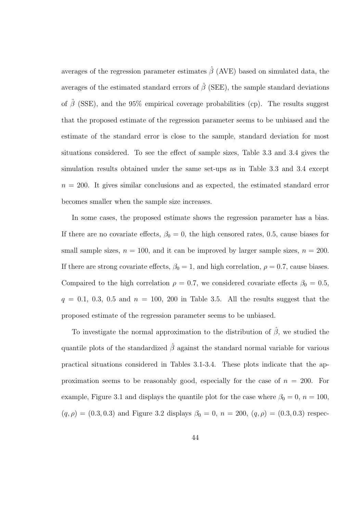averages of the regression parameter estimates  $\hat{\beta}$  (AVE) based on simulated data, the averages of the estimated standard errors of  $\hat{\beta}$  (SEE), the sample standard deviations of  $\hat{\beta}$  (SSE), and the 95% empirical coverage probabilities (cp). The results suggest that the proposed estimate of the regression parameter seems to be unbiased and the estimate of the standard error is close to the sample, standard deviation for most situations considered. To see the effect of sample sizes, Table 3.3 and 3.4 gives the simulation results obtained under the same set-ups as in Table 3.3 and 3.4 except  $n = 200$ . It gives similar conclusions and as expected, the estimated standard error becomes smaller when the sample size increases.

In some cases, the proposed estimate shows the regression parameter has a bias. If there are no covariate effects,  $\beta_0 = 0$ , the high censored rates, 0.5, cause biases for small sample sizes,  $n = 100$ , and it can be improved by larger sample sizes,  $n = 200$ . If there are strong covariate effects,  $\beta_0 = 1$ , and high correlation,  $\rho = 0.7$ , cause biases. Compaired to the high correlation  $\rho = 0.7$ , we considered covariate effects  $\beta_0 = 0.5$ ,  $q = 0.1, 0.3, 0.5$  and  $n = 100, 200$  in Table 3.5. All the results suggest that the proposed estimate of the regression parameter seems to be unbiased.

To investigate the normal approximation to the distribution of  $\hat{\beta}$ , we studied the quantile plots of the standardized  $\hat{\beta}$  against the standard normal variable for various practical situations considered in Tables 3.1-3.4. These plots indicate that the approximation seems to be reasonably good, especially for the case of  $n = 200$ . For example, Figure 3.1 and displays the quantile plot for the case where  $\beta_0 = 0$ ,  $n = 100$ ,  $(q, \rho) = (0.3, 0.3)$  and Figure 3.2 displays  $\beta_0 = 0$ ,  $n = 200$ ,  $(q, \rho) = (0.3, 0.3)$  respec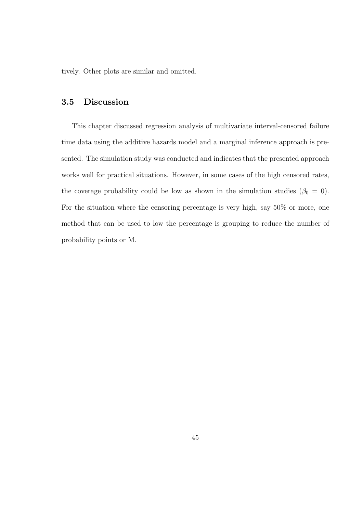tively. Other plots are similar and omitted.

### 3.5 Discussion

This chapter discussed regression analysis of multivariate interval-censored failure time data using the additive hazards model and a marginal inference approach is presented. The simulation study was conducted and indicates that the presented approach works well for practical situations. However, in some cases of the high censored rates, the coverage probability could be low as shown in the simulation studies ( $\beta_0 = 0$ ). For the situation where the censoring percentage is very high, say 50% or more, one method that can be used to low the percentage is grouping to reduce the number of probability points or M.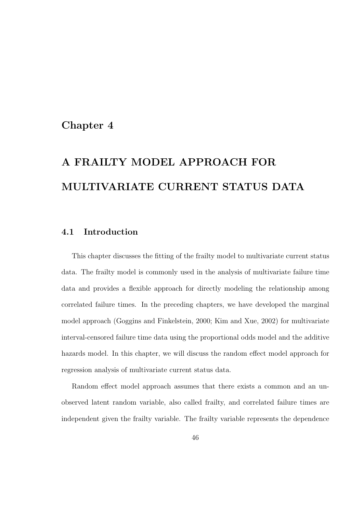### Chapter 4

## A FRAILTY MODEL APPROACH FOR MULTIVARIATE CURRENT STATUS DATA

### 4.1 Introduction

This chapter discusses the fitting of the frailty model to multivariate current status data. The frailty model is commonly used in the analysis of multivariate failure time data and provides a flexible approach for directly modeling the relationship among correlated failure times. In the preceding chapters, we have developed the marginal model approach (Goggins and Finkelstein, 2000; Kim and Xue, 2002) for multivariate interval-censored failure time data using the proportional odds model and the additive hazards model. In this chapter, we will discuss the random effect model approach for regression analysis of multivariate current status data.

Random effect model approach assumes that there exists a common and an unobserved latent random variable, also called frailty, and correlated failure times are independent given the frailty variable. The frailty variable represents the dependence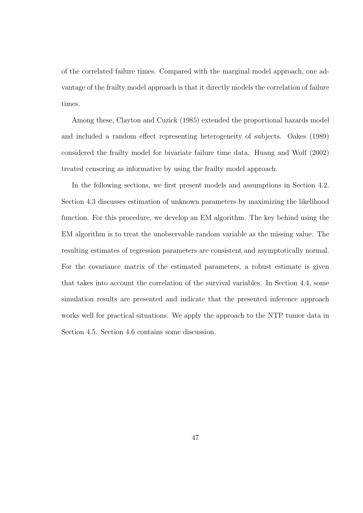of the correlated failure times. Compared with the marginal model approach, one advantage of the frailty model approach is that it directly models the correlation of failure times.

Among these, Clayton and Cuzick (1985) extended the proportional hazards model and included a random effect representing heterogeneity of subjects. Oakes (1989) considered the frailty model for bivariate failure time data. Huang and Wolf (2002) treated censoring as informative by using the frailty model approach.

In the following sections, we first present models and assumptions in Section 4.2. Section 4.3 discusses estimation of unknown parameters by maximizing the likelihood function. For this procedure, we develop an EM algorithm. The key behind using the EM algorithm is to treat the unobservable random variable as the missing value. The resulting estimates of regression parameters are consistent and asymptotically normal. For the covariance matrix of the estimated parameters, a robust estimate is given that takes into account the correlation of the survival variables. In Section 4.4, some simulation results are presented and indicate that the presented inference approach works well for practical situations. We apply the approach to the NTP tumor data in Section 4.5. Section 4.6 contains some discussion.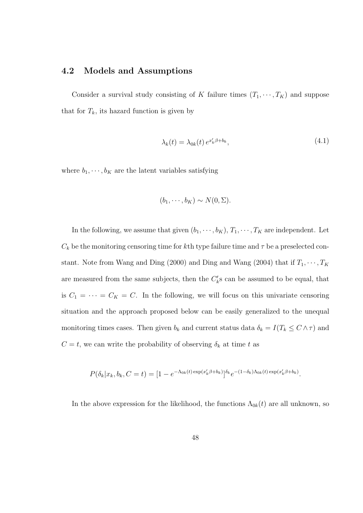### 4.2 Models and Assumptions

Consider a survival study consisting of K failure times  $(T_1, \dots, T_K)$  and suppose that for  $T_k$ , its hazard function is given by

$$
\lambda_k(t) = \lambda_{0k}(t) e^{x'_k \beta + b_k}, \qquad (4.1)
$$

where  $b_1, \dots, b_K$  are the latent variables satisfying

$$
(b_1, \cdots, b_K) \sim N(0, \Sigma).
$$

In the following, we assume that given  $(b_1, \dots, b_K)$ ,  $T_1, \dots, T_K$  are independent. Let  $C_k$  be the monitoring censoring time for kth type failure time and  $\tau$  be a preselected constant. Note from Wang and Ding (2000) and Ding and Wang (2004) that if  $T_1, \dots, T_K$ are measured from the same subjects, then the  $C'_{k}$ s can be assumed to be equal, that is  $C_1 = \cdots = C_K = C$ . In the following, we will focus on this univariate censoring situation and the approach proposed below can be easily generalized to the unequal monitoring times cases. Then given  $b_k$  and current status data  $\delta_k = I(T_k \leq C \wedge \tau)$  and  $C = t$ , we can write the probability of observing  $\delta_k$  at time t as

$$
P(\delta_k | x_k, b_k, C = t) = [1 - e^{-\Lambda_{0k}(t) \exp(x'_k \beta + b_k)}]^{\delta_k} e^{-(1 - \delta_k)\Lambda_{0k}(t) \exp(x'_k \beta + b_k)}.
$$

In the above expression for the likelihood, the functions  $\Lambda_{0k}(t)$  are all unknown, so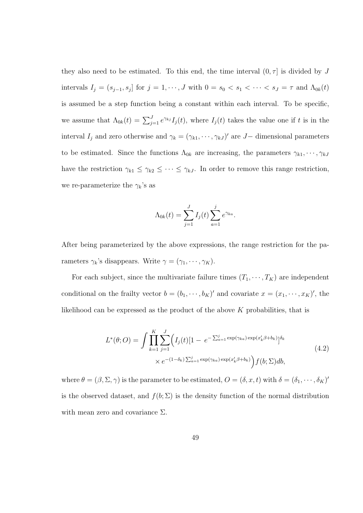they also need to be estimated. To this end, the time interval  $(0, \tau]$  is divided by J intervals  $I_j = (s_{j-1}, s_j]$  for  $j = 1, \dots, J$  with  $0 = s_0 < s_1 < \dots < s_J = \tau$  and  $\Lambda_{0k}(t)$ is assumed be a step function being a constant within each interval. To be specific, we assume that  $\Lambda_{0k}(t) = \sum_{j=1}^{J} e^{\gamma_{kj}} I_j(t)$ , where  $I_j(t)$  takes the value one if t is in the interval  $I_j$  and zero otherwise and  $\gamma_k = (\gamma_{k1}, \dots, \gamma_{kJ})'$  are J – dimensional parameters to be estimated. Since the functions  $\Lambda_{0k}$  are increasing, the parameters  $\gamma_{k1}, \dots, \gamma_{kJ}$ have the restriction  $\gamma_{k1} \leq \gamma_{k2} \leq \cdots \leq \gamma_{kJ}$ . In order to remove this range restriction, we re-parameterize the  $\gamma_k$ 's as

$$
\Lambda_{0k}(t) = \sum_{j=1}^{J} I_j(t) \sum_{a=1}^{j} e^{\gamma_{ka}}.
$$

After being parameterized by the above expressions, the range restriction for the parameters  $\gamma_k$ 's disappears. Write  $\gamma = (\gamma_1, \cdots, \gamma_K)$ .

For each subject, since the multivariate failure times  $(T_1, \dots, T_K)$  are independent conditional on the frailty vector  $b = (b_1, \dots, b_K)'$  and covariate  $x = (x_1, \dots, x_K)'$ , the likelihood can be expressed as the product of the above  $K$  probabilities, that is

$$
L^*(\theta;O) = \int \prod_{k=1}^K \sum_{j=1}^J \Bigl( I_j(t) [1 - e^{-\sum_{a=1}^j \exp(\gamma_{ka}) \exp(x'_k \beta + b_k)}]^{\delta_k} \times e^{-(1-\delta_k) \sum_{a=1}^j \exp(\gamma_{ka}) \exp(x'_k \beta + b_k)} \Bigr) f(b; \Sigma) db,
$$
\n(4.2)

where  $\theta = (\beta, \Sigma, \gamma)$  is the parameter to be estimated,  $O = (\delta, x, t)$  with  $\delta = (\delta_1, \cdots, \delta_K)'$ is the observed dataset, and  $f(b; \Sigma)$  is the density function of the normal distribution with mean zero and covariance  $\Sigma$ .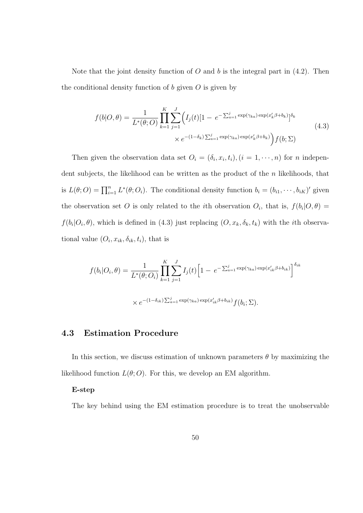Note that the joint density function of O and b is the integral part in  $(4.2)$ . Then the conditional density function of  $b$  given  $O$  is given by

$$
f(b|O,\theta) = \frac{1}{L^*(\theta;O)} \prod_{k=1}^K \sum_{j=1}^J \Big( I_j(t)[1 - e^{-\sum_{a=1}^j \exp(\gamma_{ka}) \exp(x'_k \beta + b_k)}]^{\delta_k}
$$
  
 
$$
\times e^{-(1-\delta_k)\sum_{a=1}^j \exp(\gamma_{ka}) \exp(x'_k \beta + b_k)} \Big) f(b;\Sigma)
$$
 (4.3)

Then given the observation data set  $O_i = (\delta_i, x_i, t_i), (i = 1, \dots, n)$  for *n* independent subjects, the likelihood can be written as the product of the  $n$  likelihoods, that is  $L(\theta; O) = \prod_{i=1}^{n} L^*(\theta; O_i)$ . The conditional density function  $b_i = (b_{i1}, \dots, b_{iK})'$  given the observation set O is only related to the *i*th observation  $O_i$ , that is,  $f(b_i|O, \theta)$  $f(b_i|O_i, \theta)$ , which is defined in (4.3) just replacing  $(O, x_k, \delta_k, t_k)$  with the *i*th observational value  $(O_i, x_{ik}, \delta_{ik}, t_i)$ , that is

$$
f(b_i|O_i, \theta) = \frac{1}{L^*(\theta; O_i)} \prod_{k=1}^K \sum_{j=1}^J I_j(t) \Big[ 1 - e^{-\sum_{a=1}^j \exp(\gamma_{ka}) \exp(x'_{ik}\beta + b_{ik})} \Big]^{\delta_{ik}}
$$
  
 
$$
\times e^{-(1-\delta_{ik})\sum_{a=1}^j \exp(\gamma_{ka}) \exp(x'_{ik}\beta + b_{ik})} f(b_i; \Sigma).
$$

### 4.3 Estimation Procedure

In this section, we discuss estimation of unknown parameters  $\theta$  by maximizing the likelihood function  $L(\theta; O)$ . For this, we develop an EM algorithm.

### E-step

The key behind using the EM estimation procedure is to treat the unobservable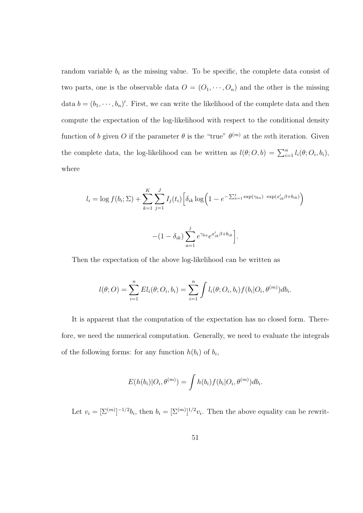random variable  $b_i$  as the missing value. To be specific, the complete data consist of two parts, one is the observable data  $O = (O_1, \dots, O_n)$  and the other is the missing data  $b = (b_1, \dots, b_n)'$ . First, we can write the likelihood of the complete data and then compute the expectation of the log-likelihood with respect to the conditional density function of b given O if the parameter  $\theta$  is the "true"  $\theta^{(m)}$  at the mth iteration. Given the complete data, the log-likelihood can be written as  $l(\theta; O, b) = \sum_{i=1}^{n} l_i(\theta; O_i, b_i)$ , where

$$
l_i = \log f(b_i; \Sigma) + \sum_{k=1}^{K} \sum_{j=1}^{J} I_j(t_i) \left[ \delta_{ik} \log \left( 1 - e^{-\sum_{a=1}^{j} \exp(\gamma_{ka})} \exp(x'_{ik}\beta + b_{ik}) \right) \right]
$$

$$
- (1 - \delta_{ik}) \sum_{a=1}^{j} e^{\gamma_{ka}} e^{x'_{ik}\beta + b_{ik}} \right].
$$

Then the expectation of the above log-likelihood can be written as

$$
l(\theta;O) = \sum_{i=1}^{n} El_i(\theta;O_i,b_i) = \sum_{i=1}^{n} \int l_i(\theta;O_i,b_i) f(b_i|O_i,\theta^{(m)}) db_i.
$$

It is apparent that the computation of the expectation has no closed form. Therefore, we need the numerical computation. Generally, we need to evaluate the integrals of the following forms: for any function  $h(b_i)$  of  $b_i$ ,

$$
E(h(b_i)|O_i, \theta^{(m)}) = \int h(b_i) f(b_i|O_i, \theta^{(m)}) db_i.
$$

Let  $v_i = \left[\sum^{(m)}\right]^{-1/2}b_i$ , then  $b_i = \left[\sum^{(m)}\right]^{1/2}v_i$ . Then the above equality can be rewrit-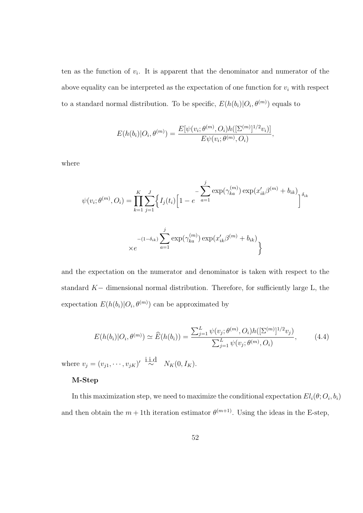ten as the function of  $v_i$ . It is apparent that the denominator and numerator of the above equality can be interpreted as the expectation of one function for  $v_i$  with respect to a standard normal distribution. To be specific,  $E(h(b_i)|O_i, \theta^{(m)})$  equals to

$$
E(h(b_i)|O_i, \theta^{(m)}) = \frac{E[\psi(v_i; \theta^{(m)}, O_i)h([\Sigma^{(m)}]^{1/2}v_i)]}{E\psi(v_i; \theta^{(m)}, O_i)},
$$

where

$$
\psi(v_i; \theta^{(m)}, O_i) = \prod_{k=1}^{K} \sum_{j=1}^{J} \left\{ I_j(t_i) \left[ 1 - e^{-\sum_{a=1}^{j} \exp(\gamma_{ka}^{(m)}) \exp(x_{ik}' \beta^{(m)} + b_{ik})} \right] \right\}^{\delta_{ik}}
$$

$$
\times e^{- (1 - \delta_{ik}) \sum_{a=1}^{j} \exp(\gamma_{ka}^{(m)}) \exp(x_{ik}' \beta^{(m)} + b_{ik})}
$$

and the expectation on the numerator and denominator is taken with respect to the standard K− dimensional normal distribution. Therefore, for sufficiently large L, the expectation  $E(h(b_i)|O_i, \theta^{(m)})$  can be approximated by

$$
E(h(b_i)|O_i, \theta^{(m)}) \simeq \widehat{E}(h(b_i)) = \frac{\sum_{j=1}^{L} \psi(v_j; \theta^{(m)}, O_i) h([\Sigma^{(m)}]^{1/2} v_j)}{\sum_{j=1}^{L} \psi(v_j; \theta^{(m)}, O_i)},
$$
(4.4)

where  $v_j = (v_{j1}, \dots, v_{jK})' \stackrel{\text{i.i.d}}{\sim} N_K(0, I_K)$ .

### M-Step

In this maximization step, we need to maximize the conditional expectation  $El_i(\theta; O_i, b_i)$ and then obtain the  $m + 1$ th iteration estimator  $\theta^{(m+1)}$ . Using the ideas in the E-step,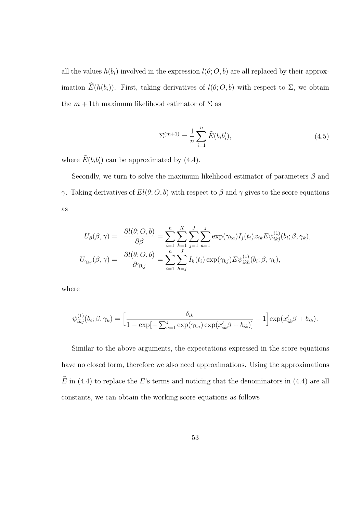all the values  $h(b_i)$  involved in the expression  $l(\theta; O, b)$  are all replaced by their approximation  $\widehat{E}(h(b_i))$ . First, taking derivatives of  $l(\theta; O, b)$  with respect to  $\Sigma$ , we obtain the  $m + 1$ th maximum likelihood estimator of  $\Sigma$  as

$$
\Sigma^{(m+1)} = \frac{1}{n} \sum_{i=1}^{n} \widehat{E}(b_i b'_i), \tag{4.5}
$$

where  $\widehat{E}(b_i b_i')$  can be approximated by (4.4).

Secondly, we turn to solve the maximum likelihood estimator of parameters  $\beta$  and γ. Taking derivatives of  $El(θ; O, b)$  with respect to  $β$  and  $γ$  gives to the score equations as

$$
U_{\beta}(\beta,\gamma) = \frac{\partial l(\theta;O,b)}{\partial \beta} = \sum_{i=1}^{n} \sum_{k=1}^{K} \sum_{j=1}^{J} \sum_{a=1}^{j} \exp(\gamma_{ka}) I_j(t_i) x_{ik} E \psi_{ikj}^{(1)}(b_i;\beta,\gamma_k),
$$
  

$$
U_{\gamma_{kj}}(\beta,\gamma) = \frac{\partial l(\theta;O,b)}{\partial \gamma_{kj}} = \sum_{i=1}^{n} \sum_{h=j}^{J} I_h(t_i) \exp(\gamma_{kj}) E \psi_{ikh}^{(1)}(b_i;\beta,\gamma_k),
$$

where

$$
\psi_{ikj}^{(1)}(b_i;\beta,\gamma_k) = \left[\frac{\delta_{ik}}{1 - \exp[-\sum_{a=1}^j \exp(\gamma_{ka}) \exp(x_{ik}'\beta + b_{ik})]} - 1\right] \exp(x_{ik}'\beta + b_{ik}).
$$

Similar to the above arguments, the expectations expressed in the score equations have no closed form, therefore we also need approximations. Using the approximations  $\widehat{E}$  in (4.4) to replace the E's terms and noticing that the denominators in (4.4) are all constants, we can obtain the working score equations as follows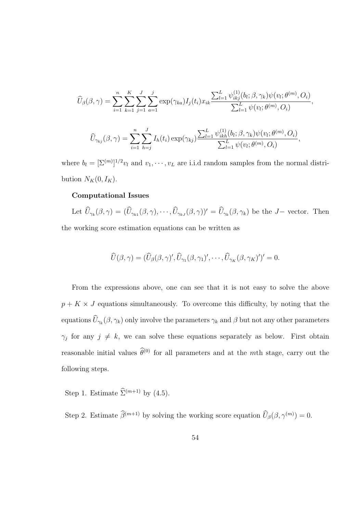$$
\widehat{U}_{\beta}(\beta,\gamma) = \sum_{i=1}^{n} \sum_{k=1}^{K} \sum_{j=1}^{J} \sum_{a=1}^{j} \exp(\gamma_{ka}) I_{j}(t_{i}) x_{ik} \frac{\sum_{l=1}^{L} \psi_{ikj}^{(1)}(b_{l}; \beta, \gamma_{k}) \psi(v_{l}; \theta^{(m)}, O_{i})}{\sum_{l=1}^{L} \psi(v_{l}; \theta^{(m)}, O_{i})},
$$

$$
\widehat{U}_{\gamma_{kj}}(\beta,\gamma) = \sum_{i=1}^{n} \sum_{h=j}^{J} I_{h}(t_{i}) \exp(\gamma_{kj}) \frac{\sum_{l=1}^{L} \psi_{ikh}^{(1)}(b_{l}; \beta, \gamma_{k}) \psi(v_{l}; \theta^{(m)}, O_{i})}{\sum_{l=1}^{L} \psi(v_{l}; \theta^{(m)}, O_{i})},
$$

where  $b_l = [\Sigma^{(m)}]^{1/2} v_l$  and  $v_1, \dots, v_L$  are i.i.d random samples from the normal distribution  $N_K(0, I_K)$ .

#### Computational Issues

Let  $\widehat{U}_{\gamma_k}(\beta,\gamma) = (\widehat{U}_{\gamma_{k1}}(\beta,\gamma),\cdots,\widehat{U}_{\gamma_{kJ}}(\beta,\gamma))' = \widehat{U}_{\gamma_k}(\beta,\gamma_k)$  be the J- vector. Then the working score estimation equations can be written as

$$
\widehat{U}(\beta,\gamma)=(\widehat{U}_{\beta}(\beta,\gamma)',\widehat{U}_{\gamma_1}(\beta,\gamma_1)',\cdots,\widehat{U}_{\gamma_K}(\beta,\gamma_K)')'=0.
$$

From the expressions above, one can see that it is not easy to solve the above  $p + K \times J$  equations simultaneously. To overcome this difficulty, by noting that the equations  $\widehat{U}_{\gamma_k}(\beta,\gamma_k)$  only involve the parameters  $\gamma_k$  and  $\beta$  but not any other parameters  $\gamma_j$  for any  $j \neq k$ , we can solve these equations separately as below. First obtain reasonable initial values  $\hat{\theta}^{(0)}$  for all parameters and at the mth stage, carry out the following steps.

Step 1. Estimate  $\widehat{\Sigma}^{(m+1)}$  by (4.5).

Step 2. Estimate  $\widehat{\beta}^{(m+1)}$  by solving the working score equation  $\widehat{U}_{\beta}(\beta, \gamma^{(m)}) = 0$ .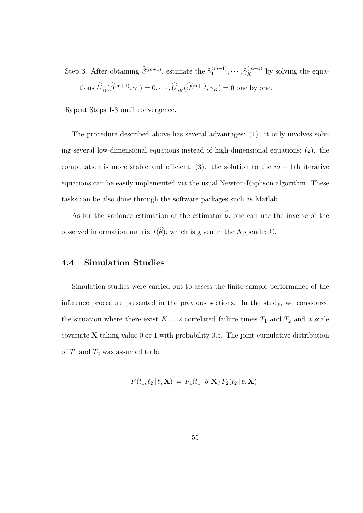Step 3. After obtaining  $\widehat{\beta}^{(m+1)}$ , estimate the  $\widehat{\gamma}_1^{(m+1)}$  $\hat{\gamma}_1^{(m+1)}, \cdots, \hat{\gamma}_K^{(m+1)}$  by solving the equations  $\widehat{U}_{\gamma_1}(\widehat{\beta}^{(m+1)}, \gamma_1) = 0, \cdots, \widehat{U}_{\gamma_K}(\widehat{\beta}^{(m+1)}, \gamma_K) = 0$  one by one.

Repeat Steps 1-3 until convergence.

The procedure described above has several advantages: (1). it only involves solving several low-dimensional equations instead of high-dimensional equations; (2). the computation is more stable and efficient; (3). the solution to the  $m + 1$ th iterative equations can be easily implemented via the usual Newton-Raphson algorithm. These tasks can be also done through the software packages such as Matlab.

As for the variance estimation of the estimator  $\hat{\theta}$ , one can use the inverse of the observed information matrix  $I(\widehat{\theta})$ , which is given in the Appendix C.

### 4.4 Simulation Studies

Simulation studies were carried out to assess the finite sample performance of the inference procedure presented in the previous sections. In the study, we considered the situation where there exist  $K = 2$  correlated failure times  $T_1$  and  $T_2$  and a scale covariate  $X$  taking value 0 or 1 with probability 0.5. The joint cumulative distribution of  $T_1$  and  $T_2$  was assumed to be

$$
F(t_1, t_2 | b, \mathbf{X}) = F_1(t_1 | b, \mathbf{X}) F_2(t_2 | b, \mathbf{X}).
$$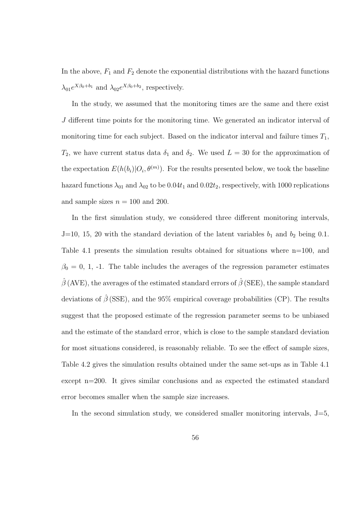In the above,  $F_1$  and  $F_2$  denote the exponential distributions with the hazard functions  $\lambda_{01}e^{X\beta_0+b_1}$  and  $\lambda_{02}e^{X\beta_0+b_2}$ , respectively.

In the study, we assumed that the monitoring times are the same and there exist J different time points for the monitoring time. We generated an indicator interval of monitoring time for each subject. Based on the indicator interval and failure times  $T_1$ ,  $T_2$ , we have current status data  $\delta_1$  and  $\delta_2$ . We used  $L = 30$  for the approximation of the expectation  $E(h(b_i)|O_i, \theta^{(m)})$ . For the results presented below, we took the baseline hazard functions  $\lambda_{01}$  and  $\lambda_{02}$  to be 0.04t<sub>1</sub> and 0.02t<sub>2</sub>, respectively, with 1000 replications and sample sizes  $n = 100$  and 200.

In the first simulation study, we considered three different monitoring intervals, J=10, 15, 20 with the standard deviation of the latent variables  $b_1$  and  $b_2$  being 0.1. Table 4.1 presents the simulation results obtained for situations where n=100, and  $\beta_0 = 0, 1, -1$ . The table includes the averages of the regression parameter estimates  $\hat{\beta}$  (AVE), the averages of the estimated standard errors of  $\hat{\beta}$  (SEE), the sample standard deviations of  $\hat{\beta}$  (SSE), and the 95% empirical coverage probabilities (CP). The results suggest that the proposed estimate of the regression parameter seems to be unbiased and the estimate of the standard error, which is close to the sample standard deviation for most situations considered, is reasonably reliable. To see the effect of sample sizes, Table 4.2 gives the simulation results obtained under the same set-ups as in Table 4.1 except n=200. It gives similar conclusions and as expected the estimated standard error becomes smaller when the sample size increases.

In the second simulation study, we considered smaller monitoring intervals,  $J=5$ ,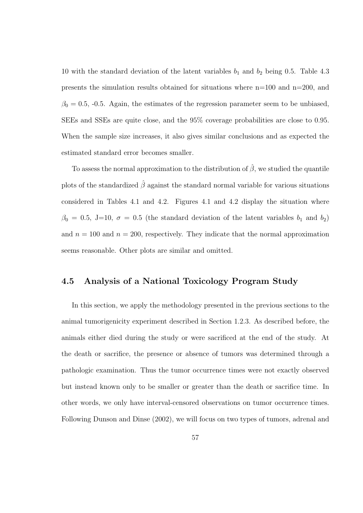10 with the standard deviation of the latent variables  $b_1$  and  $b_2$  being 0.5. Table 4.3 presents the simulation results obtained for situations where n=100 and n=200, and  $\beta_0 = 0.5$ , -0.5. Again, the estimates of the regression parameter seem to be unbiased, SEEs and SSEs are quite close, and the 95% coverage probabilities are close to 0.95. When the sample size increases, it also gives similar conclusions and as expected the estimated standard error becomes smaller.

To assess the normal approximation to the distribution of  $\hat{\beta}$ , we studied the quantile plots of the standardized  $\hat{\beta}$  against the standard normal variable for various situations considered in Tables 4.1 and 4.2. Figures 4.1 and 4.2 display the situation where  $\beta_0 = 0.5$ , J=10,  $\sigma = 0.5$  (the standard deviation of the latent variables  $b_1$  and  $b_2$ ) and  $n = 100$  and  $n = 200$ , respectively. They indicate that the normal approximation seems reasonable. Other plots are similar and omitted.

### 4.5 Analysis of a National Toxicology Program Study

In this section, we apply the methodology presented in the previous sections to the animal tumorigenicity experiment described in Section 1.2.3. As described before, the animals either died during the study or were sacrificed at the end of the study. At the death or sacrifice, the presence or absence of tumors was determined through a pathologic examination. Thus the tumor occurrence times were not exactly observed but instead known only to be smaller or greater than the death or sacrifice time. In other words, we only have interval-censored observations on tumor occurrence times. Following Dunson and Dinse (2002), we will focus on two types of tumors, adrenal and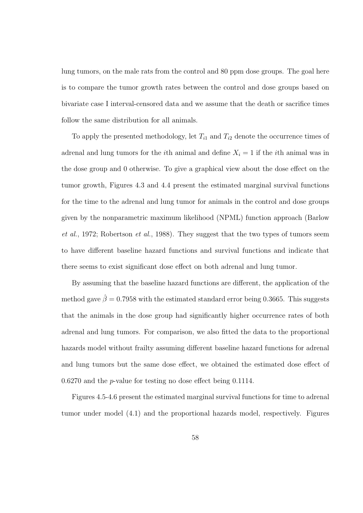lung tumors, on the male rats from the control and 80 ppm dose groups. The goal here is to compare the tumor growth rates between the control and dose groups based on bivariate case I interval-censored data and we assume that the death or sacrifice times follow the same distribution for all animals.

To apply the presented methodology, let  $T_{i1}$  and  $T_{i2}$  denote the occurrence times of adrenal and lung tumors for the *i*th animal and define  $X_i = 1$  if the *i*th animal was in the dose group and 0 otherwise. To give a graphical view about the dose effect on the tumor growth, Figures 4.3 and 4.4 present the estimated marginal survival functions for the time to the adrenal and lung tumor for animals in the control and dose groups given by the nonparametric maximum likelihood (NPML) function approach (Barlow et al., 1972; Robertson et al., 1988). They suggest that the two types of tumors seem to have different baseline hazard functions and survival functions and indicate that there seems to exist significant dose effect on both adrenal and lung tumor.

By assuming that the baseline hazard functions are different, the application of the method gave  $\hat{\beta} = 0.7958$  with the estimated standard error being 0.3665. This suggests that the animals in the dose group had significantly higher occurrence rates of both adrenal and lung tumors. For comparison, we also fitted the data to the proportional hazards model without frailty assuming different baseline hazard functions for adrenal and lung tumors but the same dose effect, we obtained the estimated dose effect of  $0.6270$  and the *p*-value for testing no dose effect being  $0.1114$ .

Figures 4.5-4.6 present the estimated marginal survival functions for time to adrenal tumor under model (4.1) and the proportional hazards model, respectively. Figures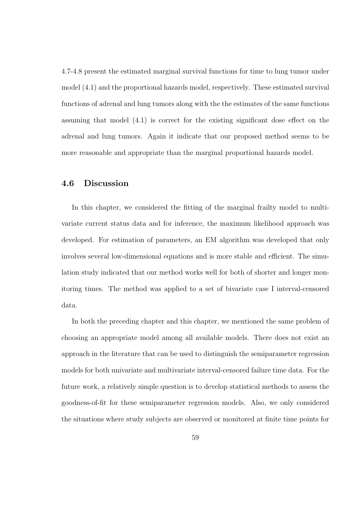4.7-4.8 present the estimated marginal survival functions for time to lung tumor under model (4.1) and the proportional hazards model, respectively. These estimated survival functions of adrenal and lung tumors along with the the estimates of the same functions assuming that model (4.1) is correct for the existing significant dose effect on the adrenal and lung tumors. Again it indicate that our proposed method seems to be more reasonable and appropriate than the marginal proportional hazards model.

### 4.6 Discussion

In this chapter, we considered the fitting of the marginal frailty model to multivariate current status data and for inference, the maximum likelihood approach was developed. For estimation of parameters, an EM algorithm was developed that only involves several low-dimensional equations and is more stable and efficient. The simulation study indicated that our method works well for both of shorter and longer monitoring times. The method was applied to a set of bivariate case I interval-censored data.

In both the preceding chapter and this chapter, we mentioned the same problem of choosing an appropriate model among all available models. There does not exist an approach in the literature that can be used to distinguish the semiparameter regression models for both univariate and multivariate interval-censored failure time data. For the future work, a relatively simple question is to develop statistical methods to assess the goodness-of-fit for these semiparameter regression models. Also, we only considered the situations where study subjects are observed or monitored at finite time points for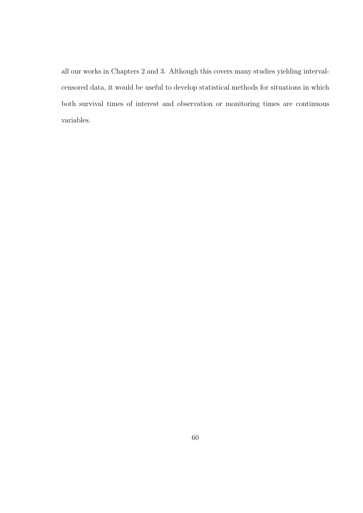all our works in Chapters 2 and 3. Although this covers many studies yielding intervalcensored data, it would be useful to develop statistical methods for situations in which both survival times of interest and observation or monitoring times are continuous variables.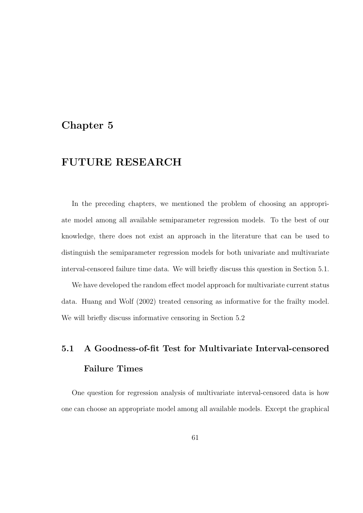### Chapter 5

#### FUTURE RESEARCH

In the preceding chapters, we mentioned the problem of choosing an appropriate model among all available semiparameter regression models. To the best of our knowledge, there does not exist an approach in the literature that can be used to distinguish the semiparameter regression models for both univariate and multivariate interval-censored failure time data. We will briefly discuss this question in Section 5.1.

We have developed the random effect model approach for multivariate current status data. Huang and Wolf (2002) treated censoring as informative for the frailty model. We will briefly discuss informative censoring in Section 5.2

# 5.1 A Goodness-of-fit Test for Multivariate Interval-censored Failure Times

One question for regression analysis of multivariate interval-censored data is how one can choose an appropriate model among all available models. Except the graphical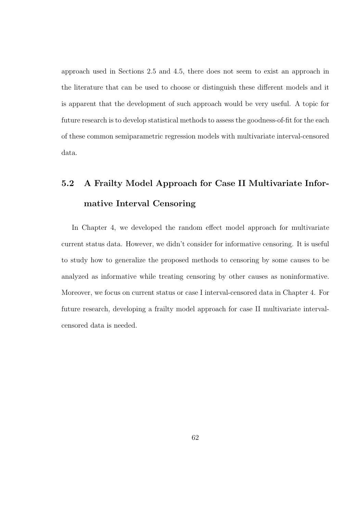approach used in Sections 2.5 and 4.5, there does not seem to exist an approach in the literature that can be used to choose or distinguish these different models and it is apparent that the development of such approach would be very useful. A topic for future research is to develop statistical methods to assess the goodness-of-fit for the each of these common semiparametric regression models with multivariate interval-censored data.

# 5.2 A Frailty Model Approach for Case II Multivariate Informative Interval Censoring

In Chapter 4, we developed the random effect model approach for multivariate current status data. However, we didn't consider for informative censoring. It is useful to study how to generalize the proposed methods to censoring by some causes to be analyzed as informative while treating censoring by other causes as noninformative. Moreover, we focus on current status or case I interval-censored data in Chapter 4. For future research, developing a frailty model approach for case II multivariate intervalcensored data is needed.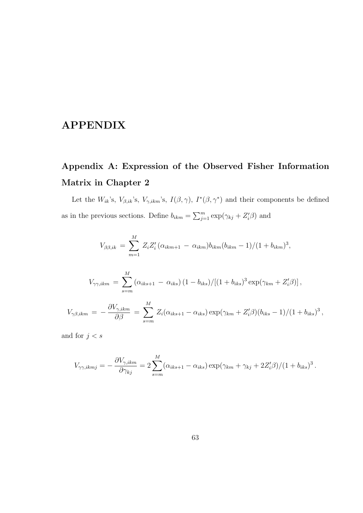### APPENDIX

## Appendix A: Expression of the Observed Fisher Information Matrix in Chapter 2

Let the  $W_{ik}$ 's,  $V_{\beta,ik}$ 's,  $V_{\gamma,ikm}$ 's,  $I(\beta,\gamma)$ ,  $I^*(\beta,\gamma^*)$  and their components be defined as in the previous sections. Define  $b_{ikm} = \sum_{j=1}^{m} a_{ij}$  $\sum_{j=1}^m \exp(\gamma_{kj} + Z_i'\beta)$  and

$$
V_{\beta\beta,ik} = \sum_{m=1}^{M} Z_i Z_i' (\alpha_{ikm+1} - \alpha_{ikm}) b_{ikm} (b_{ikm} - 1) / (1 + b_{ikm})^3,
$$

$$
V_{\gamma\gamma,ikm} = \sum_{s=m}^{M} (\alpha_{iks+1} - \alpha_{iks}) (1 - b_{iks}) / [(1 + b_{iks})^3 \exp(\gamma_{km} + Z'_i \beta)],
$$
  

$$
V_{\gamma\beta,ikm} = -\frac{\partial V_{\gamma,ikm}}{\partial \beta} = \sum_{s=m}^{M} Z_i (\alpha_{iks+1} - \alpha_{iks}) \exp(\gamma_{km} + Z'_i \beta) (b_{iks} - 1) / (1 + b_{iks})^3,
$$

and for  $j < s$ 

$$
V_{\gamma\gamma,ikmj} = -\frac{\partial V_{\gamma,ikm}}{\partial \gamma_{kj}} = 2\sum_{s=m}^{M} (\alpha_{iks+1} - \alpha_{iks}) \exp(\gamma_{km} + \gamma_{kj} + 2Z_i'\beta)/(1 + b_{iks})^3.
$$

s=m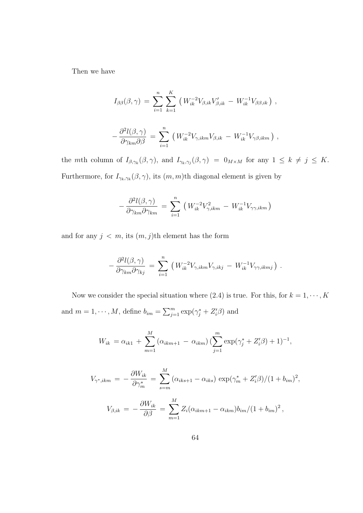Then we have

$$
I_{\beta\beta}(\beta,\gamma) = \sum_{i=1}^{n} \sum_{k=1}^{K} \left( W_{ik}^{-2} V_{\beta,ik} V'_{\beta,ik} - W_{ik}^{-1} V_{\beta\beta,ik} \right),
$$
  

$$
- \frac{\partial^2 l(\beta,\gamma)}{\partial \gamma_{km} \partial \beta} = \sum_{i=1}^{n} \left( W_{ik}^{-2} V_{\gamma,ikm} V_{\beta,ik} - W_{ik}^{-1} V_{\gamma\beta,ikm} \right),
$$

the mth column of  $I_{\beta,\gamma_k}(\beta,\gamma)$ , and  $I_{\gamma_k,\gamma_j}(\beta,\gamma) = 0_{M\times M}$  for any  $1 \leq k \neq j \leq K$ . Furthermore, for  $I_{\gamma_k,\gamma_k}(\beta,\gamma)$ , its  $(m,m)$ th diagonal element is given by

$$
-\frac{\partial^2 l(\beta,\gamma)}{\partial \gamma_{km} \partial \gamma_{km}} = \sum_{i=1}^n \left( W_{ik}^{-2} V_{\gamma,ikm}^2 - W_{ik}^{-1} V_{\gamma\gamma,ikm} \right)
$$

and for any  $j < m$ , its  $(m, j)$ th element has the form

$$
-\frac{\partial^2 l(\beta,\gamma)}{\partial \gamma_{km} \partial \gamma_{kj}} = \sum_{i=1}^n \left( W_{ik}^{-2} V_{\gamma,ikm} V_{\gamma,ikj} - W_{ik}^{-1} V_{\gamma\gamma,ikmj} \right).
$$

Now we consider the special situation where (2.4) is true. For this, for  $k = 1, \dots, K$ and  $m = 1, \dots, M$ , define  $b_{im} = \sum_{j=1}^{m}$  $_{j=1}^m \exp(\gamma_j^* + Z_i^{\prime} \beta)$  and

$$
W_{ik} = \alpha_{ik1} + \sum_{m=1}^{M} (\alpha_{ikm+1} - \alpha_{ikm}) \left( \sum_{j=1}^{m} \exp(\gamma_j^* + Z_i'\beta) + 1 \right)^{-1},
$$

$$
V_{\gamma^*,ikm} = -\frac{\partial W_{ik}}{\partial \gamma_m^*} = \sum_{s=m}^{M} (\alpha_{iks+1} - \alpha_{iks}) \exp(\gamma_m^* + Z_i'\beta)/(1 + b_{im})^2,
$$
  

$$
V_{\beta,ik} = -\frac{\partial W_{ik}}{\partial \beta} = \sum_{m=1}^{M} Z_i(\alpha_{ikm+1} - \alpha_{ikm})b_{im}/(1 + b_{im})^2,
$$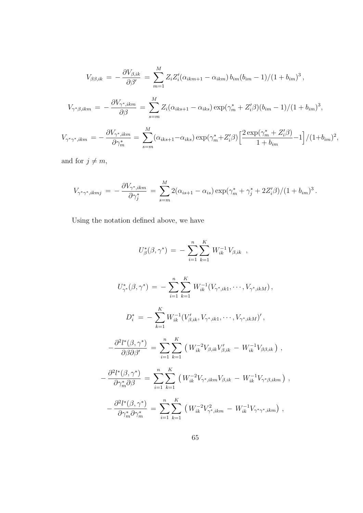$$
V_{\beta\beta,ik} = -\frac{\partial V_{\beta,ik}}{\partial \beta'} = \sum_{m=1}^{M} Z_i Z_i' (\alpha_{ikm+1} - \alpha_{ikm}) b_{im} (b_{im} - 1)/(1 + b_{im})^3,
$$

$$
V_{\gamma^*\beta,ikm} = -\frac{\partial V_{\gamma^*,ikm}}{\partial \beta} = \sum_{s=m}^{M} Z_i(\alpha_{iks+1} - \alpha_{iks}) \exp(\gamma_m^* + Z_i'\beta)(b_{im} - 1)/(1 + b_{im})^3,
$$

$$
V_{\gamma^* \gamma^*, ikm} = -\frac{\partial V_{\gamma^*, ikm}}{\partial \gamma_m^*} = \sum_{s=m}^{M} (\alpha_{iks+1} - \alpha_{iks}) \exp(\gamma_m^* + Z_i' \beta) \left[ \frac{2 \exp(\gamma_m^* + Z_i' \beta)}{1 + b_{im}} - 1 \right] / (1 + b_{im})^2,
$$

and for  $j \neq m$ ,

$$
V_{\gamma^*\gamma^*,ikmj} = -\frac{\partial V_{\gamma^*,ikm}}{\partial \gamma_j^*} = \sum_{s=m}^M 2(\alpha_{is+1} - \alpha_{is}) \exp(\gamma_m^* + \gamma_j^* + 2Z_i'\beta)/(1 + b_{im})^3.
$$

Using the notation defined above, we have

$$
U_{\beta}^{*}(\beta,\gamma^{*}) = -\sum_{i=1}^{n} \sum_{k=1}^{K} W_{ik}^{-1} V_{\beta,ik} ,
$$

$$
U_{\gamma^*}^*(\beta, \gamma^*) = -\sum_{i=1}^n \sum_{k=1}^K W_{ik}^{-1}(V_{\gamma^*,ik1}, \dots, V_{\gamma^*,ikM}),
$$
  

$$
D_i^* = -\sum_{k=1}^K W_{ik}^{-1}(V_{\beta,ik}', V_{\gamma^*,ik1}, \dots, V_{\gamma^*,ikM}'),
$$
  

$$
\partial^2 l^*(\beta, \gamma^*) = \sum_{k=1}^n \sum_{k=1}^K (W_{ik}^{-2}V_{ik} - V_{ik} - W_{ik}^{-1}V_{ik} - W_{ik}^{-1}V_{ik} - W_{ik}^{-1}V_{ik} - W_{ik}^{-1}V_{ik} - W_{ik}^{-1}V_{ik} - W_{ik}^{-1}V_{ik} - W_{ik}^{-1}V_{ik} - W_{ik}^{-1}V_{ik} - W_{ik}^{-1}V_{ik} - W_{ik}^{-1}V_{ik} - W_{ik}^{-1}V_{ik} - W_{ik}^{-1}V_{ik} - W_{ik}^{-1}V_{ik} - W_{ik}^{-1}V_{ik} - W_{ik}^{-1}V_{ik} - W_{ik}^{-1}V_{ik} - W_{ik}^{-1}V_{ik} - W_{ik}^{-1}V_{ik} - W_{ik}^{-1}V_{ik} - W_{ik}^{-1}V_{ik} - W_{ik}^{-1}V_{ik} - W_{ik}^{-1}V_{ik} - W_{ik}^{-1}V_{ik} - W_{ik}^{-1}V_{ik} - W_{ik}^{-1}V_{ik} - W_{ik}^{-1}V_{ik} - W_{ik}^{-1}V_{ik} - W_{ik}^{-1}V_{ik} - W_{ik}^{-1}V_{ik} - W_{ik}^{-1}V_{ik} - W_{ik}^{-1}V_{ik} - W_{ik}^{-1}V_{ik} - W_{ik}^{-1}V_{ik} - W_{ik}^{-1}V_{ik} - W_{ik}^{-1}V_{ik} - W_{ik}^{-1}V_{ik} - W_{ik}^{-1}V_{ik} - W_{ik}^{-1}V_{ik} - W_{ik}^{-1}V_{ik} - W_{ik}^{-1}V_{ik} - W_{ik}^{-1}V_{ik} - W_{ik}^{-1}V_{ik} - W_{ik}^{-1}V_{ik} - W_{ik}^{-1}V_{ik} - W_{ik}^{-1}V_{ik} - W_{ik}^{-1}V_{ik} - W_{ik}^{-1}V_{ik} - W_{ik}^{-1}V_{ik
$$

$$
-\frac{\partial^2 l^*(\beta, \gamma^*)}{\partial \beta \partial \beta'} = \sum_{i=1}^n \sum_{k=1}^K \left( W_{ik}^{-2} V_{\beta,ik} V_{\beta,ik}' - W_{ik}^{-1} V_{\beta\beta,ik} \right) ,
$$

$$
-\frac{\partial^2 l^*(\beta,\gamma^*)}{\partial \gamma_m^*\partial \beta} = \sum_{i=1}^n \sum_{k=1}^K \left( W_{ik}^{-2} V_{\gamma^*,ikm} V_{\beta,ik} - W_{ik}^{-1} V_{\gamma^*,\beta,ikm} \right),
$$

$$
-\frac{\partial^2 l^*(\beta, \gamma^*)}{\partial \gamma_m^* \partial \gamma_m^*} = \sum_{i=1}^n \sum_{k=1}^K \left( W_{ik}^{-2} V_{\gamma^*, ikm}^2 - W_{ik}^{-1} V_{\gamma^* \gamma^*, ikm} \right),
$$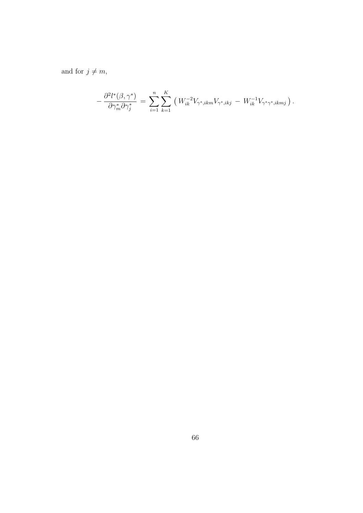and for  $j \neq m$ ,

$$
-\frac{\partial^2 l^*(\beta, \gamma^*)}{\partial \gamma_m^* \partial \gamma_j^*} = \sum_{i=1}^n \sum_{k=1}^K \left( W_{ik}^{-2} V_{\gamma^*,ikm} V_{\gamma^*,ikj} - W_{ik}^{-1} V_{\gamma^*\gamma^*,ikmj} \right).
$$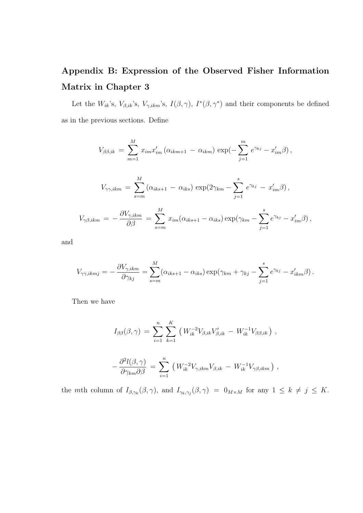# Appendix B: Expression of the Observed Fisher Information Matrix in Chapter 3

Let the  $W_{ik}$ 's,  $V_{\beta,ik}$ 's,  $V_{\gamma,ikm}$ 's,  $I(\beta,\gamma)$ ,  $I^*(\beta,\gamma^*)$  and their components be defined as in the previous sections. Define

$$
V_{\beta\beta,ik} = \sum_{m=1}^{M} x_{im} x'_{im} (\alpha_{ikm+1} - \alpha_{ikm}) \exp(-\sum_{j=1}^{m} e^{\gamma_{kj}} - x'_{im}\beta),
$$
  

$$
V_{\gamma\gamma,ikm} = \sum_{s=m}^{M} (\alpha_{iks+1} - \alpha_{iks}) \exp(2\gamma_{km} - \sum_{j=1}^{s} e^{\gamma_{kj}} - x'_{im}\beta),
$$
  

$$
V_{\gamma\beta,ikm} = -\frac{\partial V_{\gamma,ikm}}{\partial \beta} = \sum_{s=m}^{M} x_{im} (\alpha_{iks+1} - \alpha_{iks}) \exp(\gamma_{km} - \sum_{j=1}^{s} e^{\gamma_{kj}} - x'_{im}\beta),
$$

and

$$
V_{\gamma\gamma,ikmj} = -\frac{\partial V_{\gamma,ikm}}{\partial \gamma_{kj}} = \sum_{s=m}^{M} (\alpha_{iks+1} - \alpha_{iks}) \exp(\gamma_{km} + \gamma_{kj} - \sum_{j=1}^{s} e^{\gamma_{kj}} - x'_{ikm}\beta).
$$

Then we have

$$
I_{\beta\beta}(\beta,\gamma) = \sum_{i=1}^{n} \sum_{k=1}^{K} (W_{ik}^{-2} V_{\beta,ik} V'_{\beta,ik} - W_{ik}^{-1} V_{\beta\beta,ik}) ,
$$

$$
-\frac{\partial^2 l(\beta,\gamma)}{\partial \gamma_{km} \partial \beta} = \sum_{i=1}^n \left( W_{ik}^{-2} V_{\gamma,ikm} V_{\beta,ik} - W_{ik}^{-1} V_{\gamma\beta,ikm} \right),
$$

the mth column of  $I_{\beta,\gamma_k}(\beta,\gamma)$ , and  $I_{\gamma_k,\gamma_j}(\beta,\gamma) = 0_{M \times M}$  for any  $1 \leq k \neq j \leq K$ .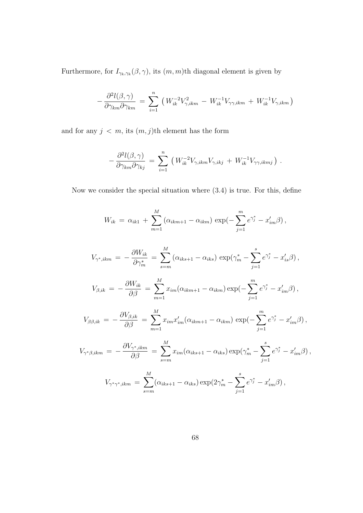Furthermore, for  $I_{\gamma_k,\gamma_k}(\beta,\gamma)$ , its  $(m,m)$ th diagonal element is given by

$$
-\frac{\partial^2 l(\beta,\gamma)}{\partial \gamma_{km} \partial \gamma_{km}} = \sum_{i=1}^n \left( W_{ik}^{-2} V_{\gamma,ikm}^2 - W_{ik}^{-1} V_{\gamma\gamma,ikm} + W_{ik}^{-1} V_{\gamma,ikm} \right)
$$

and for any  $j \, < \, m$ , its  $(m, j)$ th element has the form

$$
-\frac{\partial^2 l(\beta,\gamma)}{\partial \gamma_{km} \partial \gamma_{kj}} = \sum_{i=1}^n \left( W_{ik}^{-2} V_{\gamma,ikm} V_{\gamma,ikj} + W_{ik}^{-1} V_{\gamma\gamma,ikmj} \right).
$$

Now we consider the special situation where (3.4) is true. For this, define

$$
W_{ik} = \alpha_{ik1} + \sum_{m=1}^{M} (\alpha_{ikm+1} - \alpha_{ikm}) \exp(-\sum_{j=1}^{m} e^{\gamma_j^*} - x'_{im}\beta),
$$

$$
V_{\gamma^*,ikm} = -\frac{\partial W_{ik}}{\partial \gamma_m^*} = \sum_{s=m}^{M} (\alpha_{iks+1} - \alpha_{iks}) \exp(\gamma_m^* - \sum_{j=1}^{s} e^{\gamma_j^*} - x_{is}'\beta),
$$

$$
V_{\beta,ik} = -\frac{\partial W_{ik}}{\partial \beta} = \sum_{m=1}^{M} x_{im} (\alpha_{ikm+1} - \alpha_{ikm}) \exp(-\sum_{j=1}^{m} e^{\gamma_{j}^{*}} - x'_{im} \beta),
$$

$$
V_{\beta\beta,ik} = -\frac{\partial V_{\beta,ik}}{\partial \beta} = \sum_{m=1}^{M} x_{im} x'_{im} (\alpha_{ikm+1} - \alpha_{ikm}) \exp(-\sum_{j=1}^{m} e^{\gamma_j^*} - x'_{im} \beta),
$$

$$
V_{\gamma^*\beta,ikm} = -\frac{\partial V_{\gamma^*,ikm}}{\partial \beta} = \sum_{s=m}^M x_{im} (\alpha_{iks+1} - \alpha_{iks}) \exp(\gamma_m^* - \sum_{j=1}^s e^{\gamma_j^*} - x'_{im}\beta),
$$

$$
V_{\gamma^*\gamma^*,ikm} = \sum_{s=m}^M (\alpha_{iks+1} - \alpha_{iks}) \exp(2\gamma_m^* - \sum_{j=1}^s e^{\gamma_j^*} - x'_{im}\beta),
$$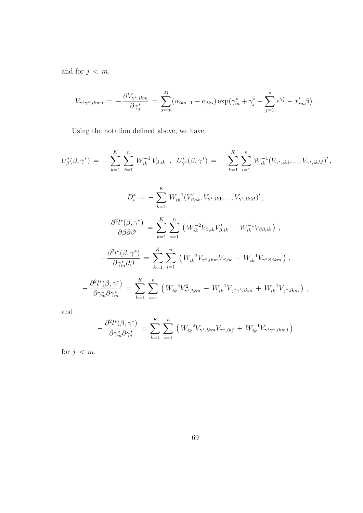and for  $j \, < \, m$ ,

$$
V_{\gamma^* \gamma^*, ikmj} = -\frac{\partial V_{\gamma^*, ikm}}{\partial \gamma_j^*} = \sum_{s=m}^M (\alpha_{iks+1} - \alpha_{iks}) \exp(\gamma_m^* + \gamma_j^* - \sum_{j=1}^s e^{\gamma_j^*} - x'_{im}\beta).
$$

Using the notation defined above, we have

$$
U_{\beta}^{*}(\beta, \gamma^{*}) = -\sum_{k=1}^{K} \sum_{i=1}^{n} W_{ik}^{-1} V_{\beta,ik} , U_{\gamma^{*}}^{*}(\beta, \gamma^{*}) = -\sum_{k=1}^{K} \sum_{i=1}^{n} W_{ik}^{-1} (V_{\gamma^{*},ik1}, ..., V_{\gamma^{*},ikM})',
$$
  
\n
$$
D_{i}^{*} = -\sum_{k=1}^{K} W_{ik}^{-1} (V_{\beta,ik}', V_{\gamma^{*},ik1}, ..., V_{\gamma^{*},ikM})',
$$
  
\n
$$
\frac{\partial^{2} l^{*}(\beta, \gamma^{*})}{\partial \beta \partial \beta'} = \sum_{k=1}^{K} \sum_{i=1}^{n} (W_{ik}^{-2} V_{\beta,ik} V_{\beta,ik}' - W_{ik}^{-1} V_{\beta \beta,ik}) ,
$$
  
\n
$$
-\frac{\partial^{2} l^{*}(\beta, \gamma^{*})}{\partial \gamma_{m}^{*} \partial \beta} = \sum_{k=1}^{K} \sum_{i=1}^{n} (W_{ik}^{-2} V_{\gamma^{*},ikm} V_{\beta,ik} - W_{ik}^{-1} V_{\gamma^{*} \beta,ikm}) ,
$$
  
\n
$$
-\frac{\partial^{2} l^{*}(\beta, \gamma^{*})}{\partial \gamma_{m}^{*} \partial \gamma_{m}^{*}} = \sum_{k=1}^{K} \sum_{i=1}^{n} (W_{ik}^{-2} V_{\gamma^{*},ikm}^{2} - W_{ik}^{-1} V_{\gamma^{*} \gamma^{*},ikm} + W_{ik}^{-1} V_{\gamma^{*},ikm}) ,
$$

and

$$
-\frac{\partial^2 l^*(\beta, \gamma^*)}{\partial \gamma_m^* \partial \gamma_j^*} = \sum_{k=1}^K \sum_{i=1}^n \left( W_{ik}^{-2} V_{\gamma^*,ikm} V_{\gamma^*,ikj} + W_{ik}^{-1} V_{\gamma^*\gamma^*,ikmj} \right)
$$

for  $j < m$ .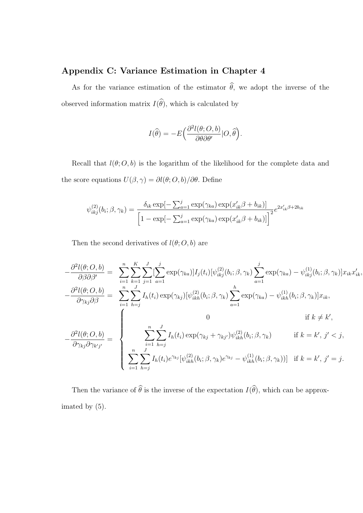#### Appendix C: Variance Estimation in Chapter 4

As for the variance estimation of the estimator  $\hat{\theta}$ , we adopt the inverse of the observed information matrix  $I(\widehat{\theta})$ , which is calculated by

$$
I(\widehat{\theta}) = -E\Big(\frac{\partial^2 l(\theta; O, b)}{\partial \theta \partial \theta'}|O, \widehat{\theta}\Big).
$$

Recall that  $l(\theta; O, b)$  is the logarithm of the likelihood for the complete data and the score equations  $U(\beta,\gamma)=\partial l(\theta;O,b)/\partial\theta.$  Define

$$
\psi_{ikj}^{(2)}(b_i; \beta, \gamma_k) = \frac{\delta_{ik} \exp[-\sum_{a=1}^j \exp(\gamma_{ka}) \exp(x'_{ik}\beta + b_{ik})]}{\left[1 - \exp[-\sum_{a=1}^j \exp(\gamma_{ka}) \exp(x'_{ik}\beta + b_{ik})]\right]^2} e^{2x'_{ik}\beta + 2b_{ik}}
$$

Then the second derivatives of  $l(\theta; O, b)$  are

$$
-\frac{\partial^2 l(\theta; O, b)}{\partial \beta \partial \beta'} = \sum_{i=1}^n \sum_{k=1}^K \sum_{j=1}^J \sum_{a=1}^j \exp(\gamma_{ka}) I_j(t_i) [\psi_{ikj}^{(2)}(b_i; \beta, \gamma_k) \sum_{a=1}^j \exp(\gamma_{ka}) - \psi_{ikj}^{(1)}(b_i; \beta, \gamma_k)] x_{ik} x'_{ik},
$$

$$
-\frac{\partial^2 l(\theta; O, b)}{\partial \gamma_{kj} \partial \beta} = \sum_{i=1}^n \sum_{h=j}^J I_h(t_i) \exp(\gamma_{kj}) [\psi_{ikh}^{(2)}(b_i; \beta, \gamma_k) \sum_{a=1}^h \exp(\gamma_{ka}) - \psi_{ikh}^{(1)}(b_i; \beta, \gamma_k)] x_{ik},
$$

$$
-\frac{\partial^2 l(\theta; O, b)}{\partial \gamma_{kj} \partial \gamma_{k'j'}} = \begin{cases} 0 & \text{if } k \neq k', \\ \sum_{i=1}^n \sum_{h=j}^J I_h(t_i) \exp(\gamma_{kj} + \gamma_{kj'}) \psi_{ikh}^{(2)}(b_i; \beta, \gamma_k) & \text{if } k = k', j' < j, \\ \sum_{i=1}^n \sum_{h=j}^J I_h(t_i) e^{\gamma_{kj}} [\psi_{ikh}^{(2)}(b_i; \beta, \gamma_k) e^{\gamma_{kj}} - \psi_{ikh}^{(1)}(b_i; \beta, \gamma_k)] & \text{if } k = k', j' = j. \end{cases}
$$

Then the variance of  $\widehat{\theta}$  is the inverse of the expectation  $I(\widehat{\theta})$ , which can be approximated by (5).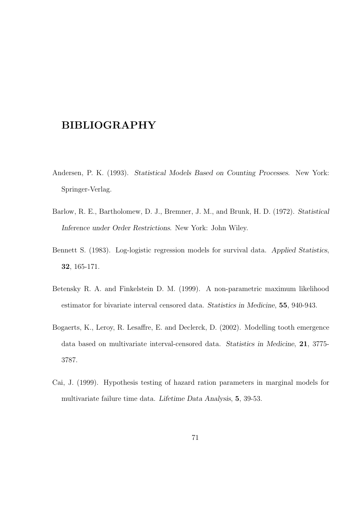#### BIBLIOGRAPHY

- Andersen, P. K. (1993). Statistical Models Based on Counting Processes. New York: Springer-Verlag.
- Barlow, R. E., Bartholomew, D. J., Bremner, J. M., and Brunk, H. D. (1972). Statistical Inference under Order Restrictions. New York: John Wiley.
- Bennett S. (1983). Log-logistic regression models for survival data. Applied Statistics, 32, 165-171.
- Betensky R. A. and Finkelstein D. M. (1999). A non-parametric maximum likelihood estimator for bivariate interval censored data. Statistics in Medicine, 55, 940-943.
- Bogaerts, K., Leroy, R. Lesaffre, E. and Declerck, D. (2002). Modelling tooth emergence data based on multivariate interval-censored data. Statistics in Medicine, 21, 3775- 3787.
- Cai, J. (1999). Hypothesis testing of hazard ration parameters in marginal models for multivariate failure time data. Lifetime Data Analysis, 5, 39-53.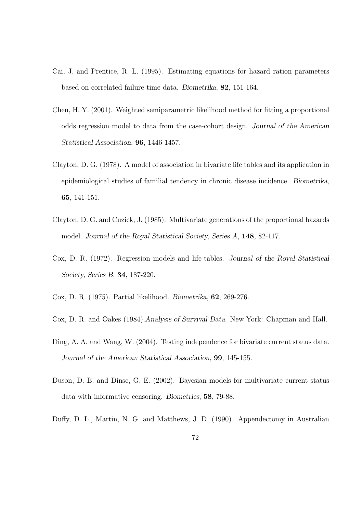- Cai, J. and Prentice, R. L. (1995). Estimating equations for hazard ration parameters based on correlated failure time data. Biometrika, 82, 151-164.
- Chen, H. Y. (2001). Weighted semiparametric likelihood method for fitting a proportional odds regression model to data from the case-cohort design. Journal of the American Statistical Association, 96, 1446-1457.
- Clayton, D. G. (1978). A model of association in bivariate life tables and its application in epidemiological studies of familial tendency in chronic disease incidence. Biometrika, 65, 141-151.
- Clayton, D. G. and Cuzick, J. (1985). Multivariate generations of the proportional hazards model. Journal of the Royal Statistical Society, Series A, 148, 82-117.
- Cox, D. R. (1972). Regression models and life-tables. Journal of the Royal Statistical Society, Series B, 34, 187-220.
- Cox, D. R. (1975). Partial likelihood. Biometrika, 62, 269-276.
- Cox, D. R. and Oakes (1984).Analysis of Survival Data. New York: Chapman and Hall.
- Ding, A. A. and Wang, W. (2004). Testing independence for bivariate current status data. Journal of the American Statistical Association, 99, 145-155.
- Duson, D. B. and Dinse, G. E. (2002). Bayesian models for multivariate current status data with informative censoring. Biometrics, 58, 79-88.
- Duffy, D. L., Martin, N. G. and Matthews, J. D. (1990). Appendectomy in Australian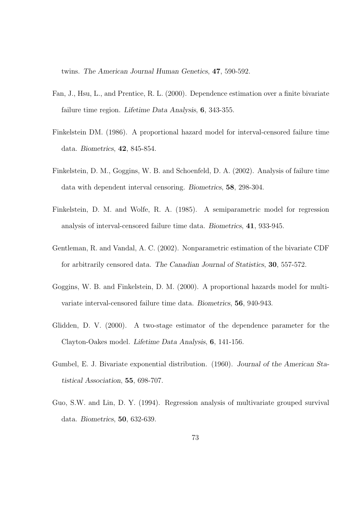twins. The American Journal Human Genetics, 47, 590-592.

- Fan, J., Hsu, L., and Prentice, R. L. (2000). Dependence estimation over a finite bivariate failure time region. Lifetime Data Analysis, 6, 343-355.
- Finkelstein DM. (1986). A proportional hazard model for interval-censored failure time data. Biometrics, 42, 845-854.
- Finkelstein, D. M., Goggins, W. B. and Schoenfeld, D. A. (2002). Analysis of failure time data with dependent interval censoring. Biometrics, 58, 298-304.
- Finkelstein, D. M. and Wolfe, R. A. (1985). A semiparametric model for regression analysis of interval-censored failure time data. Biometrics, 41, 933-945.
- Gentleman, R. and Vandal, A. C. (2002). Nonparametric estimation of the bivariate CDF for arbitrarily censored data. The Canadian Journal of Statistics, 30, 557-572.
- Goggins, W. B. and Finkelstein, D. M. (2000). A proportional hazards model for multivariate interval-censored failure time data. Biometrics, 56, 940-943.
- Glidden, D. V. (2000). A two-stage estimator of the dependence parameter for the Clayton-Oakes model. Lifetime Data Analysis, 6, 141-156.
- Gumbel, E. J. Bivariate exponential distribution. (1960). Journal of the American Statistical Association, 55, 698-707.
- Guo, S.W. and Lin, D. Y. (1994). Regression analysis of multivariate grouped survival data. Biometrics, 50, 632-639.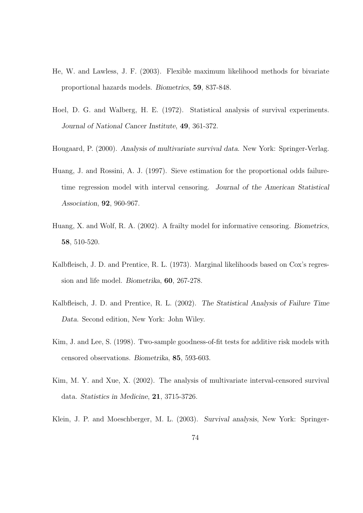- He, W. and Lawless, J. F. (2003). Flexible maximum likelihood methods for bivariate proportional hazards models. Biometrics, 59, 837-848.
- Hoel, D. G. and Walberg, H. E. (1972). Statistical analysis of survival experiments. Journal of National Cancer Institute, 49, 361-372.
- Hougaard, P. (2000). Analysis of multivariate survival data. New York: Springer-Verlag.
- Huang, J. and Rossini, A. J. (1997). Sieve estimation for the proportional odds failuretime regression model with interval censoring. Journal of the American Statistical Association, 92, 960-967.
- Huang, X. and Wolf, R. A. (2002). A frailty model for informative censoring. Biometrics, 58, 510-520.
- Kalbfleisch, J. D. and Prentice, R. L. (1973). Marginal likelihoods based on Cox's regression and life model. Biometrika, 60, 267-278.
- Kalbfleisch, J. D. and Prentice, R. L. (2002). The Statistical Analysis of Failure Time Data. Second edition, New York: John Wiley.
- Kim, J. and Lee, S. (1998). Two-sample goodness-of-fit tests for additive risk models with censored observations. Biometrika, 85, 593-603.
- Kim, M. Y. and Xue, X. (2002). The analysis of multivariate interval-censored survival data. Statistics in Medicine, 21, 3715-3726.
- Klein, J. P. and Moeschberger, M. L. (2003). Survival analysis, New York: Springer-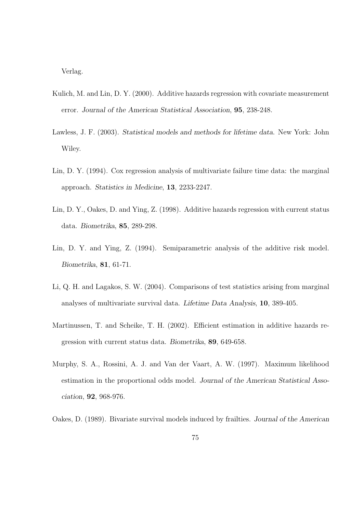Verlag.

- Kulich, M. and Lin, D. Y. (2000). Additive hazards regression with covariate measurement error. Journal of the American Statistical Association, 95, 238-248.
- Lawless, J. F. (2003). Statistical models and methods for lifetime data. New York: John Wiley.
- Lin, D. Y. (1994). Cox regression analysis of multivariate failure time data: the marginal approach. Statistics in Medicine, 13, 2233-2247.
- Lin, D. Y., Oakes, D. and Ying, Z. (1998). Additive hazards regression with current status data. Biometrika, 85, 289-298.
- Lin, D. Y. and Ying, Z. (1994). Semiparametric analysis of the additive risk model. Biometrika, 81, 61-71.
- Li, Q. H. and Lagakos, S. W. (2004). Comparisons of test statistics arising from marginal analyses of multivariate survival data. Lifetime Data Analysis, 10, 389-405.
- Martinussen, T. and Scheike, T. H. (2002). Efficient estimation in additive hazards regression with current status data. Biometrika, 89, 649-658.
- Murphy, S. A., Rossini, A. J. and Van der Vaart, A. W. (1997). Maximum likelihood estimation in the proportional odds model. Journal of the American Statistical Association, 92, 968-976.
- Oakes, D. (1989). Bivariate survival models induced by frailties. Journal of the American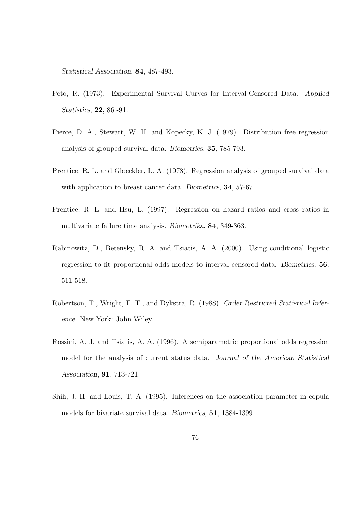Statistical Association, 84, 487-493.

- Peto, R. (1973). Experimental Survival Curves for Interval-Censored Data. Applied Statistics, 22, 86 -91.
- Pierce, D. A., Stewart, W. H. and Kopecky, K. J. (1979). Distribution free regression analysis of grouped survival data. Biometrics, 35, 785-793.
- Prentice, R. L. and Gloeckler, L. A. (1978). Regression analysis of grouped survival data with application to breast cancer data. Biometrics, **34**, 57-67.
- Prentice, R. L. and Hsu, L. (1997). Regression on hazard ratios and cross ratios in multivariate failure time analysis. Biometrika, 84, 349-363.
- Rabinowitz, D., Betensky, R. A. and Tsiatis, A. A. (2000). Using conditional logistic regression to fit proportional odds models to interval censored data. Biometrics, 56, 511-518.
- Robertson, T., Wright, F. T., and Dykstra, R. (1988). Order Restricted Statistical Inference. New York: John Wiley.
- Rossini, A. J. and Tsiatis, A. A. (1996). A semiparametric proportional odds regression model for the analysis of current status data. Journal of the American Statistical Association, 91, 713-721.
- Shih, J. H. and Louis, T. A. (1995). Inferences on the association parameter in copula models for bivariate survival data. Biometrics, 51, 1384-1399.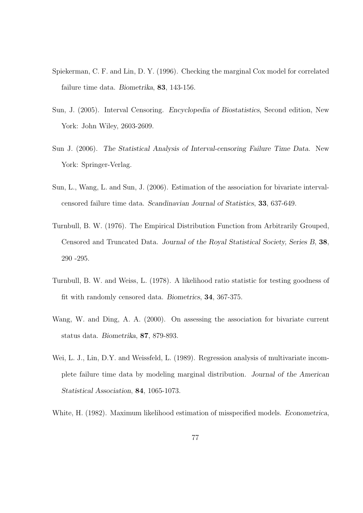- Spiekerman, C. F. and Lin, D. Y. (1996). Checking the marginal Cox model for correlated failure time data. Biometrika, 83, 143-156.
- Sun, J. (2005). Interval Censoring. Encyclopedia of Biostatistics, Second edition, New York: John Wiley, 2603-2609.
- Sun J. (2006). The Statistical Analysis of Interval-censoring Failure Time Data. New York: Springer-Verlag.
- Sun, L., Wang, L. and Sun, J. (2006). Estimation of the association for bivariate intervalcensored failure time data. Scandinavian Journal of Statistics, 33, 637-649.
- Turnbull, B. W. (1976). The Empirical Distribution Function from Arbitrarily Grouped, Censored and Truncated Data. Journal of the Royal Statistical Society, Series B, 38, 290 -295.
- Turnbull, B. W. and Weiss, L. (1978). A likelihood ratio statistic for testing goodness of fit with randomly censored data. Biometrics, 34, 367-375.
- Wang, W. and Ding, A. A. (2000). On assessing the association for bivariate current status data. Biometrika, 87, 879-893.
- Wei, L. J., Lin, D.Y. and Weissfeld, L. (1989). Regression analysis of multivariate incomplete failure time data by modeling marginal distribution. Journal of the American Statistical Association, 84, 1065-1073.

White, H. (1982). Maximum likelihood estimation of misspecified models. Econometrica,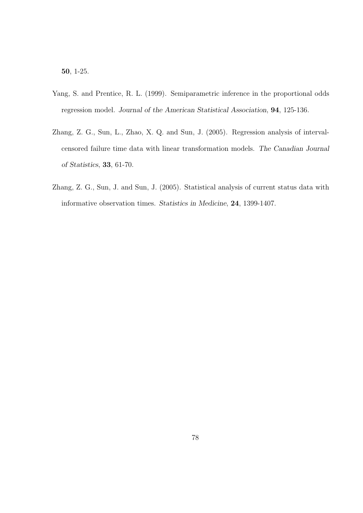50, 1-25.

- Yang, S. and Prentice, R. L. (1999). Semiparametric inference in the proportional odds regression model. Journal of the American Statistical Association, 94, 125-136.
- Zhang, Z. G., Sun, L., Zhao, X. Q. and Sun, J. (2005). Regression analysis of intervalcensored failure time data with linear transformation models. The Canadian Journal of Statistics, 33, 61-70.
- Zhang, Z. G., Sun, J. and Sun, J. (2005). Statistical analysis of current status data with informative observation times. Statistics in Medicine, 24, 1399-1407.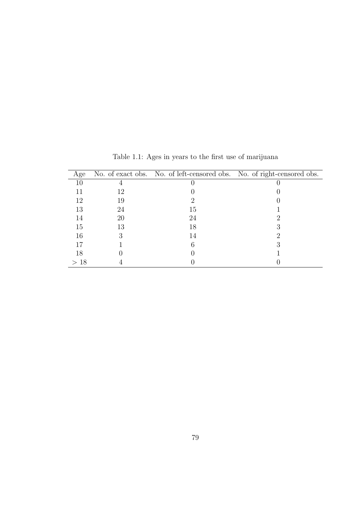| Age |    |    | No. of exact obs. No. of left-censored obs. No. of right-censored obs. |
|-----|----|----|------------------------------------------------------------------------|
|     |    |    |                                                                        |
|     | 12 |    |                                                                        |
| 12  | 19 |    |                                                                        |
| 13  | 24 | 15 |                                                                        |
| 14  | 20 | 24 |                                                                        |
| 15  | 13 | 18 |                                                                        |
| 16  |    | 14 |                                                                        |
|     |    |    |                                                                        |
| 18  |    |    |                                                                        |
| >18 |    |    |                                                                        |

Table 1.1: Ages in years to the first use of marijuana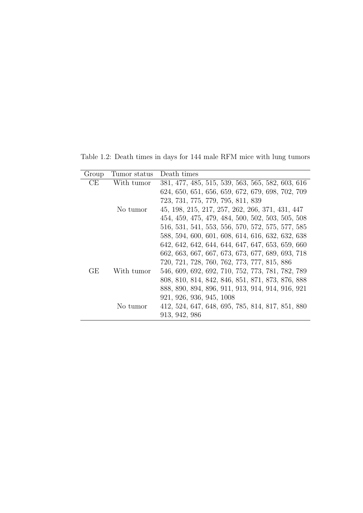Table 1.2: Death times in days for 144 male RFM mice with lung tumors

| Group | Tumor status | Death times                                      |
|-------|--------------|--------------------------------------------------|
| CЕ    | With tumor   | 381, 477, 485, 515, 539, 563, 565, 582, 603, 616 |
|       |              | 624, 650, 651, 656, 659, 672, 679, 698, 702, 709 |
|       |              | 723, 731, 775, 779, 795, 811, 839                |
|       | No tumor     | 45, 198, 215, 217, 257, 262, 266, 371, 431, 447  |
|       |              | 454, 459, 475, 479, 484, 500, 502, 503, 505, 508 |
|       |              | 516, 531, 541, 553, 556, 570, 572, 575, 577, 585 |
|       |              | 588, 594, 600, 601, 608, 614, 616, 632, 632, 638 |
|       |              | 642, 642, 642, 644, 644, 647, 647, 653, 659, 660 |
|       |              | 662, 663, 667, 667, 673, 673, 677, 689, 693, 718 |
|       |              | 720, 721, 728, 760, 762, 773, 777, 815, 886      |
| GЕ    | With tumor   | 546, 609, 692, 692, 710, 752, 773, 781, 782, 789 |
|       |              | 808, 810, 814, 842, 846, 851, 871, 873, 876, 888 |
|       |              | 888, 890, 894, 896, 911, 913, 914, 914, 916, 921 |
|       |              | 921, 926, 936, 945, 1008                         |
|       | No tumor     | 412, 524, 647, 648, 695, 785, 814, 817, 851, 880 |
|       |              | 913, 942, 986                                    |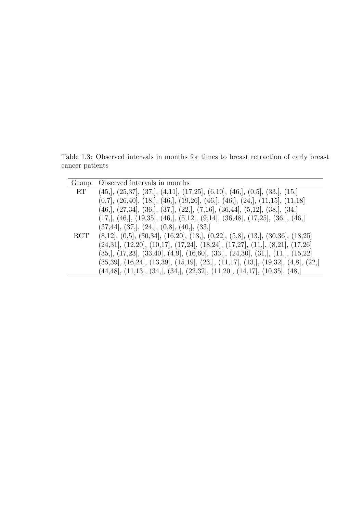Table 1.3: Observed intervals in months for times to breast retraction of early breast cancer patients

| Group      | Observed intervals in months                                                                                                                                                                                                                                                                                                                                                  |
|------------|-------------------------------------------------------------------------------------------------------------------------------------------------------------------------------------------------------------------------------------------------------------------------------------------------------------------------------------------------------------------------------|
| RT         | $(45, \vert, (25, 37], (37, \vert, (4, 11], (17, 25], (6, 10], (46, \vert, (0, 5], (33, \vert, (15, \vert))$                                                                                                                                                                                                                                                                  |
|            | $(0,7]$ , $(26,40]$ , $(18)$ , $(46)$ , $(19,26)$ , $(46)$ , $(46)$ , $(24)$ , $(11,15)$ , $(11,18)$                                                                                                                                                                                                                                                                          |
|            | $(46, \vert, (27, 34], (36, \vert, (37, \vert, (22, \vert, (7, 16), (36, 44), (5, 12), (38, \vert, (34, \vert, (34, \vert, (34, \vert, (34, \vert, (34, \vert, (34, \vert, (34, \vert, (34, \vert, (34, \vert, (34, \vert, (34, \vert, (34, \vert, (34, \vert, (34, \vert, (34, \vert, (34, \vert, (34, \vert, (34, \vert, (34, \vert, (34, \vert, (34, \vert, (34, \vert, ($ |
|            | $(17,], (46,], (19,35], (46,], (5,12], (9,14], (36,48], (17,25], (36,], (46,])$                                                                                                                                                                                                                                                                                               |
|            | $(37, 44]$ , $(37,$ ], $(24,$ ], $(0, 8]$ , $(40,$ ], $(33,$ ]                                                                                                                                                                                                                                                                                                                |
| <b>RCT</b> | $(8,12], (0,5], (30,34], (16,20], (13,), (0,22], (5,8), (13,), (30,36], (18,25)$                                                                                                                                                                                                                                                                                              |
|            | $(24,31]$ , $(12,20]$ , $(10,17]$ , $(17,24]$ , $(18,24]$ , $(17,27]$ , $(11)$ , $(8,21]$ , $(17,26]$                                                                                                                                                                                                                                                                         |
|            | $(35,], (17,23], (33,40], (4,9], (16,60], (33,], (24,30], (31,], (11,], (15,22)$                                                                                                                                                                                                                                                                                              |
|            | $(35,39]$ , $(16,24]$ , $(13,39]$ , $(15,19]$ , $(23)$ , $(11,17]$ , $(13)$ , $(19,32]$ , $(4,8]$ , $(22)$                                                                                                                                                                                                                                                                    |
|            | $(44,48]$ , $(11,13]$ , $(34]$ , $(34]$ , $(22,32]$ , $(11,20]$ , $(14,17]$ , $(10,35]$ , $(48)$                                                                                                                                                                                                                                                                              |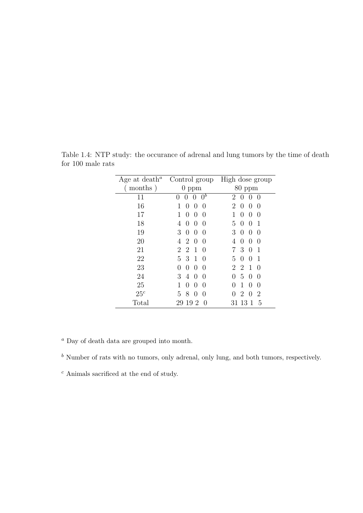| Age at death <sup><math>a</math></sup> | Control group                                                 | High dose group                                               |
|----------------------------------------|---------------------------------------------------------------|---------------------------------------------------------------|
| months)                                | $0$ ppm                                                       | $80$ ppm                                                      |
| 11                                     | $0^b$<br>0<br>$\left( \right)$                                | 2<br>$\left($<br>$\left( \right)$<br>$\left( \right)$         |
| 16                                     | $\left( \right)$<br>$\left( \right)$<br>$\left( \right)$      | 2<br>$\left( \right)$<br>$\left( \right)$<br>$\left( \right)$ |
| 17                                     | 1<br>$\mathbf{0}$<br>$\left( \right)$<br>$\theta$             | 1<br>$\theta$<br>$\left( \right)$<br>$\theta$                 |
| 18                                     | 4<br>$\mathbf{0}$<br>$\left( \right)$<br>$\left( \right)$     | 5<br>1<br>$\left( \right)$<br>$\left( \right)$                |
| 19                                     | 3<br>$\left( \right)$<br>$\theta$<br>$\theta$                 | 3<br>$\left( \right)$<br>$\theta$<br>$\theta$                 |
| 20                                     | 4<br>2<br>$\left( \right)$<br>$\left( \right)$                | 4<br>0<br>$\left( \right)$<br>$\theta$                        |
| 21                                     | $\overline{2}$<br>2<br>1<br>$\left( \right)$                  | 3<br>7<br>1<br>$\theta$                                       |
| 22                                     | 3<br>5<br>1<br>$\left( \right)$                               | 5<br>1<br>$\theta$<br>$\left( \right)$                        |
| 23                                     | 0<br>0<br>$\left( \right)$<br>$\left( \right)$                | $\overline{2}$<br>$\overline{2}$<br>1<br>$\theta$             |
| 24                                     | 3<br>4<br>$\left( \right)$<br>$\left( \right)$                | 5<br>$\theta$<br>$\theta$<br>0                                |
| 25                                     | 1<br>$\left( \right)$<br>$\left( \right)$<br>$\left( \right)$ | 1<br>0<br>0<br>$\theta$                                       |
| 25 <sup>c</sup>                        | 5<br>8<br>0<br>$\left( \right)$                               | 2<br>2<br>0<br>$\theta$                                       |
| Total                                  | 19<br>-2<br>29<br>$\left( \right)$                            | 31 13 1<br>5                                                  |

Table 1.4: NTP study: the occurance of adrenal and lung tumors by the time of death for 100 male rats

 $\,^a$  Day of death data are grouped into month.

 $<sup>b</sup>$  Number of rats with no tumors, only adrenal, only lung, and both tumors, respectively.</sup>

 $^c$  Animals sacrificed at the end of study.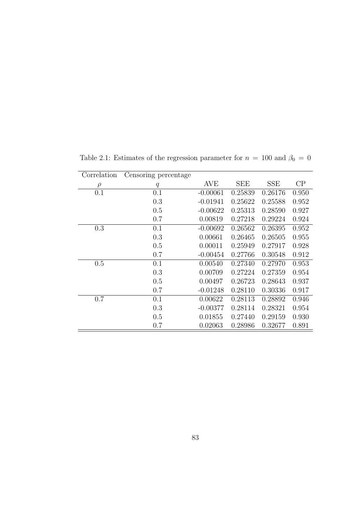| Correlation | Censoring percentage |            |            |            |       |
|-------------|----------------------|------------|------------|------------|-------|
| $\rho$      | q                    | <b>AVE</b> | <b>SEE</b> | <b>SSE</b> | CP    |
| 0.1         | 0.1                  | $-0.00061$ | 0.25839    | 0.26176    | 0.950 |
|             | 0.3                  | $-0.01941$ | 0.25622    | 0.25588    | 0.952 |
|             | 0.5                  | $-0.00622$ | 0.25313    | 0.28590    | 0.927 |
|             | 0.7                  | 0.00819    | 0.27218    | 0.29224    | 0.924 |
| 0.3         | 0.1                  | $-0.00692$ | 0.26562    | 0.26395    | 0.952 |
|             | 0.3                  | 0.00661    | 0.26465    | 0.26505    | 0.955 |
|             | 0.5                  | 0.00011    | 0.25949    | 0.27917    | 0.928 |
|             | 0.7                  | $-0.00454$ | 0.27766    | 0.30548    | 0.912 |
| 0.5         | 0.1                  | 0.00540    | 0.27340    | 0.27970    | 0.953 |
|             | 0.3                  | 0.00709    | 0.27224    | 0.27359    | 0.954 |
|             | 0.5                  | 0.00497    | 0.26723    | 0.28643    | 0.937 |
|             | 0.7                  | $-0.01248$ | 0.28110    | 0.30336    | 0.917 |
| 0.7         | 0.1                  | 0.00622    | 0.28113    | 0.28892    | 0.946 |
|             | 0.3                  | $-0.00377$ | 0.28114    | 0.28321    | 0.954 |
|             | 0.5                  | 0.01855    | 0.27440    | 0.29159    | 0.930 |
|             | 0.7                  | 0.02063    | 0.28986    | 0.32677    | 0.891 |

Table 2.1: Estimates of the regression parameter for  $n = 100$  and  $\beta_0 = 0$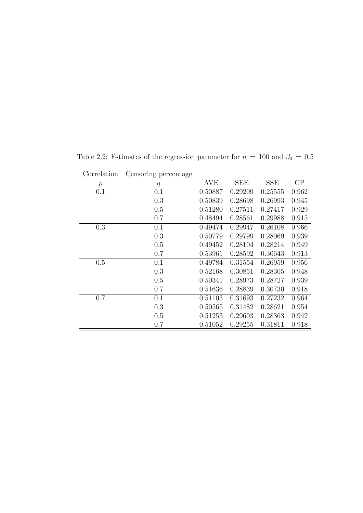| Correlation | Censoring percentage |         |            |            |       |
|-------------|----------------------|---------|------------|------------|-------|
| $\rho$      | q                    | AVE     | <b>SEE</b> | <b>SSE</b> | CP    |
| 0.1         | 0.1                  | 0.50887 | 0.29209    | 0.25555    | 0.962 |
|             | 0.3                  | 0.50839 | 0.28698    | 0.26993    | 0.945 |
|             | 0.5                  | 0.51280 | 0.27511    | 0.27417    | 0.929 |
|             | 0.7                  | 0.48494 | 0.28561    | 0.29988    | 0.915 |
| 0.3         | 0.1                  | 0.49474 | 0.29947    | 0.26108    | 0.966 |
|             | 0.3                  | 0.50779 | 0.29799    | 0.28069    | 0.939 |
|             | 0.5                  | 0.49452 | 0.28104    | 0.28214    | 0.949 |
|             | 0.7                  | 0.53961 | 0.28592    | 0.30643    | 0.913 |
| 0.5         | 0.1                  | 0.49784 | 0.31554    | 0.26959    | 0.956 |
|             | 0.3                  | 0.52168 | 0.30851    | 0.28305    | 0.948 |
|             | 0.5                  | 0.50341 | 0.28973    | 0.28727    | 0.939 |
|             | 0.7                  | 0.51636 | 0.28839    | 0.30730    | 0.918 |
| 0.7         | 0.1                  | 0.51103 | 0.31693    | 0.27232    | 0.964 |
|             | 0.3                  | 0.50565 | 0.31482    | 0.28621    | 0.954 |
|             | 0.5                  | 0.51253 | 0.29603    | 0.28363    | 0.942 |
|             | 0.7                  | 0.51052 | 0.29255    | 0.31811    | 0.918 |

Table 2.2: Estimates of the regression parameter for  $n = 100$  and  $\beta_0 = 0.5$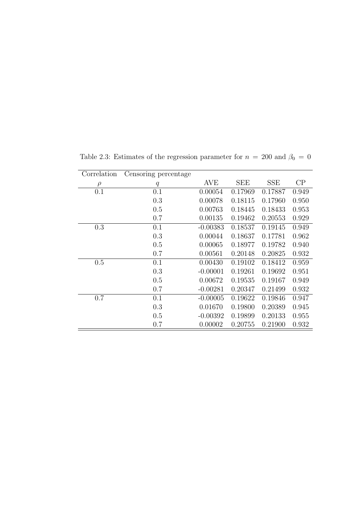| Correlation | Censoring percentage |            |         |            |       |
|-------------|----------------------|------------|---------|------------|-------|
| $\rho$      | $\boldsymbol{q}$     | AVE        | SEE     | <b>SSE</b> | CP    |
| 0.1         | 0.1                  | 0.00054    | 0.17969 | 0.17887    | 0.949 |
|             | 0.3                  | 0.00078    | 0.18115 | 0.17960    | 0.950 |
|             | 0.5                  | 0.00763    | 0.18445 | 0.18433    | 0.953 |
|             | 0.7                  | 0.00135    | 0.19462 | 0.20553    | 0.929 |
| 0.3         | 0.1                  | $-0.00383$ | 0.18537 | 0.19145    | 0.949 |
|             | 0.3                  | 0.00044    | 0.18637 | 0.17781    | 0.962 |
|             | 0.5                  | 0.00065    | 0.18977 | 0.19782    | 0.940 |
|             | 0.7                  | 0.00561    | 0.20148 | 0.20825    | 0.932 |
| 0.5         | 0.1                  | 0.00430    | 0.19102 | 0.18412    | 0.959 |
|             | 0.3                  | $-0.00001$ | 0.19261 | 0.19692    | 0.951 |
|             | 0.5                  | 0.00672    | 0.19535 | 0.19167    | 0.949 |
|             | 0.7                  | $-0.00281$ | 0.20347 | 0.21499    | 0.932 |
| 0.7         | 0.1                  | $-0.00005$ | 0.19622 | 0.19846    | 0.947 |
|             | 0.3                  | 0.01670    | 0.19800 | 0.20389    | 0.945 |
|             | 0.5                  | $-0.00392$ | 0.19899 | 0.20133    | 0.955 |
|             | 0.7                  | 0.00002    | 0.20755 | 0.21900    | 0.932 |

Table 2.3: Estimates of the regression parameter for  $n = 200$  and  $\beta_0 = 0$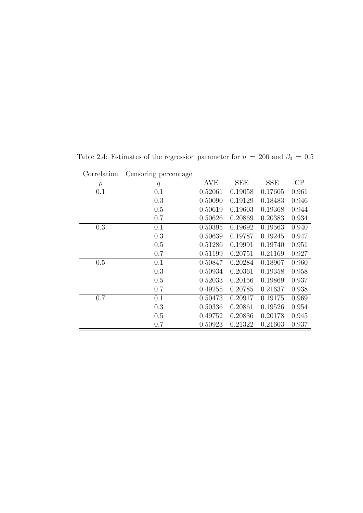| Correlation | Censoring percentage |            |            |            |       |
|-------------|----------------------|------------|------------|------------|-------|
| $\rho$      | q                    | <b>AVE</b> | <b>SEE</b> | <b>SSE</b> | CP    |
| 0.1         | 0.1                  | 0.52061    | 0.19058    | 0.17605    | 0.961 |
|             | 0.3                  | 0.50090    | 0.19129    | 0.18483    | 0.946 |
|             | 0.5                  | 0.50619    | 0.19603    | 0.19368    | 0.944 |
|             | 0.7                  | 0.50626    | 0.20869    | 0.20383    | 0.934 |
| 0.3         | 0.1                  | 0.50395    | 0.19692    | 0.19563    | 0.940 |
|             | 0.3                  | 0.50639    | 0.19787    | 0.19245    | 0.947 |
|             | 0.5                  | 0.51286    | 0.19991    | 0.19740    | 0.951 |
|             | 0.7                  | 0.51199    | 0.20751    | 0.21169    | 0.927 |
| 0.5         | 0.1                  | 0.50847    | 0.20284    | 0.18907    | 0.960 |
|             | 0.3                  | 0.50934    | 0.20361    | 0.19358    | 0.958 |
|             | 0.5                  | 0.52033    | 0.20156    | 0.19869    | 0.937 |
|             | 0.7                  | 0.49255    | 0.20785    | 0.21637    | 0.938 |
| 0.7         | 0.1                  | 0.50473    | 0.20917    | 0.19175    | 0.969 |
|             | 0.3                  | 0.50336    | 0.20861    | 0.19526    | 0.954 |
|             | 0.5                  | 0.49752    | 0.20836    | 0.20178    | 0.945 |
|             | 0.7                  | 0.50923    | 0.21322    | 0.21603    | 0.937 |

Table 2.4: Estimates of the regression parameter for  $n = 200$  and  $\beta_0 = 0.5$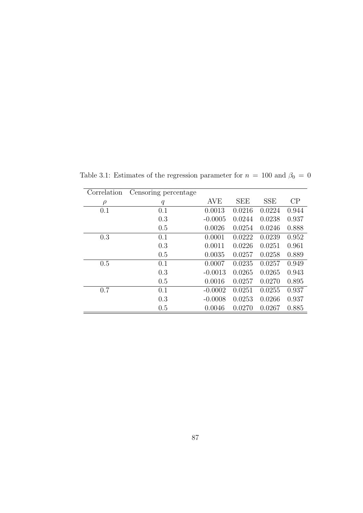| Correlation | Censoring percentage |            |            |            |       |
|-------------|----------------------|------------|------------|------------|-------|
| $\rho$      | $\boldsymbol{q}$     | <b>AVE</b> | <b>SEE</b> | <b>SSE</b> | CP    |
| 0.1         | 0.1                  | 0.0013     | 0.0216     | 0.0224     | 0.944 |
|             | 0.3                  | $-0.0005$  | 0.0244     | 0.0238     | 0.937 |
|             | 0.5                  | 0.0026     | 0.0254     | 0.0246     | 0.888 |
| 0.3         | 0.1                  | 0.0001     | 0.0222     | 0.0239     | 0.952 |
|             | 0.3                  | 0.0011     | 0.0226     | 0.0251     | 0.961 |
|             | 0.5                  | 0.0035     | 0.0257     | 0.0258     | 0.889 |
| 0.5         | 0.1                  | 0.0007     | 0.0235     | 0.0257     | 0.949 |
|             | 0.3                  | $-0.0013$  | 0.0265     | 0.0265     | 0.943 |
|             | 0.5                  | 0.0016     | 0.0257     | 0.0270     | 0.895 |
| 0.7         | 0.1                  | $-0.0002$  | 0.0251     | 0.0255     | 0.937 |
|             | 0.3                  | $-0.0008$  | 0.0253     | 0.0266     | 0.937 |
|             | 0.5                  | 0.0046     | 0.0270     | 0.0267     | 0.885 |

Table 3.1: Estimates of the regression parameter for  $n = 100$  and  $\beta_0 = 0$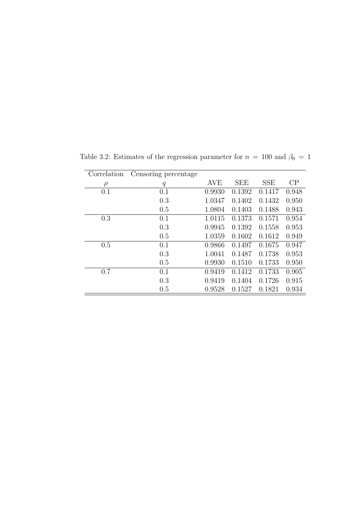| Correlation | Censoring percentage |            |            |            |       |
|-------------|----------------------|------------|------------|------------|-------|
| $\rho$      | $\boldsymbol{q}$     | <b>AVE</b> | <b>SEE</b> | <b>SSE</b> | CP    |
| 0.1         | 0.1                  | 0.9930     | 0.1392     | 0.1417     | 0.948 |
|             | 0.3                  | 1.0347     | 0.1402     | 0.1432     | 0.950 |
|             | 0.5                  | 1.0804     | 0.1403     | 0.1488     | 0.943 |
| 0.3         | 0.1                  | 1.0115     | 0.1373     | 0.1571     | 0.954 |
|             | 0.3                  | 0.9945     | 0.1392     | 0.1558     | 0.953 |
|             | 0.5                  | 1.0359     | 0.1602     | 0.1612     | 0.949 |
| 0.5         | 0.1                  | 0.9866     | 0.1497     | 0.1675     | 0.947 |
|             | 0.3                  | 1.0041     | 0.1487     | 0.1738     | 0.953 |
|             | 0.5                  | 0.9930     | 0.1510     | 0.1733     | 0.950 |
| 0.7         | 0.1                  | 0.9419     | 0.1412     | 0.1733     | 0.905 |
|             | 0.3                  | 0.9419     | 0.1404     | 0.1726     | 0.915 |
|             | 0.5                  | 0.9528     | 0.1527     | 0.1821     | 0.934 |

Table 3.2: Estimates of the regression parameter for  $n = 100$  and  $\beta_0 = 1$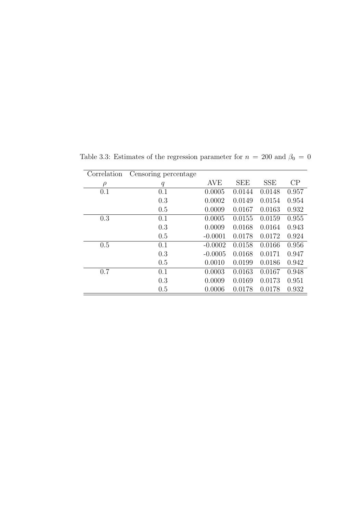| Correlation | Censoring percentage |            |            |            |       |
|-------------|----------------------|------------|------------|------------|-------|
| $\rho$      | $\boldsymbol{q}$     | <b>AVE</b> | <b>SEE</b> | <b>SSE</b> | CP    |
| 0.1         | 0.1                  | 0.0005     | 0.0144     | 0.0148     | 0.957 |
|             | 0.3                  | 0.0002     | 0.0149     | 0.0154     | 0.954 |
|             | 0.5                  | 0.0009     | 0.0167     | 0.0163     | 0.932 |
| 0.3         | 0.1                  | 0.0005     | 0.0155     | 0.0159     | 0.955 |
|             | 0.3                  | 0.0009     | 0.0168     | 0.0164     | 0.943 |
|             | 0.5                  | $-0.0001$  | 0.0178     | 0.0172     | 0.924 |
| 0.5         | 0.1                  | $-0.0002$  | 0.0158     | 0.0166     | 0.956 |
|             | 0.3                  | $-0.0005$  | 0.0168     | 0.0171     | 0.947 |
|             | 0.5                  | 0.0010     | 0.0199     | 0.0186     | 0.942 |
| 0.7         | 0.1                  | 0.0003     | 0.0163     | 0.0167     | 0.948 |
|             | 0.3                  | 0.0009     | 0.0169     | 0.0173     | 0.951 |
|             | 0.5                  | 0.0006     | 0.0178     | 0.0178     | 0.932 |

Table 3.3: Estimates of the regression parameter for  $n = 200$  and  $\beta_0 = 0$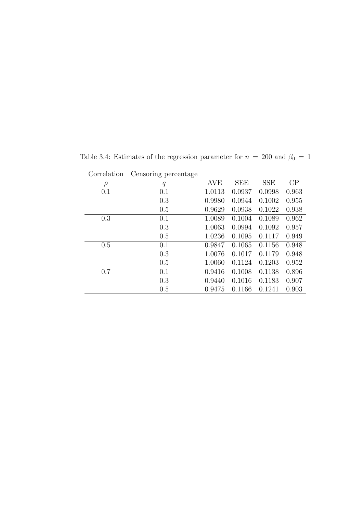| Correlation | Censoring percentage |            |            |            |       |
|-------------|----------------------|------------|------------|------------|-------|
| $\rho$      | $\boldsymbol{q}$     | <b>AVE</b> | <b>SEE</b> | <b>SSE</b> | CP    |
| 0.1         | 0.1                  | 1.0113     | 0.0937     | 0.0998     | 0.963 |
|             | 0.3                  | 0.9980     | 0.0944     | 0.1002     | 0.955 |
|             | 0.5                  | 0.9629     | 0.0938     | 0.1022     | 0.938 |
| 0.3         | 0.1                  | 1.0089     | 0.1004     | 0.1089     | 0.962 |
|             | 0.3                  | 1.0063     | 0.0994     | 0.1092     | 0.957 |
|             | 0.5                  | 1.0236     | 0.1095     | 0.1117     | 0.949 |
| 0.5         | 0.1                  | 0.9847     | 0.1065     | 0.1156     | 0.948 |
|             | 0.3                  | 1.0076     | 0.1017     | 0.1179     | 0.948 |
|             | 0.5                  | 1.0060     | 0.1124     | 0.1203     | 0.952 |
| 0.7         | 0.1                  | 0.9416     | 0.1008     | 0.1138     | 0.896 |
|             | 0.3                  | 0.9440     | 0.1016     | 0.1183     | 0.907 |
|             | 0.5                  | 0.9475     | 0.1166     | 0.1241     | 0.903 |

Table 3.4: Estimates of the regression parameter for  $n = 200$  and  $\beta_0 = 1$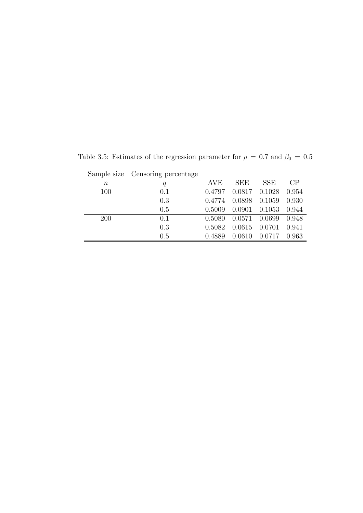|            | Sample size Censoring percentage |        |            |            |       |
|------------|----------------------------------|--------|------------|------------|-------|
| $\, n$     | q                                | AVE    | <b>SEE</b> | <b>SSE</b> | CP    |
| 100        | 0.1                              | 0.4797 | 0.0817     | 0.1028     | 0.954 |
|            | 0.3                              | 0.4774 | 0.0898     | 0.1059     | 0.930 |
|            | 0.5                              | 0.5009 | 0.0901     | 0.1053     | 0.944 |
| <b>200</b> | 0.1                              | 0.5080 | 0.0571     | 0.0699     | 0.948 |
|            | 0.3                              | 0.5082 | 0.0615     | 0.0701     | 0.941 |
|            | 0.5                              | 0.4889 | 0.0610     | 0.0717     | 0.963 |
|            |                                  |        |            |            |       |

Table 3.5: Estimates of the regression parameter for  $\rho = 0.7$  and  $\beta_0 = 0.5$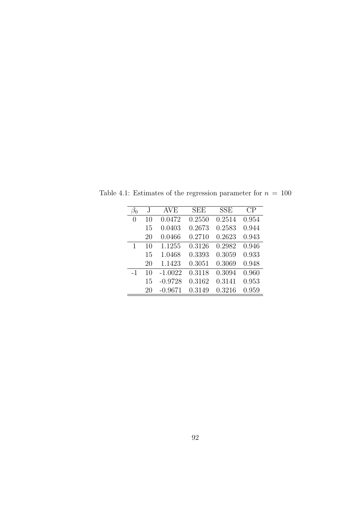| $\beta_0$ | J. | AVE       | <b>SEE</b> | <b>SSE</b> | CP    |
|-----------|----|-----------|------------|------------|-------|
| 0         | 10 | 0.0472    | 0.2550     | 0.2514     | 0.954 |
|           | 15 | 0.0403    | 0.2673     | 0.2583     | 0.944 |
|           | 20 | 0.0466    | 0.2710     | 0.2623     | 0.943 |
| 1         | 10 | 1.1255    | 0.3126     | 0.2982     | 0.946 |
|           | 15 | 1.0468    | 0.3393     | 0.3059     | 0.933 |
|           | 20 | 1.1423    | 0.3051     | 0.3069     | 0.948 |
| $-1$      | 10 | $-1.0022$ | 0.3118     | 0.3094     | 0.960 |
|           | 15 | $-0.9728$ | 0.3162     | 0.3141     | 0.953 |
|           | 20 | $-0.9671$ | 0.3149     | 0.3216     | 0.959 |

Table 4.1: Estimates of the regression parameter for  $n = 100$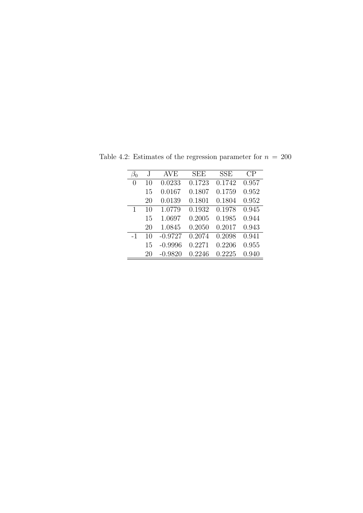| $\beta_0$        | J  | AVE       | SEE    | <b>SSE</b> | CP    |
|------------------|----|-----------|--------|------------|-------|
| $\left( \right)$ | 10 | 0.0233    | 0.1723 | 0.1742     | 0.957 |
|                  | 15 | 0.0167    | 0.1807 | 0.1759     | 0.952 |
|                  | 20 | 0.0139    | 0.1801 | 0.1804     | 0.952 |
| 1                | 10 | 1.0779    | 0.1932 | 0.1978     | 0.945 |
|                  | 15 | 1.0697    | 0.2005 | 0.1985     | 0.944 |
|                  | 20 | 1.0845    | 0.2050 | 0.2017     | 0.943 |
| $-1$             | 10 | $-0.9727$ | 0.2074 | 0.2098     | 0.941 |
|                  | 15 | $-0.9996$ | 0.2271 | 0.2206     | 0.955 |
|                  | 20 | $-0.9820$ | 0.2246 | 0.2225     | 0.940 |

Table 4.2: Estimates of the regression parameter for  $n = 200$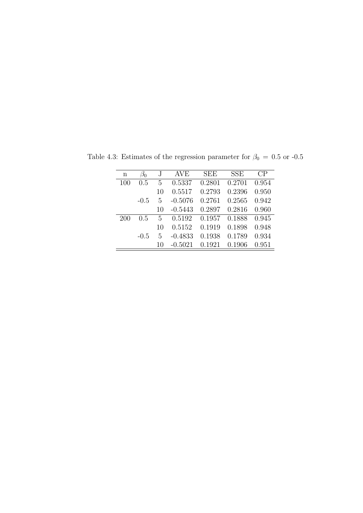| n   | $\beta_0$ | J, | AVE       | SEE    | <b>SSE</b> | СP    |
|-----|-----------|----|-----------|--------|------------|-------|
| 100 | 0.5       | 5  | 0.5337    | 0.2801 | 0.2701     | 0.954 |
|     |           | 10 | 0.5517    | 0.2793 | 0.2396     | 0.950 |
|     | $-0.5$    | 5  | $-0.5076$ | 0.2761 | 0.2565     | 0.942 |
|     |           | 10 | $-0.5443$ | 0.2897 | 0.2816     | 0.960 |
| 200 | 0.5       | 5  | 0.5192    | 0.1957 | 0.1888     | 0.945 |
|     |           | 10 | 0.5152    | 0.1919 | 0.1898     | 0.948 |
|     | $-0.5$    | 5  | $-0.4833$ | 0.1938 | 0.1789     | 0.934 |
|     |           | 10 | $-0.5021$ | 0.1921 | 0.1906     | 0.951 |
|     |           |    |           |        |            |       |

Table 4.3: Estimates of the regression parameter for  $\beta_0\,=\,0.5$  or -0.5  $\,$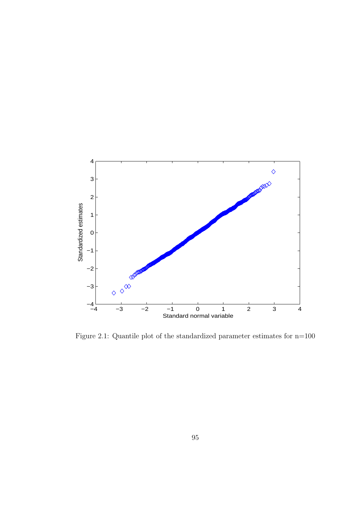

Figure 2.1: Quantile plot of the standardized parameter estimates for n=100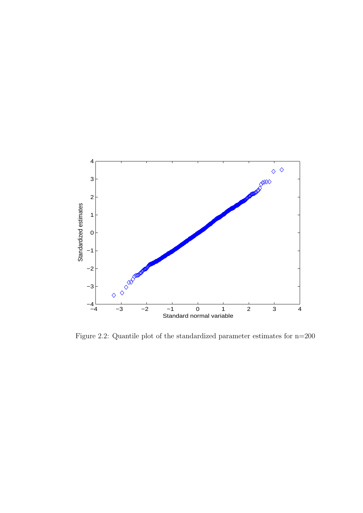

Figure 2.2: Quantile plot of the standardized parameter estimates for n=200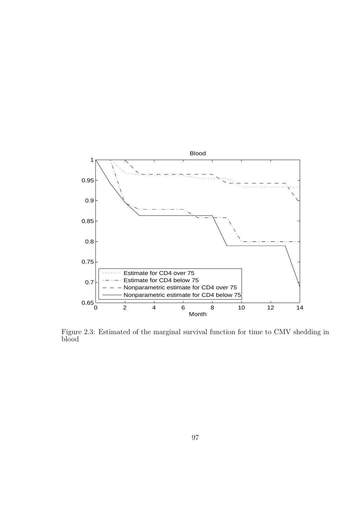

Figure 2.3: Estimated of the marginal survival function for time to CMV shedding in blood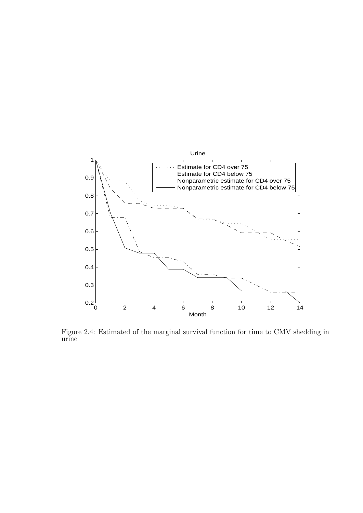

Figure 2.4: Estimated of the marginal survival function for time to CMV shedding in urine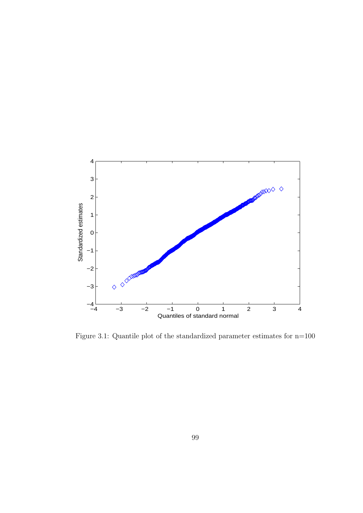

Figure 3.1: Quantile plot of the standardized parameter estimates for n=100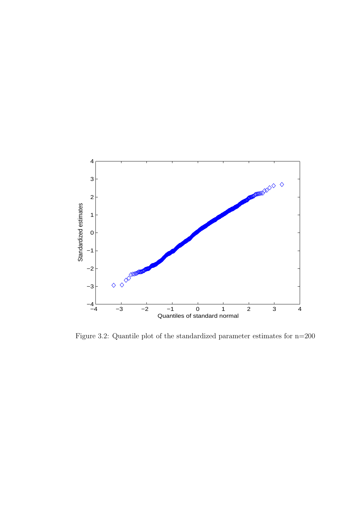

Figure 3.2: Quantile plot of the standardized parameter estimates for n=200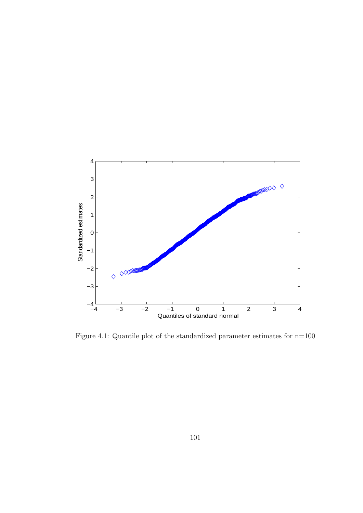

Figure 4.1: Quantile plot of the standardized parameter estimates for n=100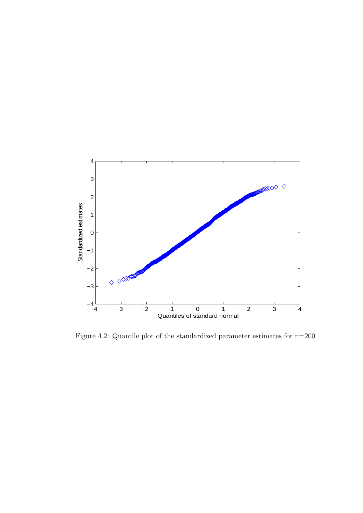

Figure 4.2: Quantile plot of the standardized parameter estimates for n=200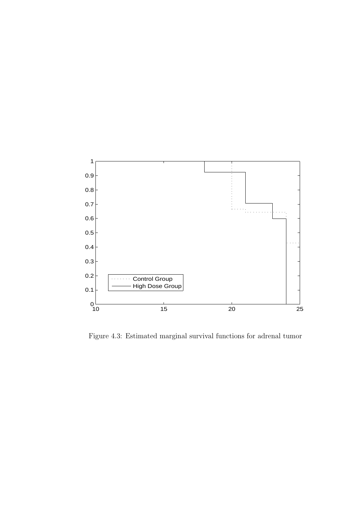

Figure 4.3: Estimated marginal survival functions for adrenal tumor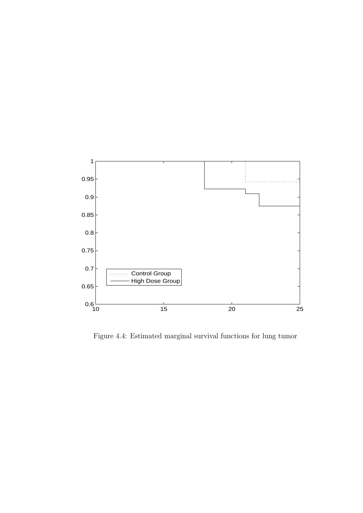

Figure 4.4: Estimated marginal survival functions for lung tumor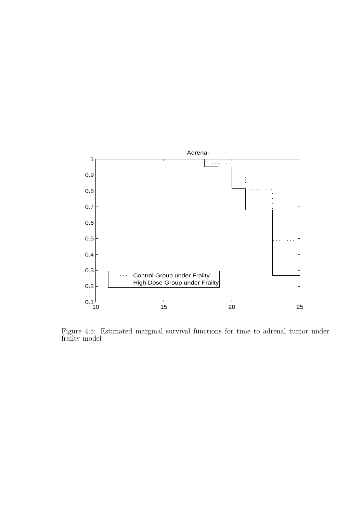

Figure 4.5: Estimated marginal survival functions for time to adrenal tumor under frailty model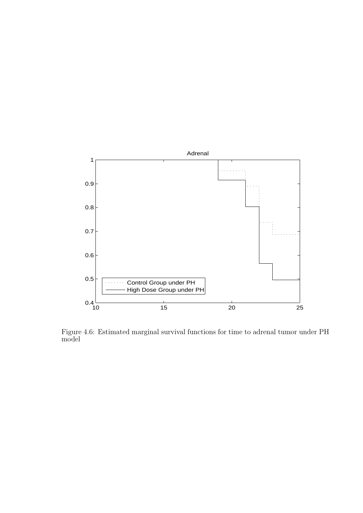

Figure 4.6: Estimated marginal survival functions for time to adrenal tumor under PH model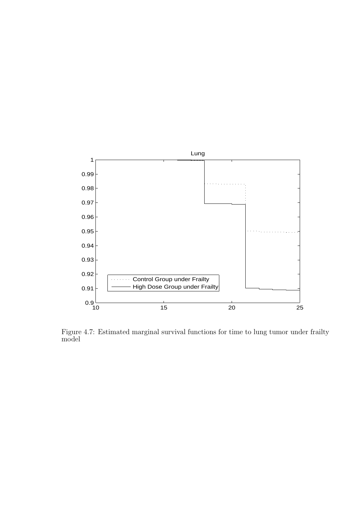

Figure 4.7: Estimated marginal survival functions for time to lung tumor under frailty model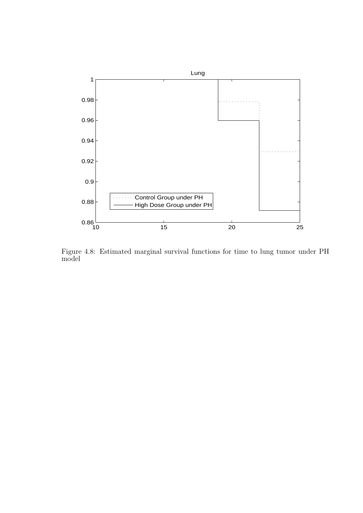

Figure 4.8: Estimated marginal survival functions for time to lung tumor under PH model